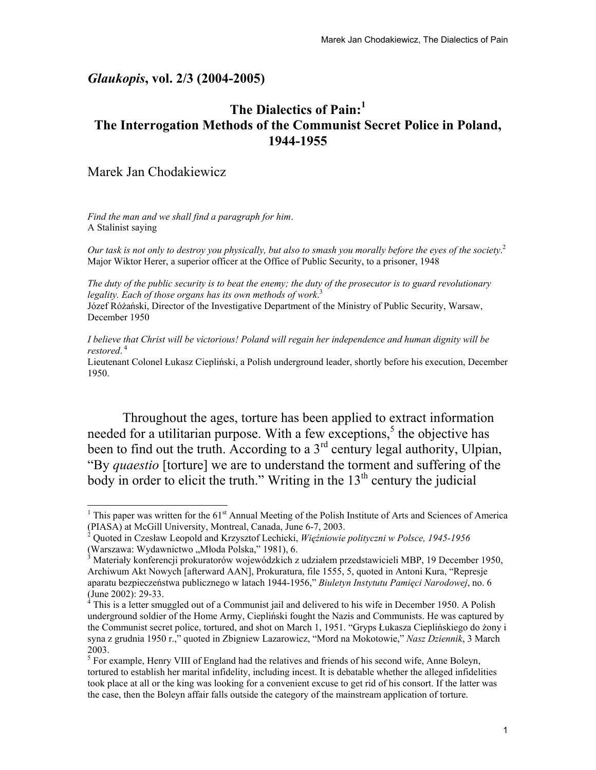### *Glaukopis***, vol. 2/3 (2004-2005)**

# **The Dialectics of Pain:<sup>1</sup> The Interrogation Methods of the Communist Secret Police in Poland, 1944-1955**

## Marek Jan Chodakiewicz

 $\overline{\phantom{a}}$ 

*Find the man and we shall find a paragraph for him*. A Stalinist saying

*Our task is not only to destroy you physically, but also to smash you morally before the eyes of the society*. 2 Major Wiktor Herer, a superior officer at the Office of Public Security, to a prisoner, 1948

*The duty of the public security is to beat the enemy; the duty of the prosecutor is to guard revolutionary legality. Each of those organs has its own methods of work*. 3

Józef Różański, Director of the Investigative Department of the Ministry of Public Security, Warsaw, December 1950

*I believe that Christ will be victorious! Poland will regain her independence and human dignity will be restored*. 4

Lieutenant Colonel Łukasz Ciepliński, a Polish underground leader, shortly before his execution, December 1950.

Throughout the ages, torture has been applied to extract information needed for a utilitarian purpose. With a few exceptions,<sup>5</sup> the objective has been to find out the truth. According to a  $3<sup>rd</sup>$  century legal authority, Ulpian, "By *quaestio* [torture] we are to understand the torment and suffering of the body in order to elicit the truth." Writing in the  $13<sup>th</sup>$  century the judicial

<sup>&</sup>lt;sup>1</sup> This paper was written for the  $61<sup>st</sup>$  Annual Meeting of the Polish Institute of Arts and Sciences of America (PIASA) at McGill University, Montreal, Canada, June 6-7, 2003. 2

Quoted in Czesław Leopold and Krzysztof Lechicki, *Więźniowie polityczni w Polsce, 1945-1956* (Warszawa: Wydawnictwo "Młoda Polska," 1981), 6.

Materiały konferencji prokuratorów wojewódzkich z udziałem przedstawicieli MBP, 19 December 1950, Archiwum Akt Nowych [afterward AAN], Prokuratura, file 1555, 5, quoted in Antoni Kura, "Represje aparatu bezpieczeństwa publicznego w latach 1944-1956," *Biuletyn Instytutu Pamięci Narodowej*, no. 6 (June 2002): 29-33.

 $4$  This is a letter smuggled out of a Communist jail and delivered to his wife in December 1950. A Polish underground soldier of the Home Army, Ciepliński fought the Nazis and Communists. He was captured by the Communist secret police, tortured, and shot on March 1, 1951. "Gryps Łukasza Cieplińskiego do żony i syna z grudnia 1950 r.," quoted in Zbigniew Lazarowicz, "Mord na Mokotowie," *Nasz Dziennik*, 3 March 2003.

 $<sup>5</sup>$  For example, Henry VIII of England had the relatives and friends of his second wife, Anne Boleyn,</sup> tortured to establish her marital infidelity, including incest. It is debatable whether the alleged infidelities took place at all or the king was looking for a convenient excuse to get rid of his consort. If the latter was the case, then the Boleyn affair falls outside the category of the mainstream application of torture.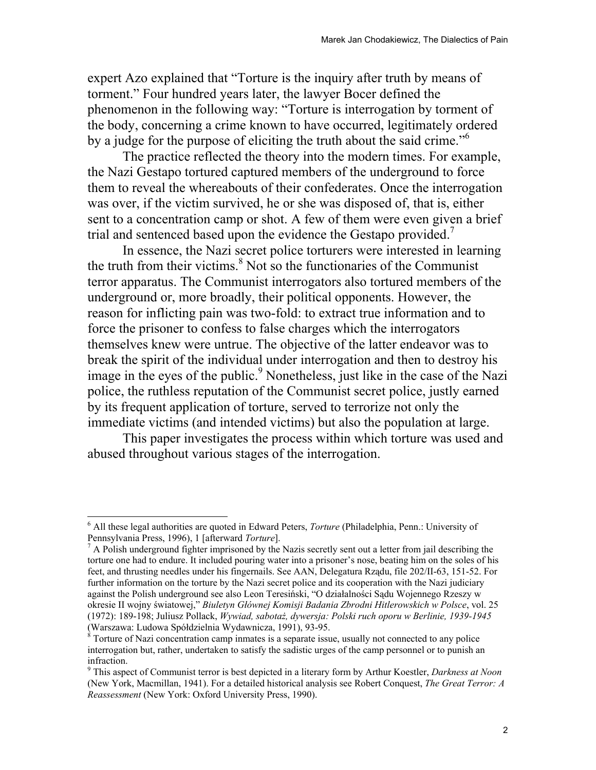expert Azo explained that "Torture is the inquiry after truth by means of torment." Four hundred years later, the lawyer Bocer defined the phenomenon in the following way: "Torture is interrogation by torment of the body, concerning a crime known to have occurred, legitimately ordered by a judge for the purpose of eliciting the truth about the said crime."<sup>6</sup>

The practice reflected the theory into the modern times. For example, the Nazi Gestapo tortured captured members of the underground to force them to reveal the whereabouts of their confederates. Once the interrogation was over, if the victim survived, he or she was disposed of, that is, either sent to a concentration camp or shot. A few of them were even given a brief trial and sentenced based upon the evidence the Gestapo provided.<sup>7</sup>

In essence, the Nazi secret police torturers were interested in learning the truth from their victims. $8$  Not so the functionaries of the Communist terror apparatus. The Communist interrogators also tortured members of the underground or, more broadly, their political opponents. However, the reason for inflicting pain was two-fold: to extract true information and to force the prisoner to confess to false charges which the interrogators themselves knew were untrue. The objective of the latter endeavor was to break the spirit of the individual under interrogation and then to destroy his image in the eyes of the public.<sup>9</sup> Nonetheless, just like in the case of the Nazi police, the ruthless reputation of the Communist secret police, justly earned by its frequent application of torture, served to terrorize not only the immediate victims (and intended victims) but also the population at large.

This paper investigates the process within which torture was used and abused throughout various stages of the interrogation.

<sup>6</sup> All these legal authorities are quoted in Edward Peters, *Torture* (Philadelphia, Penn.: University of Pennsylvania Press, 1996), 1 [afterward *Torture*]. 7

 $\alpha$  A Polish underground fighter imprisoned by the Nazis secretly sent out a letter from jail describing the torture one had to endure. It included pouring water into a prisoner's nose, beating him on the soles of his feet, and thrusting needles under his fingernails. See AAN, Delegatura Rządu, file 202/II-63, 151-52. For further information on the torture by the Nazi secret police and its cooperation with the Nazi judiciary against the Polish underground see also Leon Teresiński, "O działalności Sądu Wojennego Rzeszy w okresie II wojny światowej," *Biuletyn Głównej Komisji Badania Zbrodni Hitlerowskich w Polsce*, vol. 25 (1972): 189-198; Juliusz Pollack, *Wywiad, sabotaż, dywersja: Polski ruch oporu w Berlinie, 1939-1945* (Warszawa: Ludowa Spółdzielnia Wydawnicza, 1991), 93-95. 8

 $8$  Torture of Nazi concentration camp inmates is a separate issue, usually not connected to any police interrogation but, rather, undertaken to satisfy the sadistic urges of the camp personnel or to punish an infraction.

<sup>9</sup> This aspect of Communist terror is best depicted in a literary form by Arthur Koestler, *Darkness at Noon* (New York, Macmillan, 1941). For a detailed historical analysis see Robert Conquest, *The Great Terror: A Reassessment* (New York: Oxford University Press, 1990).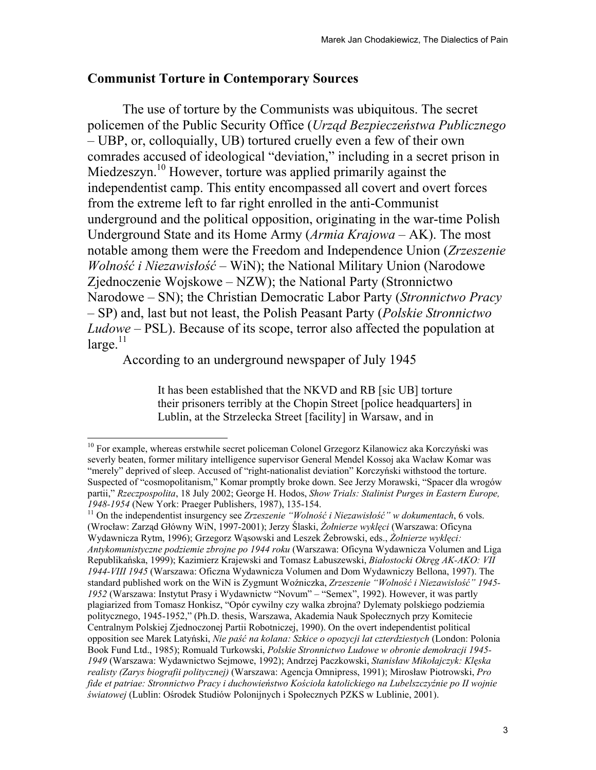## **Communist Torture in Contemporary Sources**

The use of torture by the Communists was ubiquitous. The secret policemen of the Public Security Office (*Urząd Bezpieczeństwa Publicznego* – UBP, or, colloquially, UB) tortured cruelly even a few of their own comrades accused of ideological "deviation," including in a secret prison in Miedzeszyn.<sup>10</sup> However, torture was applied primarily against the independentist camp. This entity encompassed all covert and overt forces from the extreme left to far right enrolled in the anti-Communist underground and the political opposition, originating in the war-time Polish Underground State and its Home Army (*Armia Krajowa* – AK). The most notable among them were the Freedom and Independence Union (*Zrzeszenie Wolność i Niezawisłość* – WiN); the National Military Union (Narodowe Zjednoczenie Wojskowe – NZW); the National Party (Stronnictwo Narodowe – SN); the Christian Democratic Labor Party (*Stronnictwo Pracy* – SP) and, last but not least, the Polish Peasant Party (*Polskie Stronnictwo Ludowe* – PSL). Because of its scope, terror also affected the population at  $large.$ <sup>11</sup>

According to an underground newspaper of July 1945

 $\overline{\phantom{a}}$ 

It has been established that the NKVD and RB [sic UB] torture their prisoners terribly at the Chopin Street [police headquarters] in Lublin, at the Strzelecka Street [facility] in Warsaw, and in

<sup>&</sup>lt;sup>10</sup> For example, whereas erstwhile secret policeman Colonel Grzegorz Kilanowicz aka Korczyński was severly beaten, former military intelligence supervisor General Mendel Kossoj aka Wacław Komar was "merely" deprived of sleep. Accused of "right-nationalist deviation" Korczyński withstood the torture. Suspected of "cosmopolitanism," Komar promptly broke down. See Jerzy Morawski, "Spacer dla wrogów partii," *Rzeczpospolita*, 18 July 2002; George H. Hodos, *Show Trials: Stalinist Purges in Eastern Europe, 1948-1954* (New York: Praeger Publishers, 1987), 135-154. 11 On the independentist insurgency see *Zrzeszenie "Wolność i Niezawisłość" w dokumentach*, 6 vols.

<sup>(</sup>Wrocław: Zarząd Główny WiN, 1997-2001); Jerzy Ślaski, *Żołnierze wyklęci* (Warszawa: Oficyna Wydawnicza Rytm, 1996); Grzegorz Wąsowski and Leszek Żebrowski, eds., *Żołnierze wyklęci: Antykomunistyczne podziemie zbrojne po 1944 roku* (Warszawa: Oficyna Wydawnicza Volumen and Liga Republikańska, 1999); Kazimierz Krajewski and Tomasz Łabuszewski, *Białostocki Okręg AK-AKO: VII 1944-VIII 1945* (Warszawa: Oficzna Wydawnicza Volumen and Dom Wydawniczy Bellona, 1997). The standard published work on the WiN is Zygmunt Woźniczka, *Zrzeszenie "Wolność i Niezawisłość" 1945- 1952* (Warszawa: Instytut Prasy i Wydawnictw "Novum" – "Semex", 1992). However, it was partly plagiarized from Tomasz Honkisz, "Opór cywilny czy walka zbrojna? Dylematy polskiego podziemia politycznego, 1945-1952," (Ph.D. thesis, Warszawa, Akademia Nauk Społecznych przy Komitecie Centralnym Polskiej Zjednoczonej Partii Robotniczej, 1990). On the overt independentist political opposition see Marek Latyński, *Nie paść na kolana: Szkice o opozycji lat czterdziestych* (London: Polonia Book Fund Ltd., 1985); Romuald Turkowski, *Polskie Stronnictwo Ludowe w obronie demokracji 1945- 1949* (Warszawa: Wydawnictwo Sejmowe, 1992); Andrzej Paczkowski, *Stanisław Mikołajczyk: Klęska realisty (Zarys biografii politycznej)* (Warszawa: Agencja Omnipress, 1991); Mirosław Piotrowski, *Pro fide et patriae: Stronnictwo Pracy i duchowieństwo Kościoła katolickiego na Lubelszczyźnie po II wojnie światowej* (Lublin: Ośrodek Studiów Polonijnych i Społecznych PZKS w Lublinie, 2001).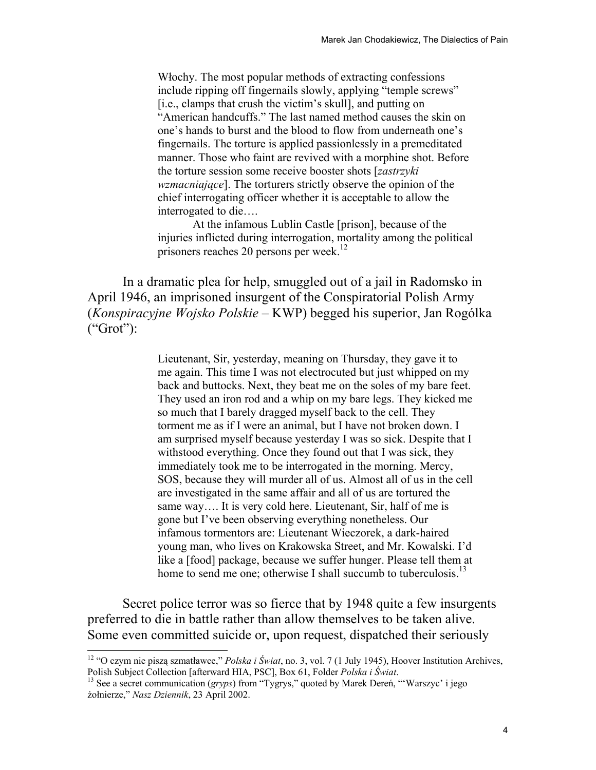Włochy. The most popular methods of extracting confessions include ripping off fingernails slowly, applying "temple screws" [i.e., clamps that crush the victim's skull], and putting on "American handcuffs." The last named method causes the skin on one's hands to burst and the blood to flow from underneath one's fingernails. The torture is applied passionlessly in a premeditated manner. Those who faint are revived with a morphine shot. Before the torture session some receive booster shots [*zastrzyki wzmacniające*]. The torturers strictly observe the opinion of the chief interrogating officer whether it is acceptable to allow the interrogated to die….

At the infamous Lublin Castle [prison], because of the injuries inflicted during interrogation, mortality among the political prisoners reaches 20 persons per week.<sup>12</sup>

In a dramatic plea for help, smuggled out of a jail in Radomsko in April 1946, an imprisoned insurgent of the Conspiratorial Polish Army (*Konspiracyjne Wojsko Polskie* – KWP) begged his superior, Jan Rogólka  $("Grot")$ :

> Lieutenant, Sir, yesterday, meaning on Thursday, they gave it to me again. This time I was not electrocuted but just whipped on my back and buttocks. Next, they beat me on the soles of my bare feet. They used an iron rod and a whip on my bare legs. They kicked me so much that I barely dragged myself back to the cell. They torment me as if I were an animal, but I have not broken down. I am surprised myself because yesterday I was so sick. Despite that I withstood everything. Once they found out that I was sick, they immediately took me to be interrogated in the morning. Mercy, SOS, because they will murder all of us. Almost all of us in the cell are investigated in the same affair and all of us are tortured the same way.... It is very cold here. Lieutenant, Sir, half of me is gone but I've been observing everything nonetheless. Our infamous tormentors are: Lieutenant Wieczorek, a dark-haired young man, who lives on Krakowska Street, and Mr. Kowalski. I'd like a [food] package, because we suffer hunger. Please tell them at home to send me one; otherwise I shall succumb to tuberculosis.<sup>13</sup>

Secret police terror was so fierce that by 1948 quite a few insurgents preferred to die in battle rather than allow themselves to be taken alive. Some even committed suicide or, upon request, dispatched their seriously

<sup>&</sup>lt;sup>12</sup> "O czym nie piszą szmatławce," *Polska i Świat*, no. 3, vol. 7 (1 July 1945), Hoover Institution Archives, Polish Subject Collection [afterward HIA, PSC], Box 61, Folder *Polska i Świat*.

<sup>&</sup>lt;sup>13</sup> See a secret communication (*gryps*) from "Tygrys," quoted by Marek Dereń, "'Warszyc' i jego żołnierze," *Nasz Dziennik*, 23 April 2002.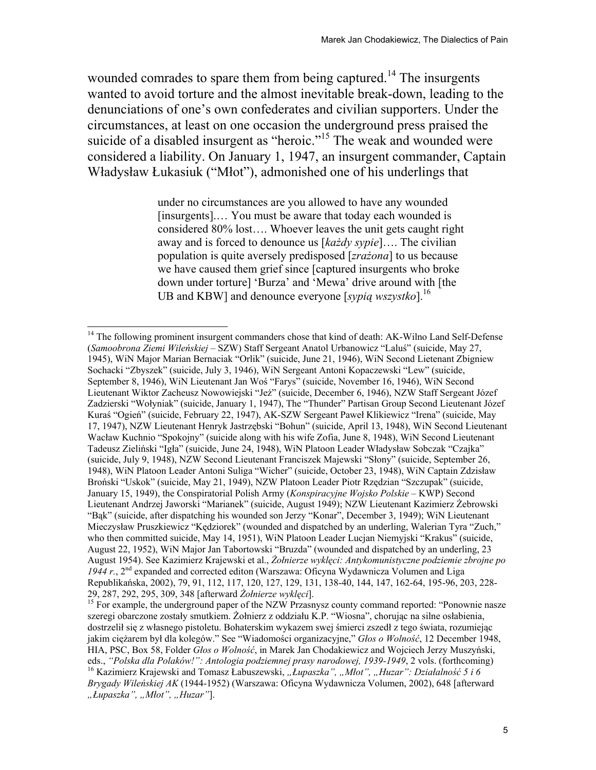wounded comrades to spare them from being captured.<sup>14</sup> The insurgents wanted to avoid torture and the almost inevitable break-down, leading to the denunciations of one's own confederates and civilian supporters. Under the circumstances, at least on one occasion the underground press praised the suicide of a disabled insurgent as "heroic."<sup>15</sup> The weak and wounded were considered a liability. On January 1, 1947, an insurgent commander, Captain Władysław Łukasiuk ("Młot"), admonished one of his underlings that

> under no circumstances are you allowed to have any wounded [insurgents].… You must be aware that today each wounded is considered 80% lost…. Whoever leaves the unit gets caught right away and is forced to denounce us [*każdy sypie*]…. The civilian population is quite aversely predisposed [*zrażona*] to us because we have caused them grief since [captured insurgents who broke down under torture] 'Burza' and 'Mewa' drive around with [the UB and KBW] and denounce everyone [*sypią wszystko*].16

<sup>&</sup>lt;sup>14</sup> The following prominent insurgent commanders chose that kind of death: AK-Wilno Land Self-Defense (*Samoobrona Ziemi Wileńskiej* – SZW) Staff Sergeant Anatol Urbanowicz "Laluś" (suicide, May 27, 1945), WiN Major Marian Bernaciak "Orlik" (suicide, June 21, 1946), WiN Second Lietenant Zbigniew Sochacki "Zbyszek" (suicide, July 3, 1946), WiN Sergeant Antoni Kopaczewski "Lew" (suicide, September 8, 1946), WiN Lieutenant Jan Woś "Farys" (suicide, November 16, 1946), WiN Second Lieutenant Wiktor Zacheusz Nowowiejski "Jeż" (suicide, December 6, 1946), NZW Staff Sergeant Józef Zadzierski "Wołyniak" (suicide, January 1, 1947), The "Thunder" Partisan Group Second Lieutenant Józef Kuraś "Ogień" (suicide, February 22, 1947), AK-SZW Sergeant Paweł Klikiewicz "Irena" (suicide, May 17, 1947), NZW Lieutenant Henryk Jastrzębski "Bohun" (suicide, April 13, 1948), WiN Second Lieutenant Wacław Kuchnio "Spokojny" (suicide along with his wife Zofia, June 8, 1948), WiN Second Lieutenant Tadeusz Zieliński "Igła" (suicide, June 24, 1948), WiN Platoon Leader Władysław Sobczak "Czajka" (suicide, July 9, 1948), NZW Second Lieutenant Franciszek Majewski "Słony" (suicide, September 26, 1948), WiN Platoon Leader Antoni Suliga "Wicher" (suicide, October 23, 1948), WiN Captain Zdzisław Broński "Uskok" (suicide, May 21, 1949), NZW Platoon Leader Piotr Rzędzian "Szczupak" (suicide, January 15, 1949), the Conspiratorial Polish Army (*Konspiracyjne Wojsko Polskie* – KWP) Second Lieutenant Andrzej Jaworski "Marianek" (suicide, August 1949); NZW Lieutenant Kazimierz Żebrowski "Bąk" (suicide, after dispatching his wounded son Jerzy "Konar", December 3, 1949); WiN Lieutenant Mieczysław Pruszkiewicz "Kędziorek" (wounded and dispatched by an underling, Walerian Tyra "Zuch," who then committed suicide, May 14, 1951), WiN Platoon Leader Lucjan Niemyjski "Krakus" (suicide, August 22, 1952), WiN Major Jan Tabortowski "Bruzda" (wounded and dispatched by an underling, 23 August 1954). See Kazimierz Krajewski et al., *Żołnierze wyklęci: Antykomunistyczne podziemie zbrojne po*  1944 r., 2<sup>nd</sup> expanded and corrected editon (Warszawa: Oficyna Wydawnicza Volumen and Liga Republikańska, 2002), 79, 91, 112, 117, 120, 127, 129, 131, 138-40, 144, 147, 162-64, 195-96, 203, 228-29, 287, 292, 295, 309, 348 [afterward *Żołnierze wyklęci*].

<sup>&</sup>lt;sup>15</sup> For example, the underground paper of the NZW Przasnysz county command reported: "Ponownie nasze szeregi obarczone zostały smutkiem. Żołnierz z oddziału K.P. "Wiosna", chorując na silne osłabienia, dostrzelił się z własnego pistoletu. Bohaterskim wykazem swej śmierci zszedł z tego świata, rozumiejąc jakim ciężarem był dla kolegów." See "Wiadomości organizacyjne," *Głos o Wolność*, 12 December 1948, HIA, PSC, Box 58, Folder *Głos o Wolność*, in Marek Jan Chodakiewicz and Wojciech Jerzy Muszyński, eds., "Polska dla Polaków!": Antologia podziemnej prasy narodowej, 1939-1949, 2 vols. (forthcoming)<br><sup>16</sup> Kazimierz Krajewski and Tomasz Łabuszewski, "*Łupaszka", "Młot", "Huzar": Działalność 5 i 6* 

*Brygady Wileńskiej AK* (1944-1952) (Warszawa: Oficyna Wydawnicza Volumen, 2002), 648 [afterward *"Łupaszka", "Młot", "Huzar"*].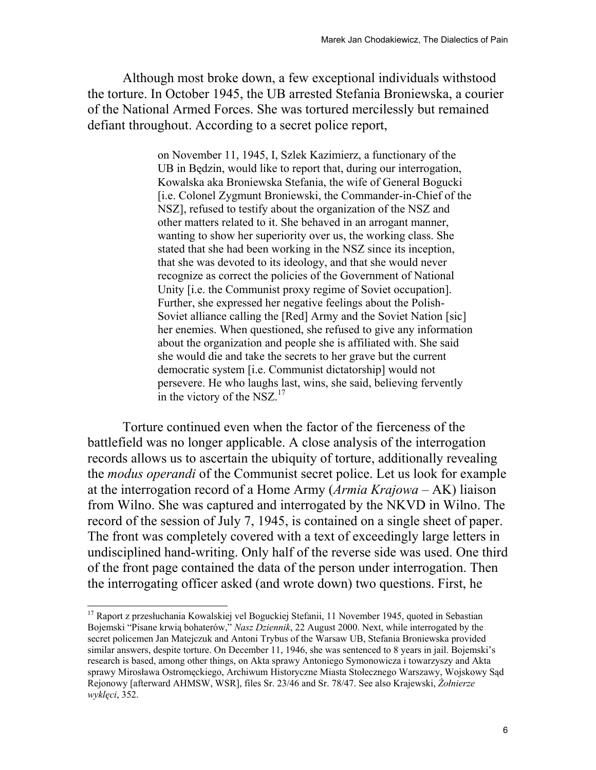Although most broke down, a few exceptional individuals withstood the torture. In October 1945, the UB arrested Stefania Broniewska, a courier of the National Armed Forces. She was tortured mercilessly but remained defiant throughout. According to a secret police report,

> on November 11, 1945, I, Szlek Kazimierz, a functionary of the UB in Będzin, would like to report that, during our interrogation, Kowalska aka Broniewska Stefania, the wife of General Bogucki [i.e. Colonel Zygmunt Broniewski, the Commander-in-Chief of the NSZ], refused to testify about the organization of the NSZ and other matters related to it. She behaved in an arrogant manner, wanting to show her superiority over us, the working class. She stated that she had been working in the NSZ since its inception, that she was devoted to its ideology, and that she would never recognize as correct the policies of the Government of National Unity [i.e. the Communist proxy regime of Soviet occupation]. Further, she expressed her negative feelings about the Polish-Soviet alliance calling the [Red] Army and the Soviet Nation [sic] her enemies. When questioned, she refused to give any information about the organization and people she is affiliated with. She said she would die and take the secrets to her grave but the current democratic system [i.e. Communist dictatorship] would not persevere. He who laughs last, wins, she said, believing fervently in the victory of the  $NSZ$ .<sup>17</sup>

Torture continued even when the factor of the fierceness of the battlefield was no longer applicable. A close analysis of the interrogation records allows us to ascertain the ubiquity of torture, additionally revealing the *modus operandi* of the Communist secret police. Let us look for example at the interrogation record of a Home Army (*Armia Krajowa* – AK) liaison from Wilno. She was captured and interrogated by the NKVD in Wilno. The record of the session of July 7, 1945, is contained on a single sheet of paper. The front was completely covered with a text of exceedingly large letters in undisciplined hand-writing. Only half of the reverse side was used. One third of the front page contained the data of the person under interrogation. Then the interrogating officer asked (and wrote down) two questions. First, he

<sup>&</sup>lt;sup>17</sup> Raport z przesłuchania Kowalskiej vel Boguckiej Stefanii, 11 November 1945, quoted in Sebastian Bojemski "Pisane krwią bohaterów," *Nasz Dziennik*, 22 August 2000. Next, while interrogated by the secret policemen Jan Matejczuk and Antoni Trybus of the Warsaw UB, Stefania Broniewska provided similar answers, despite torture. On December 11, 1946, she was sentenced to 8 years in jail. Bojemski's research is based, among other things, on Akta sprawy Antoniego Symonowicza i towarzyszy and Akta sprawy Mirosława Ostromęckiego, Archiwum Historyczne Miasta Stołecznego Warszawy, Wojskowy Sąd Rejonowy [afterward AHMSW, WSR], files Sr. 23/46 and Sr. 78/47. See also Krajewski, *Żołnierze wyklęci*, 352.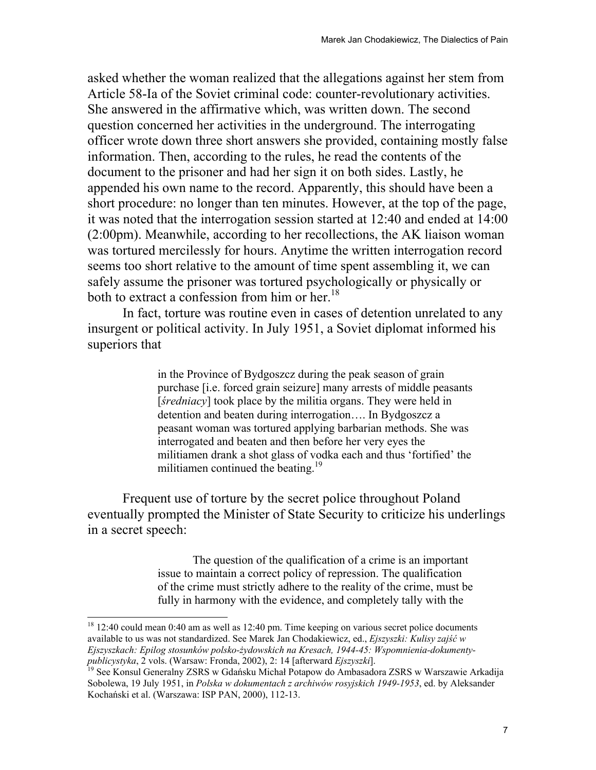asked whether the woman realized that the allegations against her stem from Article 58-Ia of the Soviet criminal code: counter-revolutionary activities. She answered in the affirmative which, was written down. The second question concerned her activities in the underground. The interrogating officer wrote down three short answers she provided, containing mostly false information. Then, according to the rules, he read the contents of the document to the prisoner and had her sign it on both sides. Lastly, he appended his own name to the record. Apparently, this should have been a short procedure: no longer than ten minutes. However, at the top of the page, it was noted that the interrogation session started at 12:40 and ended at 14:00 (2:00pm). Meanwhile, according to her recollections, the AK liaison woman was tortured mercilessly for hours. Anytime the written interrogation record seems too short relative to the amount of time spent assembling it, we can safely assume the prisoner was tortured psychologically or physically or both to extract a confession from him or her.<sup>18</sup>

In fact, torture was routine even in cases of detention unrelated to any insurgent or political activity. In July 1951, a Soviet diplomat informed his superiors that

> in the Province of Bydgoszcz during the peak season of grain purchase [i.e. forced grain seizure] many arrests of middle peasants [*średniacy*] took place by the militia organs. They were held in detention and beaten during interrogation…. In Bydgoszcz a peasant woman was tortured applying barbarian methods. She was interrogated and beaten and then before her very eyes the militiamen drank a shot glass of vodka each and thus 'fortified' the militiamen continued the beating. $19$

 Frequent use of torture by the secret police throughout Poland eventually prompted the Minister of State Security to criticize his underlings in a secret speech:

> The question of the qualification of a crime is an important issue to maintain a correct policy of repression. The qualification of the crime must strictly adhere to the reality of the crime, must be fully in harmony with the evidence, and completely tally with the

 $18$  12:40 could mean 0:40 am as well as 12:40 pm. Time keeping on various secret police documents available to us was not standardized. See Marek Jan Chodakiewicz, ed., *Ejszyszki: Kulisy zajść w Ejszyszkach: Epilog stosunków polsko-żydowskich na Kresach, 1944-45: Wspomnienia-dokumentypublicystyka*, 2 vols. (Warsaw: Fronda, 2002), 2: 14 [afterward *Ejszyszki*]. 19 See Konsul Generalny ZSRS w Gdańsku Michał Potapow do Ambasadora ZSRS w Warszawie Arkadija

Sobolewa, 19 July 1951, in *Polska w dokumentach z archiwów rosyjskich 1949-1953*, ed. by Aleksander Kochański et al. (Warszawa: ISP PAN, 2000), 112-13.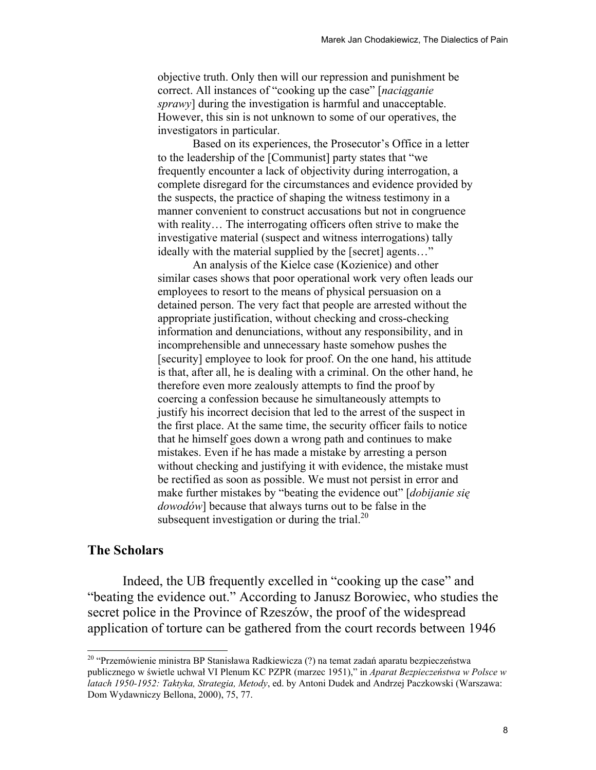objective truth. Only then will our repression and punishment be correct. All instances of "cooking up the case" [*naciąganie sprawy*] during the investigation is harmful and unacceptable. However, this sin is not unknown to some of our operatives, the investigators in particular.

 Based on its experiences, the Prosecutor's Office in a letter to the leadership of the [Communist] party states that "we frequently encounter a lack of objectivity during interrogation, a complete disregard for the circumstances and evidence provided by the suspects, the practice of shaping the witness testimony in a manner convenient to construct accusations but not in congruence with reality… The interrogating officers often strive to make the investigative material (suspect and witness interrogations) tally ideally with the material supplied by the [secret] agents…"

 An analysis of the Kielce case (Kozienice) and other similar cases shows that poor operational work very often leads our employees to resort to the means of physical persuasion on a detained person. The very fact that people are arrested without the appropriate justification, without checking and cross-checking information and denunciations, without any responsibility, and in incomprehensible and unnecessary haste somehow pushes the [security] employee to look for proof. On the one hand, his attitude is that, after all, he is dealing with a criminal. On the other hand, he therefore even more zealously attempts to find the proof by coercing a confession because he simultaneously attempts to justify his incorrect decision that led to the arrest of the suspect in the first place. At the same time, the security officer fails to notice that he himself goes down a wrong path and continues to make mistakes. Even if he has made a mistake by arresting a person without checking and justifying it with evidence, the mistake must be rectified as soon as possible. We must not persist in error and make further mistakes by "beating the evidence out" [*dobijanie się dowodów*] because that always turns out to be false in the subsequent investigation or during the trial.<sup>20</sup>

### **The Scholars**

 $\overline{\phantom{a}}$ 

 Indeed, the UB frequently excelled in "cooking up the case" and "beating the evidence out." According to Janusz Borowiec, who studies the secret police in the Province of Rzeszów, the proof of the widespread application of torture can be gathered from the court records between 1946

<sup>&</sup>lt;sup>20</sup> "Przemówienie ministra BP Stanisława Radkiewicza (?) na temat zadań aparatu bezpieczeństwa publicznego w świetle uchwał VI Plenum KC PZPR (marzec 1951)," in *Aparat Bezpieczeństwa w Polsce w latach 1950-1952: Taktyka, Strategia, Metody*, ed. by Antoni Dudek and Andrzej Paczkowski (Warszawa: Dom Wydawniczy Bellona, 2000), 75, 77.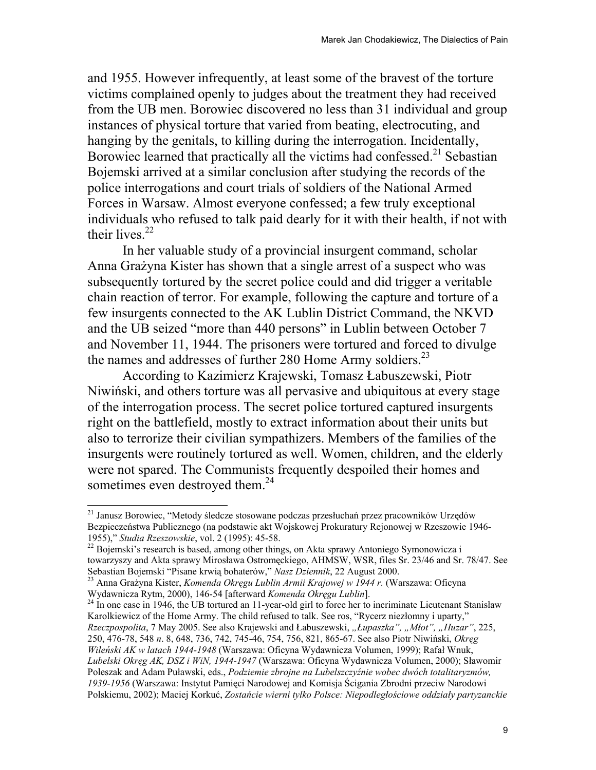and 1955. However infrequently, at least some of the bravest of the torture victims complained openly to judges about the treatment they had received from the UB men. Borowiec discovered no less than 31 individual and group instances of physical torture that varied from beating, electrocuting, and hanging by the genitals, to killing during the interrogation. Incidentally, Borowiec learned that practically all the victims had confessed.<sup>21</sup> Sebastian Bojemski arrived at a similar conclusion after studying the records of the police interrogations and court trials of soldiers of the National Armed Forces in Warsaw. Almost everyone confessed; a few truly exceptional individuals who refused to talk paid dearly for it with their health, if not with their lives. $22$ 

In her valuable study of a provincial insurgent command, scholar Anna Grażyna Kister has shown that a single arrest of a suspect who was subsequently tortured by the secret police could and did trigger a veritable chain reaction of terror. For example, following the capture and torture of a few insurgents connected to the AK Lublin District Command, the NKVD and the UB seized "more than 440 persons" in Lublin between October 7 and November 11, 1944. The prisoners were tortured and forced to divulge the names and addresses of further 280 Home Army soldiers.<sup>23</sup>

According to Kazimierz Krajewski, Tomasz Łabuszewski, Piotr Niwiński, and others torture was all pervasive and ubiquitous at every stage of the interrogation process. The secret police tortured captured insurgents right on the battlefield, mostly to extract information about their units but also to terrorize their civilian sympathizers. Members of the families of the insurgents were routinely tortured as well. Women, children, and the elderly were not spared. The Communists frequently despoiled their homes and sometimes even destroyed them.<sup>24</sup>

<sup>&</sup>lt;sup>21</sup> Janusz Borowiec, "Metody śledcze stosowane podczas przesłuchań przez pracowników Urzedów Bezpieczeństwa Publicznego (na podstawie akt Wojskowej Prokuratury Rejonowej w Rzeszowie 1946-1955)," Studia Rzeszowskie, vol. 2 (1995): 45-58.

<sup>&</sup>lt;sup>22</sup> Bojemski's research is based, among other things, on Akta sprawy Antoniego Symonowicza i towarzyszy and Akta sprawy Mirosława Ostromęckiego, AHMSW, WSR, files Sr. 23/46 and Sr. 78/47. See<br>Sebastian Bojemski "Pisane krwią bohaterów," Nasz Dziennik, 22 August 2000.

<sup>&</sup>lt;sup>23</sup> Anna Grażyna Kister, *Komenda Okręgu Lublin Armii Krajowej w 1944 r.* (Warszawa: Oficyna Wydawnicza Rytm, 2000), 146-54 [afterward *Komenda Okręgu Lublin*].

<sup>&</sup>lt;sup>24</sup> In one case in 1946, the UB tortured an 11-year-old girl to force her to incriminate Lieutenant Stanisław Karolkiewicz of the Home Army. The child refused to talk. See ros, "Rycerz niezłomny i uparty," *Rzeczpospolita*, 7 May 2005. See also Krajewski and Łabuszewski, *"Łupaszka", "Młot", "Huzar"*, 225, 250, 476-78, 548 *n*. 8, 648, 736, 742, 745-46, 754, 756, 821, 865-67. See also Piotr Niwiński, *Okręg Wileński AK w latach 1944-1948* (Warszawa: Oficyna Wydawnicza Volumen, 1999); Rafał Wnuk, *Lubelski Okręg AK, DSZ i WiN, 1944-1947* (Warszawa: Oficyna Wydawnicza Volumen, 2000); Sławomir Poleszak and Adam Puławski, eds., *Podziemie zbrojne na Lubelszczyźnie wobec dwóch totalitaryzmów, 1939-1956* (Warszawa: Instytut Pamięci Narodowej and Komisja Ścigania Zbrodni przeciw Narodowi Polskiemu, 2002); Maciej Korkuć, *Zostańcie wierni tylko Polsce: Niepodległościowe oddziały partyzanckie*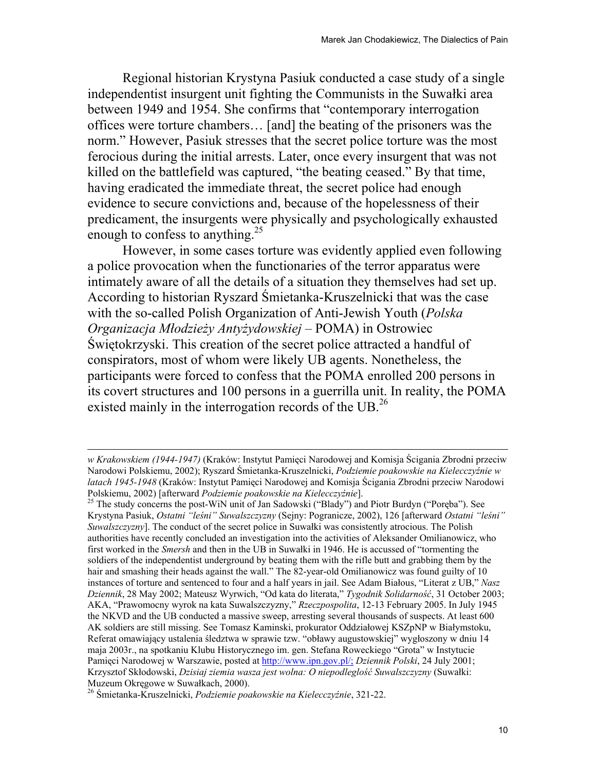Regional historian Krystyna Pasiuk conducted a case study of a single independentist insurgent unit fighting the Communists in the Suwałki area between 1949 and 1954. She confirms that "contemporary interrogation offices were torture chambers… [and] the beating of the prisoners was the norm." However, Pasiuk stresses that the secret police torture was the most ferocious during the initial arrests. Later, once every insurgent that was not killed on the battlefield was captured, "the beating ceased." By that time, having eradicated the immediate threat, the secret police had enough evidence to secure convictions and, because of the hopelessness of their predicament, the insurgents were physically and psychologically exhausted enough to confess to anything.<sup>25</sup>

However, in some cases torture was evidently applied even following a police provocation when the functionaries of the terror apparatus were intimately aware of all the details of a situation they themselves had set up. According to historian Ryszard Śmietanka-Kruszelnicki that was the case with the so-called Polish Organization of Anti-Jewish Youth (*Polska Organizacja Młodzieży Antyżydowskiej* – POMA) in Ostrowiec Świętokrzyski. This creation of the secret police attracted a handful of conspirators, most of whom were likely UB agents. Nonetheless, the participants were forced to confess that the POMA enrolled 200 persons in its covert structures and 100 persons in a guerrilla unit. In reality, the POMA existed mainly in the interrogation records of the UB.<sup>26</sup>

*w Krakowskiem (1944-1947)* (Kraków: Instytut Pamięci Narodowej and Komisja Ścigania Zbrodni przeciw Narodowi Polskiemu, 2002); Ryszard Śmietanka-Kruszelnicki, *Podziemie poakowskie na Kielecczyźnie w latach 1945-1948* (Kraków: Instytut Pamięci Narodowej and Komisja Ścigania Zbrodni przeciw Narodowi Polskiemu, 2002) [afterward *Podziemie poakowskie na Kielecczyźnie*]. 25 The study concerns the post-WiN unit of Jan Sadowski ("Blady") and Piotr Burdyn ("Poręba"). See

Krystyna Pasiuk, *Ostatni "leśni" Suwalszczyzny* (Sejny: Pogranicze, 2002), 126 [afterward *Ostatni "leśni" Suwalszczyzny*]. The conduct of the secret police in Suwałki was consistently atrocious. The Polish authorities have recently concluded an investigation into the activities of Aleksander Omilianowicz, who first worked in the *Smersh* and then in the UB in Suwałki in 1946. He is accussed of "tormenting the soldiers of the independentist underground by beating them with the rifle butt and grabbing them by the hair and smashing their heads against the wall." The 82-year-old Omilianowicz was found guilty of 10 instances of torture and sentenced to four and a half years in jail. See Adam Białous, "Literat z UB," *Nasz Dziennik*, 28 May 2002; Mateusz Wyrwich, "Od kata do literata," *Tygodnik Solidarność*, 31 October 2003; AKA, "Prawomocny wyrok na kata Suwalszczyzny," *Rzeczpospolita*, 12-13 February 2005. In July 1945 the NKVD and the UB conducted a massive sweep, arresting several thousands of suspects. At least 600 AK soldiers are still missing. See Tomasz Kaminski, prokurator Oddziałowej KSZpNP w Białymstoku, Referat omawiający ustalenia śledztwa w sprawie tzw. "obławy augustowskiej" wygłoszony w dniu 14 maja 2003r., na spotkaniu Klubu Historycznego im. gen. Stefana Roweckiego "Grota" w Instytucie Pamięci Narodowej w Warszawie, posted at http://www.ipn.gov.pl/; *Dziennik Polski*, 24 July 2001; Krzysztof Skłodowski, *Dzisiaj ziemia wasza jest wolna: O niepodleglość Suwalszczyzny* (Suwałki: Muzeum Okręgowe w Suwałkach, 2000). 26 <sup>Ś</sup>mietanka-Kruszelnicki, *Podziemie poakowskie na Kielecczyźnie*, 321-22.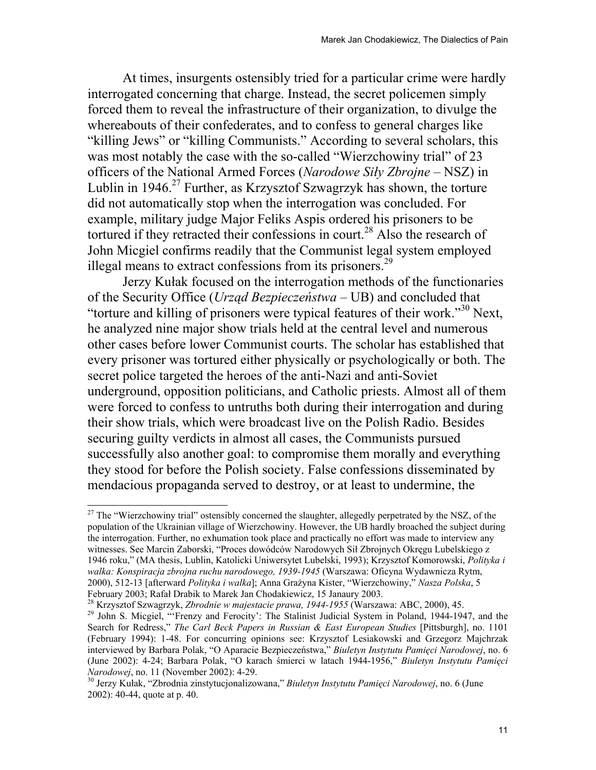At times, insurgents ostensibly tried for a particular crime were hardly interrogated concerning that charge. Instead, the secret policemen simply forced them to reveal the infrastructure of their organization, to divulge the whereabouts of their confederates, and to confess to general charges like "killing Jews" or "killing Communists." According to several scholars, this was most notably the case with the so-called "Wierzchowiny trial" of 23 officers of the National Armed Forces (*Narodowe Siły Zbrojne* – NSZ) in Lublin in  $1946<sup>27</sup>$  Further, as Krzysztof Szwagrzyk has shown, the torture did not automatically stop when the interrogation was concluded. For example, military judge Major Feliks Aspis ordered his prisoners to be tortured if they retracted their confessions in court.<sup>28</sup> Also the research of John Micgiel confirms readily that the Communist legal system employed illegal means to extract confessions from its prisoners.<sup>29</sup>

Jerzy Kułak focused on the interrogation methods of the functionaries of the Security Office (*Urząd Bezpieczeństwa* – UB) and concluded that "torture and killing of prisoners were typical features of their work."30 Next, he analyzed nine major show trials held at the central level and numerous other cases before lower Communist courts. The scholar has established that every prisoner was tortured either physically or psychologically or both. The secret police targeted the heroes of the anti-Nazi and anti-Soviet underground, opposition politicians, and Catholic priests. Almost all of them were forced to confess to untruths both during their interrogation and during their show trials, which were broadcast live on the Polish Radio. Besides securing guilty verdicts in almost all cases, the Communists pursued successfully also another goal: to compromise them morally and everything they stood for before the Polish society. False confessions disseminated by mendacious propaganda served to destroy, or at least to undermine, the

February 2003; Rafał Drabik to Marek Jan Chodakiewicz, 15 Janaury 2003.<br><sup>28</sup> Krzysztof Szwagrzyk, *Zbrodnie w majestacie prawa, 1944-1955* (Warszawa: ABC, 2000), 45.<br><sup>29</sup> John S. Micgiel, "Frenzy and Ferocity': The Stalini

<sup>&</sup>lt;sup>27</sup> The "Wierzchowiny trial" ostensibly concerned the slaughter, allegedly perpetrated by the NSZ, of the population of the Ukrainian village of Wierzchowiny. However, the UB hardly broached the subject during the interrogation. Further, no exhumation took place and practically no effort was made to interview any witnesses. See Marcin Zaborski, "Proces dowódców Narodowych Sił Zbrojnych Okręgu Lubelskiego z 1946 roku," (MA thesis, Lublin, Katolicki Uniwersytet Lubelski, 1993); Krzysztof Komorowski, *Polityka i walka: Konspiracja zbrojna ruchu narodowego, 1939-1945* (Warszawa: Oficyna Wydawnicza Rytm, 2000), 512-13 [afterward *Polityka i walka*]; Anna Grażyna Kister, "Wierzchowiny," *Nasza Polska*, 5

Search for Redress," *The Carl Beck Papers in Russian & East European Studies* [Pittsburgh], no. 1101 (February 1994): 1-48. For concurring opinions see: Krzysztof Lesiakowski and Grzegorz Majchrzak interviewed by Barbara Polak, "O Aparacie Bezpieczeństwa," *Biuletyn Instytutu Pamięci Narodowej*, no. 6 (June 2002): 4-24; Barbara Polak, "O karach śmierci w latach 1944-1956," *Biuletyn Instytutu Pamięci* 

<sup>&</sup>lt;sup>30</sup> Jerzy Kułak, "Zbrodnia zinstytucjonalizowana," *Biuletyn Instytutu Pamięci Narodowej*, no. 6 (June 2002): 40-44, quote at p. 40.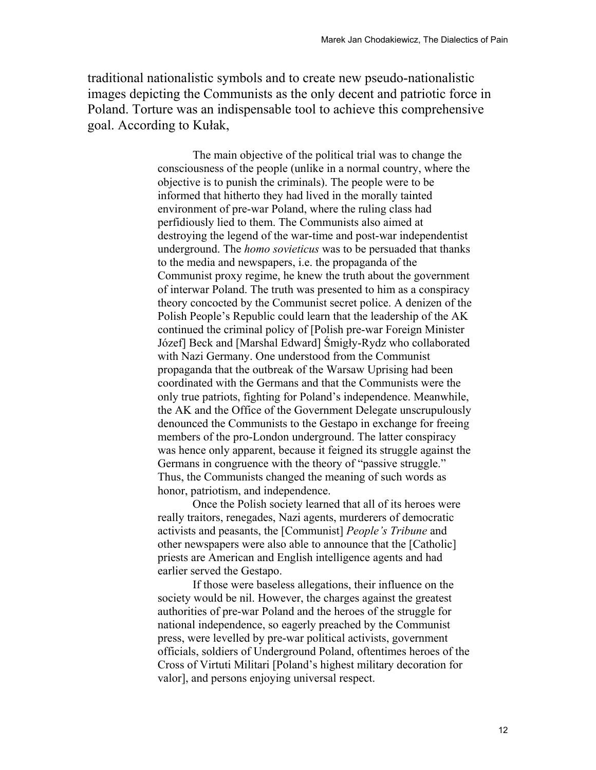traditional nationalistic symbols and to create new pseudo-nationalistic images depicting the Communists as the only decent and patriotic force in Poland. Torture was an indispensable tool to achieve this comprehensive goal. According to Kułak,

> The main objective of the political trial was to change the consciousness of the people (unlike in a normal country, where the objective is to punish the criminals). The people were to be informed that hitherto they had lived in the morally tainted environment of pre-war Poland, where the ruling class had perfidiously lied to them. The Communists also aimed at destroying the legend of the war-time and post-war independentist underground. The *homo sovieticus* was to be persuaded that thanks to the media and newspapers, i.e. the propaganda of the Communist proxy regime, he knew the truth about the government of interwar Poland. The truth was presented to him as a conspiracy theory concocted by the Communist secret police. A denizen of the Polish People's Republic could learn that the leadership of the AK continued the criminal policy of [Polish pre-war Foreign Minister Józef] Beck and [Marshal Edward] Śmigły-Rydz who collaborated with Nazi Germany. One understood from the Communist propaganda that the outbreak of the Warsaw Uprising had been coordinated with the Germans and that the Communists were the only true patriots, fighting for Poland's independence. Meanwhile, the AK and the Office of the Government Delegate unscrupulously denounced the Communists to the Gestapo in exchange for freeing members of the pro-London underground. The latter conspiracy was hence only apparent, because it feigned its struggle against the Germans in congruence with the theory of "passive struggle." Thus, the Communists changed the meaning of such words as honor, patriotism, and independence.

Once the Polish society learned that all of its heroes were really traitors, renegades, Nazi agents, murderers of democratic activists and peasants, the [Communist] *People's Tribune* and other newspapers were also able to announce that the [Catholic] priests are American and English intelligence agents and had earlier served the Gestapo.

If those were baseless allegations, their influence on the society would be nil. However, the charges against the greatest authorities of pre-war Poland and the heroes of the struggle for national independence, so eagerly preached by the Communist press, were levelled by pre-war political activists, government officials, soldiers of Underground Poland, oftentimes heroes of the Cross of Virtuti Militari [Poland's highest military decoration for valor], and persons enjoying universal respect.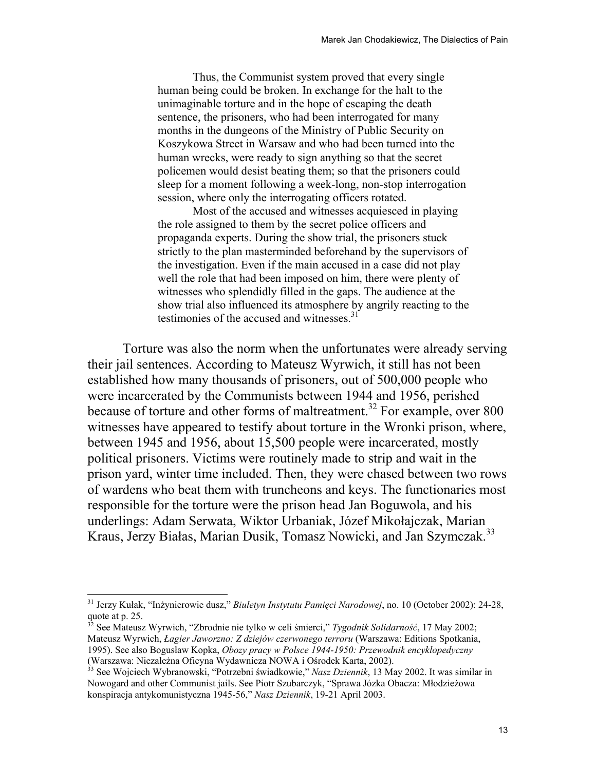Thus, the Communist system proved that every single human being could be broken. In exchange for the halt to the unimaginable torture and in the hope of escaping the death sentence, the prisoners, who had been interrogated for many months in the dungeons of the Ministry of Public Security on Koszykowa Street in Warsaw and who had been turned into the human wrecks, were ready to sign anything so that the secret policemen would desist beating them; so that the prisoners could sleep for a moment following a week-long, non-stop interrogation session, where only the interrogating officers rotated.

Most of the accused and witnesses acquiesced in playing the role assigned to them by the secret police officers and propaganda experts. During the show trial, the prisoners stuck strictly to the plan masterminded beforehand by the supervisors of the investigation. Even if the main accused in a case did not play well the role that had been imposed on him, there were plenty of witnesses who splendidly filled in the gaps. The audience at the show trial also influenced its atmosphere by angrily reacting to the testimonies of the accused and witnesses.<sup>31</sup>

Torture was also the norm when the unfortunates were already serving their jail sentences. According to Mateusz Wyrwich, it still has not been established how many thousands of prisoners, out of 500,000 people who were incarcerated by the Communists between 1944 and 1956, perished because of torture and other forms of maltreatment.<sup>32</sup> For example, over 800 witnesses have appeared to testify about torture in the Wronki prison, where, between 1945 and 1956, about 15,500 people were incarcerated, mostly political prisoners. Victims were routinely made to strip and wait in the prison yard, winter time included. Then, they were chased between two rows of wardens who beat them with truncheons and keys. The functionaries most responsible for the torture were the prison head Jan Boguwola, and his underlings: Adam Serwata, Wiktor Urbaniak, Józef Mikołajczak, Marian Kraus, Jerzy Białas, Marian Dusik, Tomasz Nowicki, and Jan Szymczak.<sup>33</sup>

l

<sup>31</sup> Jerzy Kułak, "Inżynierowie dusz," *Biuletyn Instytutu Pamięci Narodowej*, no. 10 (October 2002): 24-28, quote at p. 25.

<sup>32</sup> See Mateusz Wyrwich, "Zbrodnie nie tylko w celi śmierci," *Tygodnik Solidarność*, 17 May 2002; Mateusz Wyrwich, *Łagier Jaworzno: Z dziejów czerwonego terroru* (Warszawa: Editions Spotkania, 1995). See also Bogusław Kopka, *Obozy pracy w Polsce 1944-1950: Przewodnik encyklopedyczny* (Warszawa: Niezależna Oficyna Wydawnicza NOWA i Ośrodek Karta, 2002). 33 See Wojciech Wybranowski, "Potrzebni świadkowie," *Nasz Dziennik*, 13 May 2002. It was similar in

Nowogard and other Communist jails. See Piotr Szubarczyk, "Sprawa Józka Obacza: Młodzieżowa konspiracja antykomunistyczna 1945-56," *Nasz Dziennik*, 19-21 April 2003.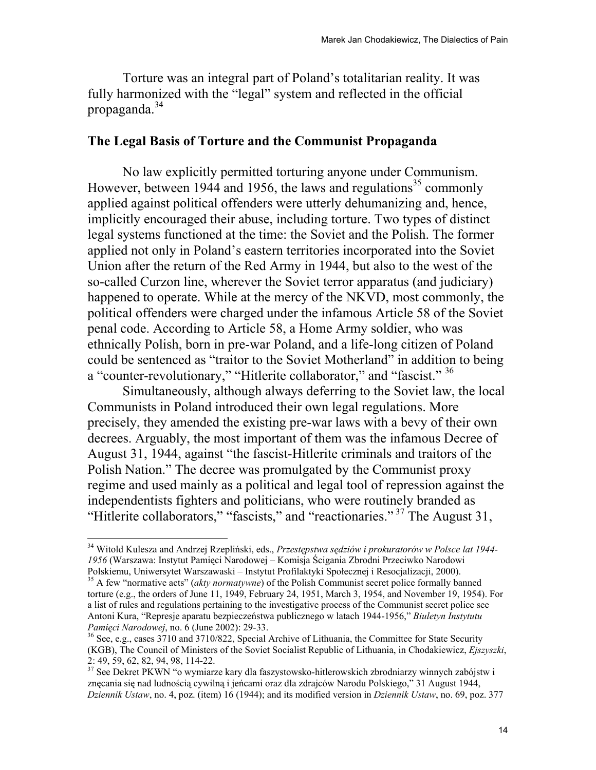Torture was an integral part of Poland's totalitarian reality. It was fully harmonized with the "legal" system and reflected in the official propaganda. $34$ 

# **The Legal Basis of Torture and the Communist Propaganda**

 No law explicitly permitted torturing anyone under Communism. However, between 1944 and 1956, the laws and regulations<sup>35</sup> commonly applied against political offenders were utterly dehumanizing and, hence, implicitly encouraged their abuse, including torture. Two types of distinct legal systems functioned at the time: the Soviet and the Polish. The former applied not only in Poland's eastern territories incorporated into the Soviet Union after the return of the Red Army in 1944, but also to the west of the so-called Curzon line, wherever the Soviet terror apparatus (and judiciary) happened to operate. While at the mercy of the NKVD, most commonly, the political offenders were charged under the infamous Article 58 of the Soviet penal code. According to Article 58, a Home Army soldier, who was ethnically Polish, born in pre-war Poland, and a life-long citizen of Poland could be sentenced as "traitor to the Soviet Motherland" in addition to being a "counter-revolutionary," "Hitlerite collaborator," and "fascist." <sup>36</sup>

 Simultaneously, although always deferring to the Soviet law, the local Communists in Poland introduced their own legal regulations. More precisely, they amended the existing pre-war laws with a bevy of their own decrees. Arguably, the most important of them was the infamous Decree of August 31, 1944, against "the fascist-Hitlerite criminals and traitors of the Polish Nation." The decree was promulgated by the Communist proxy regime and used mainly as a political and legal tool of repression against the independentists fighters and politicians, who were routinely branded as "Hitlerite collaborators," "fascists," and "reactionaries." 37 The August 31,

<sup>34</sup> Witold Kulesza and Andrzej Rzepliński, eds., *Przestępstwa sędziów i prokuratorów w Polsce lat 1944- 1956* (Warszawa: Instytut Pamięci Narodowej – Komisja Ścigania Zbrodni Przeciwko Narodowi Polskiemu, Uniwersytet Warszawaski – Instytut Profilaktyki Społecznej i Resocjalizacji, 2000). 35 A few "normative acts" (*akty normatywne*) of the Polish Communist secret police formally banned

torture (e.g., the orders of June 11, 1949, February 24, 1951, March 3, 1954, and November 19, 1954). For a list of rules and regulations pertaining to the investigative process of the Communist secret police see Antoni Kura, "Represje aparatu bezpieczeństwa publicznego w latach 1944-1956," *Biuletyn Instytutu* 

<sup>&</sup>lt;sup>36</sup> See, e.g., cases 3710 and 3710/822, Special Archive of Lithuania, the Committee for State Security (KGB), The Council of Ministers of the Soviet Socialist Republic of Lithuania, in Chodakiewicz, *Ejszyszki*, 2: 49, 59, 62, 82, 94, 98, 114-22.

<sup>&</sup>lt;sup>37</sup> See Dekret PKWN "o wymiarze kary dla faszystowsko-hitlerowskich zbrodniarzy winnych zabójstw i znęcania się nad ludnością cywilną i jeńcami oraz dla zdrajców Narodu Polskiego," 31 August 1944, *Dziennik Ustaw*, no. 4, poz. (item) 16 (1944); and its modified version in *Dziennik Ustaw*, no. 69, poz. 377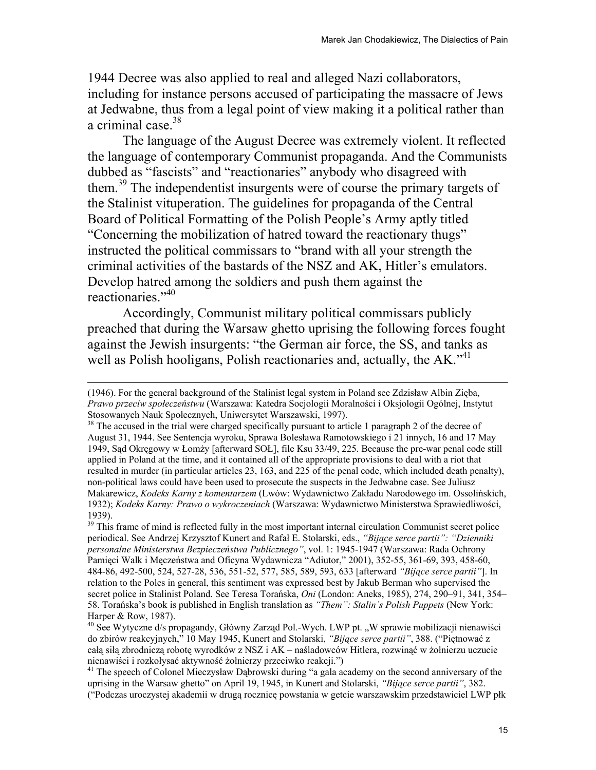1944 Decree was also applied to real and alleged Nazi collaborators, including for instance persons accused of participating the massacre of Jews at Jedwabne, thus from a legal point of view making it a political rather than a criminal case.<sup>38</sup>

The language of the August Decree was extremely violent. It reflected the language of contemporary Communist propaganda. And the Communists dubbed as "fascists" and "reactionaries" anybody who disagreed with them.<sup>39</sup> The independentist insurgents were of course the primary targets of the Stalinist vituperation. The guidelines for propaganda of the Central Board of Political Formatting of the Polish People's Army aptly titled "Concerning the mobilization of hatred toward the reactionary thugs" instructed the political commissars to "brand with all your strength the criminal activities of the bastards of the NSZ and AK, Hitler's emulators. Develop hatred among the soldiers and push them against the reactionaries."<sup>40</sup>

Accordingly, Communist military political commissars publicly preached that during the Warsaw ghetto uprising the following forces fought against the Jewish insurgents: "the German air force, the SS, and tanks as well as Polish hooligans, Polish reactionaries and, actually, the  $AK$ .<sup> $341$ </sup>

<sup>(1946).</sup> For the general background of the Stalinist legal system in Poland see Zdzisław Albin Zięba, *Prawo przeciw społeczeństwu* (Warszawa: Katedra Socjologii Moralności i Oksjologii Ogólnej, Instytut Stosowanych Nauk Społecznych, Uniwersytet Warszawski, 1997).<br><sup>38</sup> The accused in the trial were charged specifically pursuant to article 1 paragraph 2 of the decree of

August 31, 1944. See Sentencja wyroku, Sprawa Bolesława Ramotowskiego i 21 innych, 16 and 17 May 1949, Sąd Okręgowy w Łomży [afterward SOŁ], file Ksu 33/49, 225. Because the pre-war penal code still applied in Poland at the time, and it contained all of the appropriate provisions to deal with a riot that resulted in murder (in particular articles 23, 163, and 225 of the penal code, which included death penalty), non-political laws could have been used to prosecute the suspects in the Jedwabne case. See Juliusz Makarewicz, *Kodeks Karny z komentarzem* (Lwów: Wydawnictwo Zakładu Narodowego im. Ossolińskich, 1932); *Kodeks Karny: Prawo o wykroczeniach* (Warszawa: Wydawnictwo Ministerstwa Sprawiedliwości, 1939).

<sup>&</sup>lt;sup>39</sup> This frame of mind is reflected fully in the most important internal circulation Communist secret police periodical. See Andrzej Krzysztof Kunert and Rafał E. Stolarski, eds., *"Bijące serce partii": "Dzienniki personalne Ministerstwa Bezpieczeństwa Publicznego"*, vol. 1: 1945-1947 (Warszawa: Rada Ochrony Pamięci Walk i Męczeństwa and Oficyna Wydawnicza "Adiutor," 2001), 352-55, 361-69, 393, 458-60, 484-86, 492-500, 524, 527-28, 536, 551-52, 577, 585, 589, 593, 633 [afterward *"Bijące serce partii"*]. In relation to the Poles in general, this sentiment was expressed best by Jakub Berman who supervised the secret police in Stalinist Poland. See Teresa Torańska, *Oni* (London: Aneks, 1985), 274, 290–91, 341, 354– 58. Torańska's book is published in English translation as *"Them": Stalin's Polish Puppets* (New York: Harper & Row, 1987).

<sup>&</sup>lt;sup>40</sup> See Wytyczne d/s propagandy, Główny Zarząd Pol.-Wych. LWP pt. "W sprawie mobilizacji nienawiści do zbirów reakcyjnych," 10 May 1945, Kunert and Stolarski, *"Bijące serce partii"*, 388. ("Piętnować z całą siłą zbrodniczą robotę wyrodków z NSZ i AK – naśladowców Hitlera, rozwinąć w żołnierzu uczucie nienawiści i rozkołysać aktywność <sup>ż</sup>ołnierzy przeciwko reakcji.") 41 The speech of Colonel Mieczysław Dąbrowski during "a gala academy on the second anniversary of the

uprising in the Warsaw ghetto" on April 19, 1945, in Kunert and Stolarski, *"Bijące serce partii"*, 382. ("Podczas uroczystej akademii w drugą rocznicę powstania w getcie warszawskim przedstawiciel LWP płk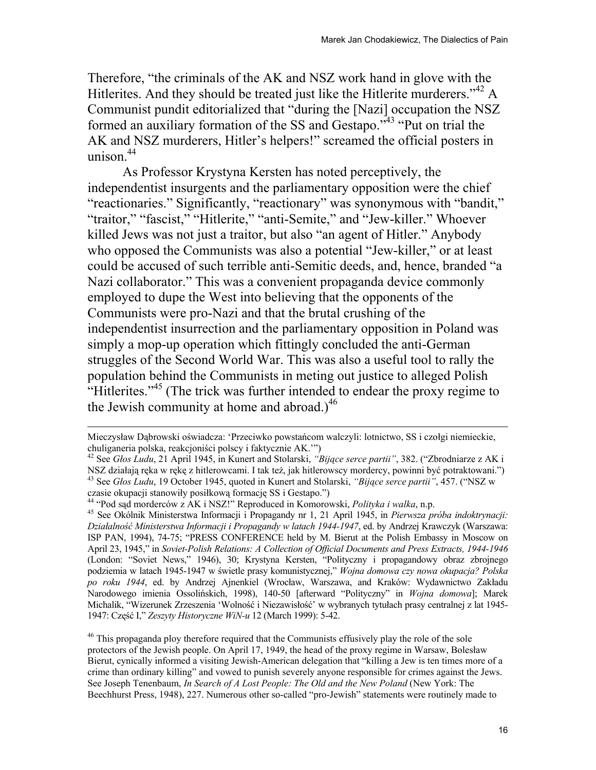Therefore, "the criminals of the AK and NSZ work hand in glove with the Hitlerites. And they should be treated just like the Hitlerite murderers."<sup>42</sup> A Communist pundit editorialized that "during the [Nazi] occupation the NSZ formed an auxiliary formation of the SS and Gestapo."43 "Put on trial the AK and NSZ murderers, Hitler's helpers!" screamed the official posters in unison. $44$ 

As Professor Krystyna Kersten has noted perceptively, the independentist insurgents and the parliamentary opposition were the chief "reactionaries." Significantly, "reactionary" was synonymous with "bandit," "traitor," "fascist," "Hitlerite," "anti-Semite," and "Jew-killer." Whoever killed Jews was not just a traitor, but also "an agent of Hitler." Anybody who opposed the Communists was also a potential "Jew-killer," or at least could be accused of such terrible anti-Semitic deeds, and, hence, branded "a Nazi collaborator." This was a convenient propaganda device commonly employed to dupe the West into believing that the opponents of the Communists were pro-Nazi and that the brutal crushing of the independentist insurrection and the parliamentary opposition in Poland was simply a mop-up operation which fittingly concluded the anti-German struggles of the Second World War. This was also a useful tool to rally the population behind the Communists in meting out justice to alleged Polish "Hitlerites."<sup>45</sup> (The trick was further intended to endear the proxy regime to the Jewish community at home and abroad.) $^{46}$ 

Mieczysław Dąbrowski oświadcza: 'Przeciwko powstańcom walczyli: lotnictwo, SS i czołgi niemieckie,

<sup>&</sup>lt;sup>42</sup> See *Głos Ludu*, 21 April 1945, in Kunert and Stolarski, *"Bijące serce partii"*, 382. ("Zbrodniarze z AK i NSZ działają ręka w rękę z hitlerowcami. I tak też, jak hitlerowscy mordercy, powinni być potraktowani.")<br><sup>43</sup> See *Głos Ludu*, 19 October 1945, quoted in Kunert and Stolarski, "*Bijące serce partii"*, 457. ("NSZ w czasie

<sup>&</sup>lt;sup>44</sup> "Pod sąd morderców z AK i NSZ!" Reproduced in Komorowski, *Polityka i walka*, n.p.<br><sup>45</sup> See Okólnik Ministerstwa Informacji i Propagandy nr 1, 21 April 1945, in *Pierwsza próba indoktrynacji: Działalność Ministerstwa Informacji i Propagandy w latach 1944-1947*, ed. by Andrzej Krawczyk (Warszawa: ISP PAN, 1994), 74-75; "PRESS CONFERENCE held by M. Bierut at the Polish Embassy in Moscow on April 23, 1945," in *Soviet-Polish Relations: A Collection of Official Documents and Press Extracts, 1944-1946* (London: "Soviet News," 1946), 30; Krystyna Kersten, "Polityczny i propagandowy obraz zbrojnego podziemia w latach 1945-1947 w świetle prasy komunistycznej," *Wojna domowa czy nowa okupacja? Polska po roku 1944*, ed. by Andrzej Ajnenkiel (Wrocław, Warszawa, and Kraków: Wydawnictwo Zakładu Narodowego imienia Ossolińskich, 1998), 140-50 [afterward "Polityczny" in *Wojna domowa*]; Marek Michalik, "Wizerunek Zrzeszenia 'Wolność i Niezawisłość' w wybranych tytułach prasy centralnej z lat 1945- 1947: Część I," *Zeszyty Historyczne WiN-u* 12 (March 1999): 5-42.

<sup>&</sup>lt;sup>46</sup> This propaganda ploy therefore required that the Communists effusively play the role of the sole protectors of the Jewish people. On April 17, 1949, the head of the proxy regime in Warsaw, Bolesław Bierut, cynically informed a visiting Jewish-American delegation that "killing a Jew is ten times more of a crime than ordinary killing" and vowed to punish severely anyone responsible for crimes against the Jews. See Joseph Tenenbaum, *In Search of A Lost People: The Old and the New Poland* (New York: The Beechhurst Press, 1948), 227. Numerous other so-called "pro-Jewish" statements were routinely made to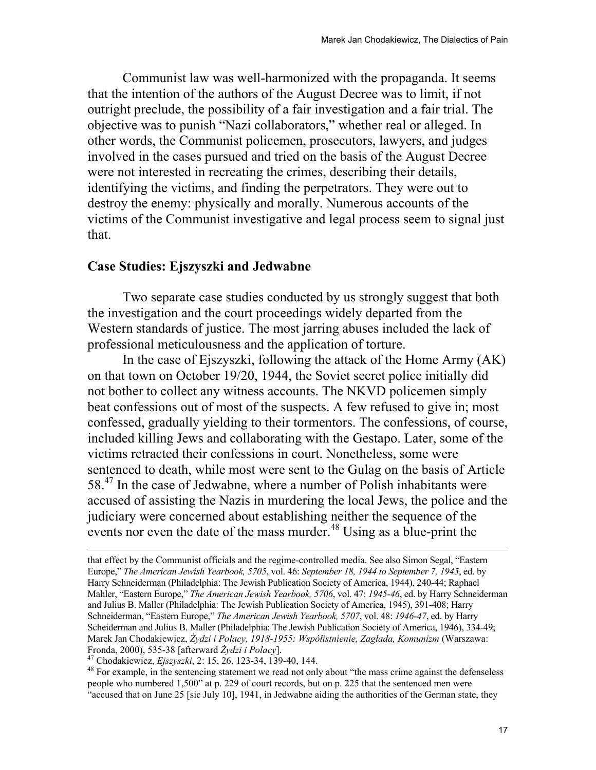Communist law was well-harmonized with the propaganda. It seems that the intention of the authors of the August Decree was to limit, if not outright preclude, the possibility of a fair investigation and a fair trial. The objective was to punish "Nazi collaborators," whether real or alleged. In other words, the Communist policemen, prosecutors, lawyers, and judges involved in the cases pursued and tried on the basis of the August Decree were not interested in recreating the crimes, describing their details, identifying the victims, and finding the perpetrators. They were out to destroy the enemy: physically and morally. Numerous accounts of the victims of the Communist investigative and legal process seem to signal just that.

### **Case Studies: Ejszyszki and Jedwabne**

Two separate case studies conducted by us strongly suggest that both the investigation and the court proceedings widely departed from the Western standards of justice. The most jarring abuses included the lack of professional meticulousness and the application of torture.

 In the case of Ejszyszki, following the attack of the Home Army (AK) on that town on October 19/20, 1944, the Soviet secret police initially did not bother to collect any witness accounts. The NKVD policemen simply beat confessions out of most of the suspects. A few refused to give in; most confessed, gradually yielding to their tormentors. The confessions, of course, included killing Jews and collaborating with the Gestapo. Later, some of the victims retracted their confessions in court. Nonetheless, some were sentenced to death, while most were sent to the Gulag on the basis of Article 58<sup>.47</sup> In the case of Jedwabne, where a number of Polish inhabitants were accused of assisting the Nazis in murdering the local Jews, the police and the judiciary were concerned about establishing neither the sequence of the events nor even the date of the mass murder. $48$  Using as a blue-print the

 $\overline{\phantom{a}}$ 

people who numbered 1,500" at p. 229 of court records, but on p. 225 that the sentenced men were "accused that on June 25 [sic July 10], 1941, in Jedwabne aiding the authorities of the German state, they

that effect by the Communist officials and the regime-controlled media. See also Simon Segal, "Eastern Europe," *The American Jewish Yearbook, 5705*, vol. 46: *September 18, 1944 to September 7, 1945*, ed. by Harry Schneiderman (Philadelphia: The Jewish Publication Society of America, 1944), 240-44; Raphael Mahler, "Eastern Europe," *The American Jewish Yearbook, 5706*, vol. 47: *1945-46*, ed. by Harry Schneiderman and Julius B. Maller (Philadelphia: The Jewish Publication Society of America, 1945), 391-408; Harry Schneiderman, "Eastern Europe," *The American Jewish Yearbook, 5707*, vol. 48: *1946-47*, ed. by Harry Scheiderman and Julius B. Maller (Philadelphia: The Jewish Publication Society of America, 1946), 334-49; Marek Jan Chodakiewicz, *Żydzi i Polacy, 1918-1955: Współistnienie, Zagłada, Komunizm* (Warszawa: Fronda, 2000), 535-38 [afterward  $\bar{Z}ydzi$  *i Polacy*].<br><sup>47</sup> Chodakiewicz, *Ejszyszki*, 2: 15, 26, 123-34, 139-40, 144.<br><sup>48</sup> For example, in the sentencing statement we read not only about "the mass crime against the def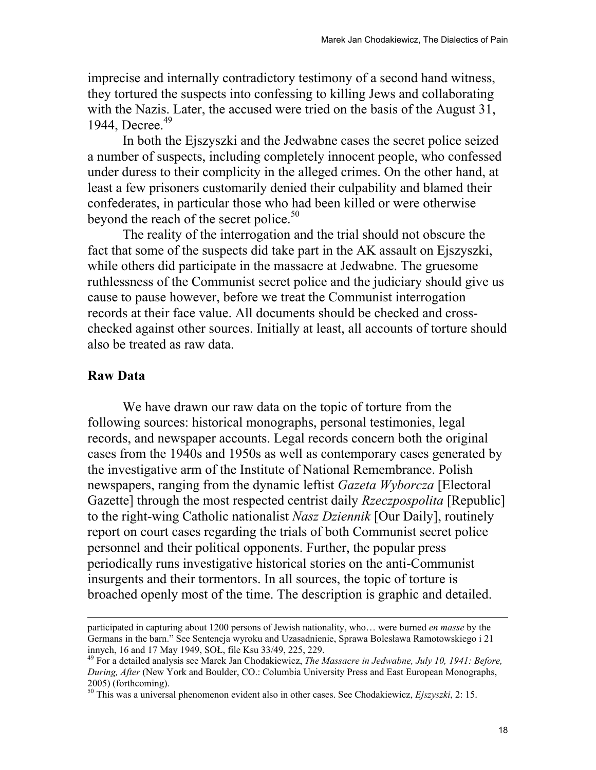imprecise and internally contradictory testimony of a second hand witness, they tortured the suspects into confessing to killing Jews and collaborating with the Nazis. Later, the accused were tried on the basis of the August 31, 1944, Decree.<sup>49</sup>

In both the Ejszyszki and the Jedwabne cases the secret police seized a number of suspects, including completely innocent people, who confessed under duress to their complicity in the alleged crimes. On the other hand, at least a few prisoners customarily denied their culpability and blamed their confederates, in particular those who had been killed or were otherwise beyond the reach of the secret police. $50$ 

 The reality of the interrogation and the trial should not obscure the fact that some of the suspects did take part in the AK assault on Ejszyszki, while others did participate in the massacre at Jedwabne. The gruesome ruthlessness of the Communist secret police and the judiciary should give us cause to pause however, before we treat the Communist interrogation records at their face value. All documents should be checked and crosschecked against other sources. Initially at least, all accounts of torture should also be treated as raw data.

### **Raw Data**

 $\overline{\phantom{a}}$ 

We have drawn our raw data on the topic of torture from the following sources: historical monographs, personal testimonies, legal records, and newspaper accounts. Legal records concern both the original cases from the 1940s and 1950s as well as contemporary cases generated by the investigative arm of the Institute of National Remembrance. Polish newspapers, ranging from the dynamic leftist *Gazeta Wyborcza* [Electoral Gazette] through the most respected centrist daily *Rzeczpospolita* [Republic] to the right-wing Catholic nationalist *Nasz Dziennik* [Our Daily], routinely report on court cases regarding the trials of both Communist secret police personnel and their political opponents. Further, the popular press periodically runs investigative historical stories on the anti-Communist insurgents and their tormentors. In all sources, the topic of torture is broached openly most of the time. The description is graphic and detailed.

participated in capturing about 1200 persons of Jewish nationality, who… were burned *en masse* by the Germans in the barn." See Sentencja wyroku and Uzasadnienie, Sprawa Bolesława Ramotowskiego i 21 innych, 16 and 17 May 1949, SOŁ, file Ksu 33/49, 225, 229.<br><sup>49</sup> For a detailed analysis see Marek Jan Chodakiewicz, *The Massacre in Jedwabne, July 10, 1941: Before,* 

*During, After* (New York and Boulder, CO.: Columbia University Press and East European Monographs, 2005) (forthcoming).

<sup>50</sup> This was a universal phenomenon evident also in other cases. See Chodakiewicz, *Ejszyszki*, 2: 15.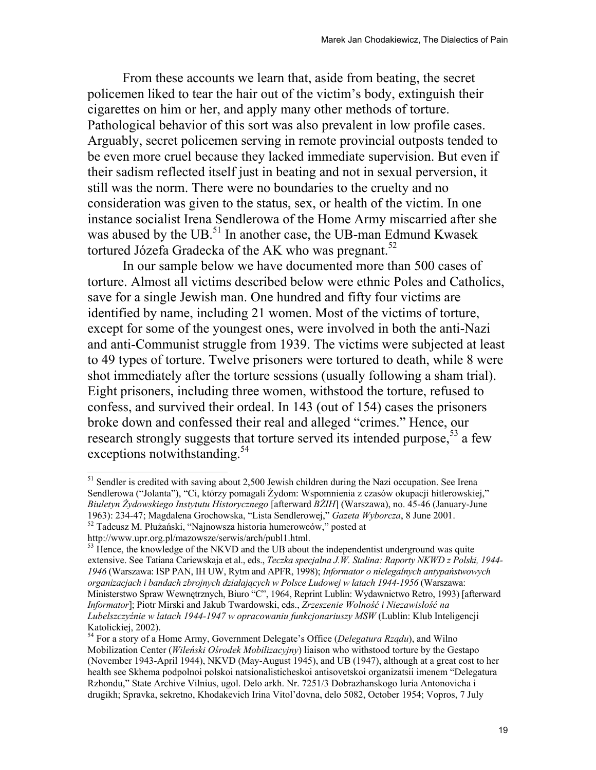From these accounts we learn that, aside from beating, the secret policemen liked to tear the hair out of the victim's body, extinguish their cigarettes on him or her, and apply many other methods of torture. Pathological behavior of this sort was also prevalent in low profile cases. Arguably, secret policemen serving in remote provincial outposts tended to be even more cruel because they lacked immediate supervision. But even if their sadism reflected itself just in beating and not in sexual perversion, it still was the norm. There were no boundaries to the cruelty and no consideration was given to the status, sex, or health of the victim. In one instance socialist Irena Sendlerowa of the Home Army miscarried after she was abused by the UB.<sup>51</sup> In another case, the UB-man Edmund Kwasek tortured Józefa Gradecka of the AK who was pregnant.<sup>52</sup>

In our sample below we have documented more than 500 cases of torture. Almost all victims described below were ethnic Poles and Catholics, save for a single Jewish man. One hundred and fifty four victims are identified by name, including 21 women. Most of the victims of torture, except for some of the youngest ones, were involved in both the anti-Nazi and anti-Communist struggle from 1939. The victims were subjected at least to 49 types of torture. Twelve prisoners were tortured to death, while 8 were shot immediately after the torture sessions (usually following a sham trial). Eight prisoners, including three women, withstood the torture, refused to confess, and survived their ordeal. In 143 (out of 154) cases the prisoners broke down and confessed their real and alleged "crimes." Hence, our research strongly suggests that torture served its intended purpose,  $53$  a few exceptions notwithstanding.<sup>54</sup>

 $51$  Sendler is credited with saving about 2,500 Jewish children during the Nazi occupation. See Irena Sendlerowa ("Jolanta"), "Ci, którzy pomagali Żydom: Wspomnienia z czasów okupacji hitlerowskiej," *Biuletyn Żydowskiego Instytutu Historycznego* [afterward *BŻIH*] (Warszawa), no. 45-46 (January-June 1963): 234-47; Magdalena Grochowska, "Lista Sendlerowej," *Gazeta Wyborcza*, 8 June 2001. 52 Tadeusz M. Płużański, "Najnowsza historia humerowców," posted at

http://www.upr.org.pl/mazowsze/serwis/arch/publ1.html.

<sup>&</sup>lt;sup>53</sup> Hence, the knowledge of the NKVD and the UB about the independentist underground was quite extensive. See Tatiana Cariewskaja et al., eds., *Teczka specjalna J.W. Stalina: Raporty NKWD z Polski, 1944- 1946* (Warszawa: ISP PAN, IH UW, Rytm and APFR, 1998); *Informator o nielegalnych antypaństwowych organizacjach i bandach zbrojnych działających w Polsce Ludowej w latach 1944-1956* (Warszawa: Ministerstwo Spraw Wewnętrznych, Biuro "C", 1964, Reprint Lublin: Wydawnictwo Retro, 1993) [afterward *Informator*]; Piotr Mirski and Jakub Twardowski, eds., *Zrzeszenie Wolność i Niezawisłość na Lubelszczyźnie w latach 1944-1947 w opracowaniu funkcjonariuszy MSW* (Lublin: Klub Inteligencji Katolickiej, 2002).

<sup>54</sup> For a story of a Home Army, Government Delegate's Office (*Delegatura Rządu*), and Wilno Mobilization Center (*Wileński Ośrodek Mobilizacyjny*) liaison who withstood torture by the Gestapo (November 1943-April 1944), NKVD (May-August 1945), and UB (1947), although at a great cost to her health see Skhema podpolnoi polskoi natsionalisticheskoi antisovetskoi organizatsii imenem "Delegatura Rzhondu," State Archive Vilnius, ugol. Delo arkh. Nr. 7251/3 Dobrazhanskogo Iuria Antonovicha i drugikh; Spravka, sekretno, Khodakevich Irina Vitol'dovna, delo 5082, October 1954; Vopros, 7 July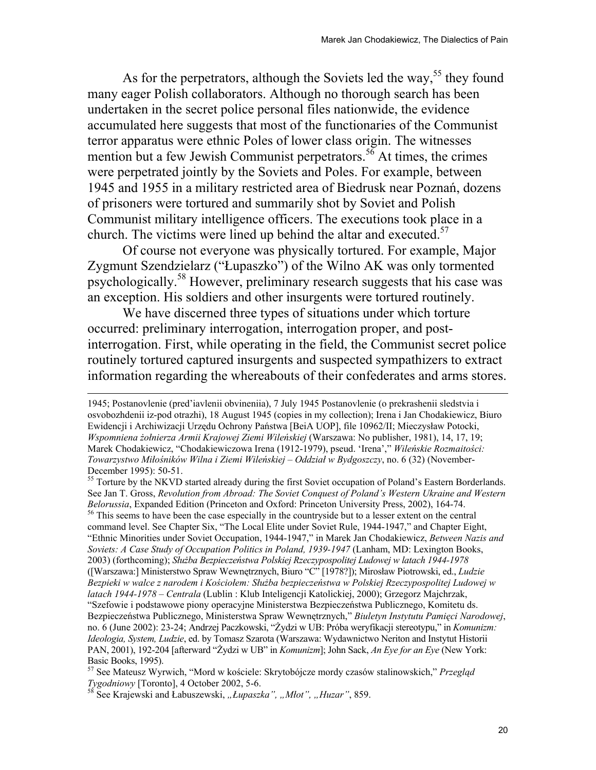As for the perpetrators, although the Soviets led the way,  $55$  they found many eager Polish collaborators. Although no thorough search has been undertaken in the secret police personal files nationwide, the evidence accumulated here suggests that most of the functionaries of the Communist terror apparatus were ethnic Poles of lower class origin. The witnesses mention but a few Jewish Communist perpetrators.<sup>56</sup> At times, the crimes were perpetrated jointly by the Soviets and Poles. For example, between 1945 and 1955 in a military restricted area of Biedrusk near Poznań, dozens of prisoners were tortured and summarily shot by Soviet and Polish Communist military intelligence officers. The executions took place in a church. The victims were lined up behind the altar and executed.<sup>57</sup>

Of course not everyone was physically tortured. For example, Major Zygmunt Szendzielarz ("Łupaszko") of the Wilno AK was only tormented psychologically.58 However, preliminary research suggests that his case was an exception. His soldiers and other insurgents were tortured routinely.

We have discerned three types of situations under which torture occurred: preliminary interrogation, interrogation proper, and postinterrogation. First, while operating in the field, the Communist secret police routinely tortured captured insurgents and suspected sympathizers to extract information regarding the whereabouts of their confederates and arms stores.

<sup>1945;</sup> Postanovlenie (pred'iavlenii obvineniia), 7 July 1945 Postanovlenie (o prekrashenii sledstvia i osvobozhdenii iz-pod otrazhi), 18 August 1945 (copies in my collection); Irena i Jan Chodakiewicz, Biuro Ewidencji i Archiwizacji Urzędu Ochrony Państwa [BeiA UOP], file 10962/II; Mieczysław Potocki, *Wspomniena żołnierza Armii Krajowej Ziemi Wileńskiej* (Warszawa: No publisher, 1981), 14, 17, 19; Marek Chodakiewicz, "Chodakiewiczowa Irena (1912-1979), pseud. 'Irena'," *Wileńskie Rozmaitości: Towarzystwo Miłośników Wilna i Ziemi Wileńskiej – Oddział w Bydgoszczy*, no. 6 (32) (November-December 1995): 50-51.

<sup>&</sup>lt;sup>55</sup> Torture by the NKVD started already during the first Soviet occupation of Poland's Eastern Borderlands. See Jan T. Gross, *Revolution from Abroad: The Soviet Conquest of Poland's Western Ukraine and Western Belorussia*, Expanded Edition (Princeton and Oxford: Princeton University Press, 2002), 164-74.<br><sup>56</sup> This seems to have been the case especially in the countryside but to a lesser extent on the central

command level. See Chapter Six, "The Local Elite under Soviet Rule, 1944-1947," and Chapter Eight, "Ethnic Minorities under Soviet Occupation, 1944-1947," in Marek Jan Chodakiewicz, *Between Nazis and Soviets: A Case Study of Occupation Politics in Poland, 1939-1947* (Lanham, MD: Lexington Books, 2003) (forthcoming); *Służba Bezpieczeństwa Polskiej Rzeczypospolitej Ludowej w latach 1944-1978* ([Warszawa:] Ministerstwo Spraw Wewnętrznych, Biuro "C" [1978?]); Mirosław Piotrowski, ed., *Ludzie Bezpieki w walce z narodem i Kościołem: Służba bezpieczeństwa w Polskiej Rzeczypospolitej Ludowej w latach 1944-1978 – Centrala* (Lublin : Klub Inteligencji Katolickiej, 2000); Grzegorz Majchrzak, "Szefowie i podstawowe piony operacyjne Ministerstwa Bezpieczeństwa Publicznego, Komitetu ds. Bezpieczeństwa Publicznego, Ministerstwa Spraw Wewnętrznych," *Biuletyn Instytutu Pamięci Narodowej*, no. 6 (June 2002): 23-24; Andrzej Paczkowski, "Żydzi w UB: Próba weryfikacji stereotypu," in *Komunizm: Ideologia, System, Ludzie*, ed. by Tomasz Szarota (Warszawa: Wydawnictwo Neriton and Instytut Historii PAN, 2001), 192-204 [afterward "Żydzi w UB" in *Komunizm*]; John Sack, *An Eye for an Eye* (New York: Basic Books, 1995).

<sup>57</sup> See Mateusz Wyrwich, "Mord w kościele: Skrytobójcze mordy czasów stalinowskich," *Przegląd Tygodniowy* [Toronto], 4 October 2002, 5-6.<br><sup>58</sup> See Krajewski and Łabuszewski, *"Łupaszka", "Młot", "Huzar"*, 859.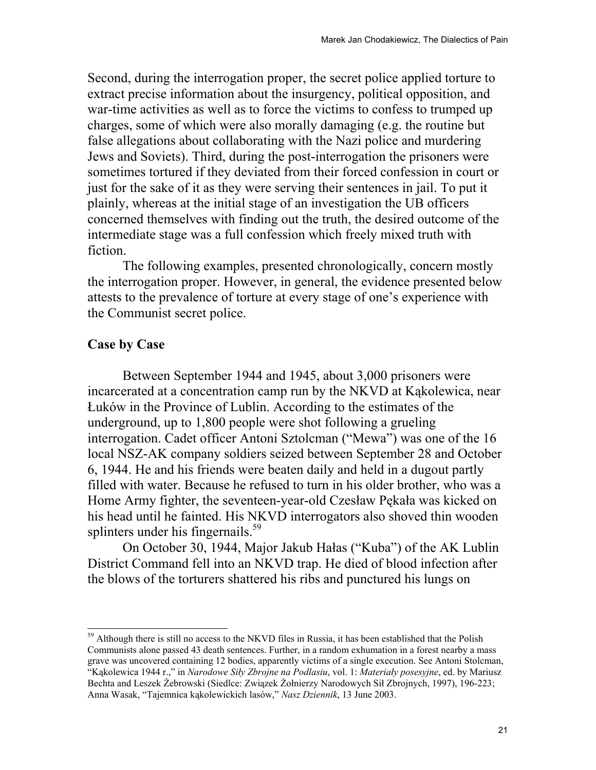Second, during the interrogation proper, the secret police applied torture to extract precise information about the insurgency, political opposition, and war-time activities as well as to force the victims to confess to trumped up charges, some of which were also morally damaging (e.g. the routine but false allegations about collaborating with the Nazi police and murdering Jews and Soviets). Third, during the post-interrogation the prisoners were sometimes tortured if they deviated from their forced confession in court or just for the sake of it as they were serving their sentences in jail. To put it plainly, whereas at the initial stage of an investigation the UB officers concerned themselves with finding out the truth, the desired outcome of the intermediate stage was a full confession which freely mixed truth with fiction.

The following examples, presented chronologically, concern mostly the interrogation proper. However, in general, the evidence presented below attests to the prevalence of torture at every stage of one's experience with the Communist secret police.

# **Case by Case**

l

 Between September 1944 and 1945, about 3,000 prisoners were incarcerated at a concentration camp run by the NKVD at Kąkolewica, near Łuków in the Province of Lublin. According to the estimates of the underground, up to 1,800 people were shot following a grueling interrogation. Cadet officer Antoni Sztolcman ("Mewa") was one of the 16 local NSZ-AK company soldiers seized between September 28 and October 6, 1944. He and his friends were beaten daily and held in a dugout partly filled with water. Because he refused to turn in his older brother, who was a Home Army fighter, the seventeen-year-old Czesław Pękała was kicked on his head until he fainted. His NKVD interrogators also shoved thin wooden splinters under his fingernails.<sup>59</sup>

On October 30, 1944, Major Jakub Hałas ("Kuba") of the AK Lublin District Command fell into an NKVD trap. He died of blood infection after the blows of the torturers shattered his ribs and punctured his lungs on

 $59$  Although there is still no access to the NKVD files in Russia, it has been established that the Polish Communists alone passed 43 death sentences. Further, in a random exhumation in a forest nearby a mass grave was uncovered containing 12 bodies, apparently victims of a single execution. See Antoni Stolcman, "Kąkolewica 1944 r.," in *Narodowe Siły Zbrojne na Podlasiu*, vol. 1: *Materiały posesyjne*, ed. by Mariusz Bechta and Leszek Żebrowski (Siedlce: Związek Żołnierzy Narodowych Sił Zbrojnych, 1997), 196-223; Anna Wasak, "Tajemnica kąkolewickich lasów," *Nasz Dziennik*, 13 June 2003.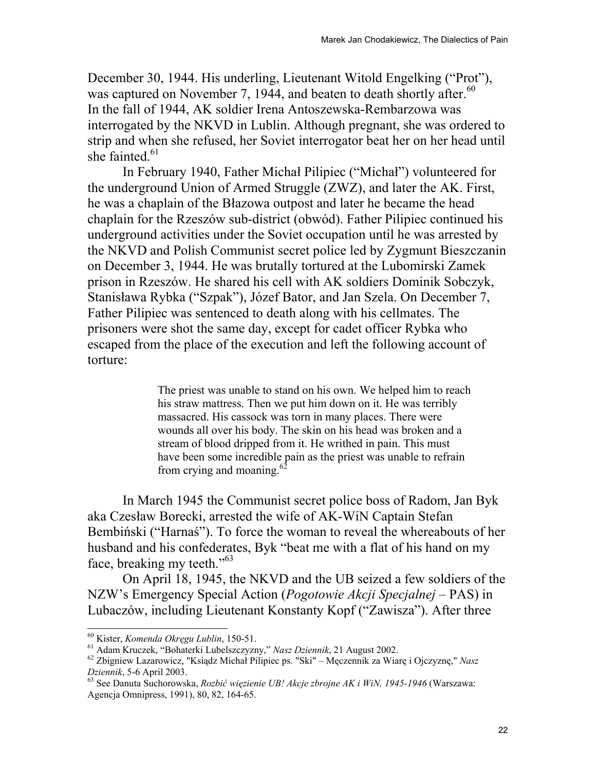December 30, 1944. His underling, Lieutenant Witold Engelking ("Prot"), was captured on November 7, 1944, and beaten to death shortly after. $60$ In the fall of 1944, AK soldier Irena Antoszewska-Rembarzowa was interrogated by the NKVD in Lublin. Although pregnant, she was ordered to strip and when she refused, her Soviet interrogator beat her on her head until she fainted. $61$ 

In February 1940, Father Michał Pilipiec ("Michał") volunteered for the underground Union of Armed Struggle (ZWZ), and later the AK. First, he was a chaplain of the Błazowa outpost and later he became the head chaplain for the Rzeszów sub-district (obwód). Father Pilipiec continued his underground activities under the Soviet occupation until he was arrested by the NKVD and Polish Communist secret police led by Zygmunt Bieszczanin on December 3, 1944. He was brutally tortured at the Lubomirski Zamek prison in Rzeszów. He shared his cell with AK soldiers Dominik Sobczyk, Stanisława Rybka ("Szpak"), Józef Bator, and Jan Szela. On December 7, Father Pilipiec was sentenced to death along with his cellmates. The prisoners were shot the same day, except for cadet officer Rybka who escaped from the place of the execution and left the following account of torture:

> The priest was unable to stand on his own. We helped him to reach his straw mattress. Then we put him down on it. He was terribly massacred. His cassock was torn in many places. There were wounds all over his body. The skin on his head was broken and a stream of blood dripped from it. He writhed in pain. This must have been some incredible pain as the priest was unable to refrain from crying and moaning. $62$

In March 1945 the Communist secret police boss of Radom, Jan Byk aka Czesław Borecki, arrested the wife of AK-WiN Captain Stefan Bembiński ("Harnaś"). To force the woman to reveal the whereabouts of her husband and his confederates, Byk "beat me with a flat of his hand on my face, breaking my teeth."<sup>63</sup>

On April 18, 1945, the NKVD and the UB seized a few soldiers of the NZW's Emergency Special Action (*Pogotowie Akcji Specjalnej* – PAS) in Lubaczów, including Lieutenant Konstanty Kopf ("Zawisza"). After three

<sup>&</sup>lt;sup>60</sup> Kister, Komenda Okręgu Lublin, 150-51.

<sup>&</sup>lt;sup>61</sup> Adam Kruczek, "Bohaterki Lubelszczyzny," Nasz Dziennik, 21 August 2002.<br><sup>62</sup> Zbigniew Lazarowicz, "Ksiądz Michał Pilipiec ps. "Ski" – Męczennik za Wiarę i Ojczyznę," Nasz<br>Dziennik, 5-6 April 2003.

*Dziennik*, 5-6 April 2003. 63 See Danuta Suchorowska, *Rozbić więzienie UB! Akcje zbrojne AK i WiN, 1945-1946* (Warszawa: Agencja Omnipress, 1991), 80, 82, 164-65.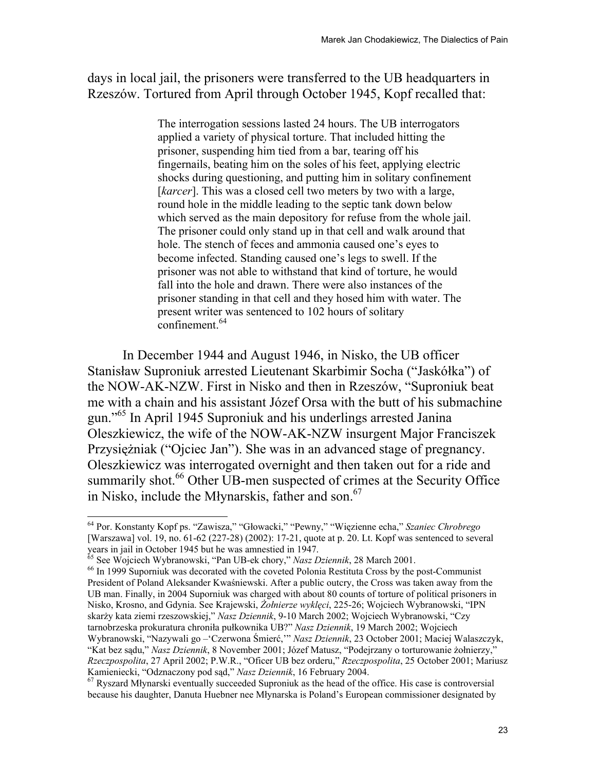days in local jail, the prisoners were transferred to the UB headquarters in Rzeszów. Tortured from April through October 1945, Kopf recalled that:

> The interrogation sessions lasted 24 hours. The UB interrogators applied a variety of physical torture. That included hitting the prisoner, suspending him tied from a bar, tearing off his fingernails, beating him on the soles of his feet, applying electric shocks during questioning, and putting him in solitary confinement [*karcer*]. This was a closed cell two meters by two with a large, round hole in the middle leading to the septic tank down below which served as the main depository for refuse from the whole jail. The prisoner could only stand up in that cell and walk around that hole. The stench of feces and ammonia caused one's eyes to become infected. Standing caused one's legs to swell. If the prisoner was not able to withstand that kind of torture, he would fall into the hole and drawn. There were also instances of the prisoner standing in that cell and they hosed him with water. The present writer was sentenced to 102 hours of solitary confinement.<sup>64</sup>

In December 1944 and August 1946, in Nisko, the UB officer Stanisław Suproniuk arrested Lieutenant Skarbimir Socha ("Jaskółka") of the NOW-AK-NZW. First in Nisko and then in Rzeszów, "Suproniuk beat me with a chain and his assistant Józef Orsa with the butt of his submachine gun."65 In April 1945 Suproniuk and his underlings arrested Janina Oleszkiewicz, the wife of the NOW-AK-NZW insurgent Major Franciszek Przysiężniak ("Ojciec Jan"). She was in an advanced stage of pregnancy. Oleszkiewicz was interrogated overnight and then taken out for a ride and summarily shot.<sup>66</sup> Other UB-men suspected of crimes at the Security Office in Nisko, include the Młynarskis, father and son.<sup>67</sup>

 $\overline{\phantom{a}}$ 

<sup>65</sup> See Wojciech Wybranowski, "Pan UB-ek chory," *Nasz Dziennik*, 28 March 2001.<br><sup>66</sup> In 1999 Suporniuk was decorated with the coveted Polonia Restituta Cross by the post-Communist President of Poland Aleksander Kwaśniewski. After a public outcry, the Cross was taken away from the UB man. Finally, in 2004 Suporniuk was charged with about 80 counts of torture of political prisoners in Nisko, Krosno, and Gdynia. See Krajewski, *Żołnierze wyklęci*, 225-26; Wojciech Wybranowski, "IPN skarży kata ziemi rzeszowskiej," *Nasz Dziennik*, 9-10 March 2002; Wojciech Wybranowski, "Czy tarnobrzeska prokuratura chroniła pułkownika UB?" *Nasz Dziennik*, 19 March 2002; Wojciech Wybranowski, "Nazywali go –'Czerwona Śmierć,'" *Nasz Dziennik*, 23 October 2001; Maciej Walaszczyk, "Kat bez sądu," *Nasz Dziennik*, 8 November 2001; Józef Matusz, "Podejrzany o torturowanie żołnierzy," *Rzeczpospolita*, 27 April 2002; P.W.R., "Oficer UB bez orderu," *Rzeczpospolita*, 25 October 2001; Mariusz

<sup>64</sup> Por. Konstanty Kopf ps. "Zawisza," "Głowacki," "Pewny," "Więzienne echa," *Szaniec Chrobrego* [Warszawa] vol. 19, no. 61-62 (227-28) (2002): 17-21, quote at p. 20. Lt. Kopf was sentenced to several years in jail in October 1945 but he was amnestied in 1947.

<sup>&</sup>lt;sup>67</sup> Ryszard Młynarski eventually succeeded Suproniuk as the head of the office. His case is controversial because his daughter, Danuta Huebner nee Młynarska is Poland's European commissioner designated by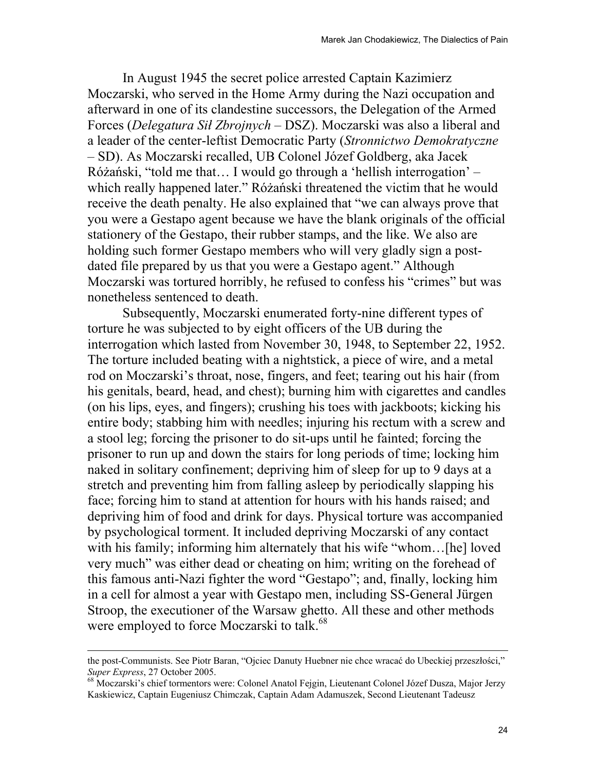In August 1945 the secret police arrested Captain Kazimierz Moczarski, who served in the Home Army during the Nazi occupation and afterward in one of its clandestine successors, the Delegation of the Armed Forces (*Delegatura Sił Zbrojnych* – DSZ). Moczarski was also a liberal and a leader of the center-leftist Democratic Party (*Stronnictwo Demokratyczne* – SD). As Moczarski recalled, UB Colonel Józef Goldberg, aka Jacek Różański, "told me that… I would go through a 'hellish interrogation' – which really happened later." Różański threatened the victim that he would receive the death penalty. He also explained that "we can always prove that you were a Gestapo agent because we have the blank originals of the official stationery of the Gestapo, their rubber stamps, and the like. We also are holding such former Gestapo members who will very gladly sign a postdated file prepared by us that you were a Gestapo agent." Although Moczarski was tortured horribly, he refused to confess his "crimes" but was nonetheless sentenced to death.

Subsequently, Moczarski enumerated forty-nine different types of torture he was subjected to by eight officers of the UB during the interrogation which lasted from November 30, 1948, to September 22, 1952. The torture included beating with a nightstick, a piece of wire, and a metal rod on Moczarski's throat, nose, fingers, and feet; tearing out his hair (from his genitals, beard, head, and chest); burning him with cigarettes and candles (on his lips, eyes, and fingers); crushing his toes with jackboots; kicking his entire body; stabbing him with needles; injuring his rectum with a screw and a stool leg; forcing the prisoner to do sit-ups until he fainted; forcing the prisoner to run up and down the stairs for long periods of time; locking him naked in solitary confinement; depriving him of sleep for up to 9 days at a stretch and preventing him from falling asleep by periodically slapping his face; forcing him to stand at attention for hours with his hands raised; and depriving him of food and drink for days. Physical torture was accompanied by psychological torment. It included depriving Moczarski of any contact with his family; informing him alternately that his wife "whom…[he] loved very much" was either dead or cheating on him; writing on the forehead of this famous anti-Nazi fighter the word "Gestapo"; and, finally, locking him in a cell for almost a year with Gestapo men, including SS-General Jürgen Stroop, the executioner of the Warsaw ghetto. All these and other methods were employed to force Moczarski to talk.<sup>68</sup>

the post-Communists. See Piotr Baran, "Ojciec Danuty Huebner nie chce wracać do Ubeckiej przeszłości," *Super Express*, 27 October 2005. 68 Moczarski's chief tormentors were: Colonel Anatol Fejgin, Lieutenant Colonel Józef Dusza, Major Jerzy

Kaskiewicz, Captain Eugeniusz Chimczak, Captain Adam Adamuszek, Second Lieutenant Tadeusz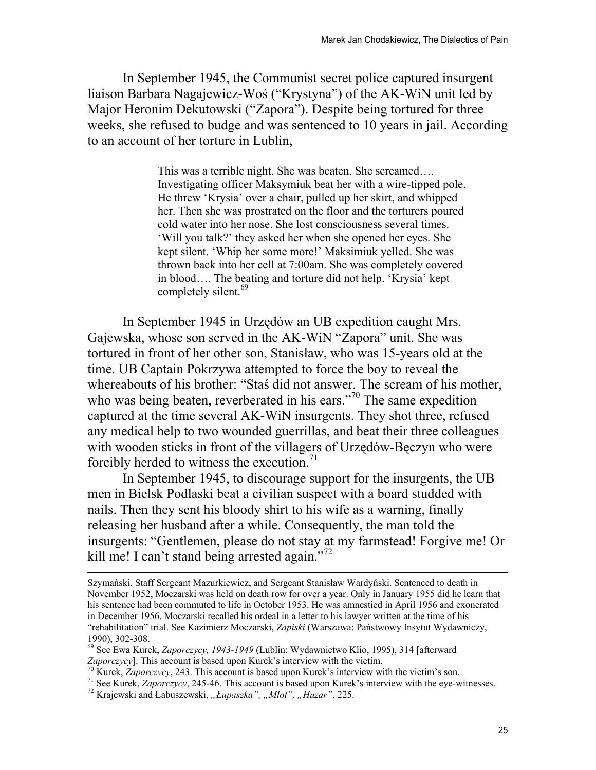In September 1945, the Communist secret police captured insurgent liaison Barbara Nagajewicz-Woś ("Krystyna") of the AK-WiN unit led by Major Heronim Dekutowski ("Zapora"). Despite being tortured for three weeks, she refused to budge and was sentenced to 10 years in jail. According to an account of her torture in Lublin,

> This was a terrible night. She was beaten. She screamed…. Investigating officer Maksymiuk beat her with a wire-tipped pole. He threw 'Krysia' over a chair, pulled up her skirt, and whipped her. Then she was prostrated on the floor and the torturers poured cold water into her nose. She lost consciousness several times. 'Will you talk?' they asked her when she opened her eyes. She kept silent. 'Whip her some more!' Maksimiuk yelled. She was thrown back into her cell at 7:00am. She was completely covered in blood…. The beating and torture did not help. 'Krysia' kept completely silent.<sup>69</sup>

In September 1945 in Urzędów an UB expedition caught Mrs. Gajewska, whose son served in the AK-WiN "Zapora" unit. She was tortured in front of her other son, Stanisław, who was 15-years old at the time. UB Captain Pokrzywa attempted to force the boy to reveal the whereabouts of his brother: "Staś did not answer. The scream of his mother, who was being beaten, reverberated in his ears."<sup>70</sup> The same expedition captured at the time several AK-WiN insurgents. They shot three, refused any medical help to two wounded guerrillas, and beat their three colleagues with wooden sticks in front of the villagers of Urzędów-Bęczyn who were forcibly herded to witness the execution.<sup>71</sup>

In September 1945, to discourage support for the insurgents, the UB men in Bielsk Podlaski beat a civilian suspect with a board studded with nails. Then they sent his bloody shirt to his wife as a warning, finally releasing her husband after a while. Consequently, the man told the insurgents: "Gentlemen, please do not stay at my farmstead! Forgive me! Or kill me! I can't stand being arrested again."<sup>72</sup>

Szymański, Staff Sergeant Mazurkiewicz, and Sergeant Stanisław Wardyński. Sentenced to death in November 1952, Moczarski was held on death row for over a year. Only in January 1955 did he learn that his sentence had been commuted to life in October 1953. He was amnestied in April 1956 and exonerated in December 1956. Moczarski recalled his ordeal in a letter to his lawyer written at the time of his "rehabilitation" trial. See Kazimierz Moczarski, *Zapiski* (Warszawa: Państwowy Insytut Wydawniczy, 1990), 302-308.

<sup>69</sup> See Ewa Kurek, *Zaporczycy, 1943-1949* (Lublin: Wydawnictwo Klio, 1995), 314 [afterward Zaporczycy]. This account is based upon Kurek's interview with the victim.<br><sup>70</sup> Kurek, Zaporczycy, 243. This account is based upon Kurek's interview with the victim's son.<br><sup>71</sup> See Kurek, Zaporczycy, 245-46. This account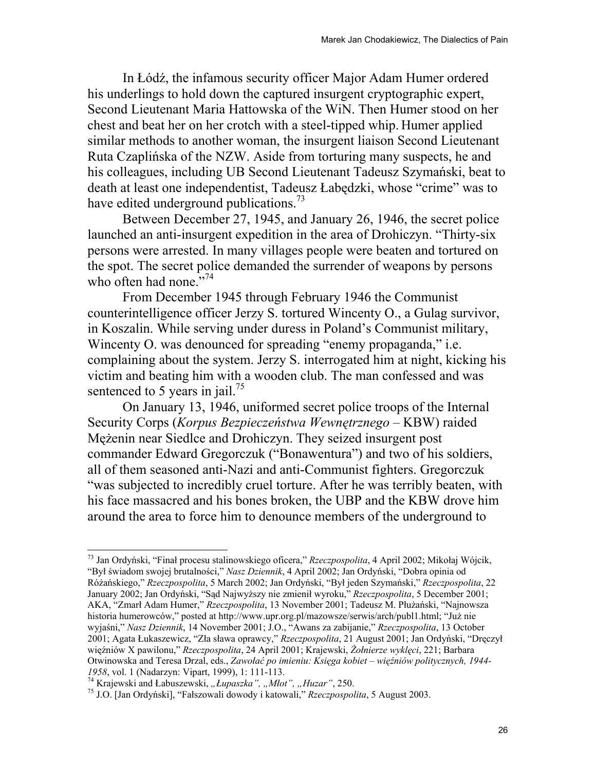In Łódź, the infamous security officer Major Adam Humer ordered his underlings to hold down the captured insurgent cryptographic expert, Second Lieutenant Maria Hattowska of the WiN. Then Humer stood on her chest and beat her on her crotch with a steel-tipped whip. Humer applied similar methods to another woman, the insurgent liaison Second Lieutenant Ruta Czaplińska of the NZW. Aside from torturing many suspects, he and his colleagues, including UB Second Lieutenant Tadeusz Szymański, beat to death at least one independentist, Tadeusz Łabędzki, whose "crime" was to have edited underground publications.<sup>73</sup>

Between December 27, 1945, and January 26, 1946, the secret police launched an anti-insurgent expedition in the area of Drohiczyn. "Thirty-six persons were arrested. In many villages people were beaten and tortured on the spot. The secret police demanded the surrender of weapons by persons who often had none."<sup>74</sup>

From December 1945 through February 1946 the Communist counterintelligence officer Jerzy S. tortured Wincenty O., a Gulag survivor, in Koszalin. While serving under duress in Poland's Communist military, Wincenty O. was denounced for spreading "enemy propaganda," i.e. complaining about the system. Jerzy S. interrogated him at night, kicking his victim and beating him with a wooden club. The man confessed and was sentenced to 5 years in jail.<sup>75</sup>

On January 13, 1946, uniformed secret police troops of the Internal Security Corps (*Korpus Bezpieczeństwa Wewnętrznego* – KBW) raided Mężenin near Siedlce and Drohiczyn. They seized insurgent post commander Edward Gregorczuk ("Bonawentura") and two of his soldiers, all of them seasoned anti-Nazi and anti-Communist fighters. Gregorczuk "was subjected to incredibly cruel torture. After he was terribly beaten, with his face massacred and his bones broken, the UBP and the KBW drove him around the area to force him to denounce members of the underground to

<sup>73</sup> Jan Ordyński, "Finał procesu stalinowskiego oficera," *Rzeczpospolita*, 4 April 2002; Mikołaj Wójcik, "Był świadom swojej brutalności," *Nasz Dziennik*, 4 April 2002; Jan Ordyński, "Dobra opinia od Różańskiego," *Rzeczpospolita*, 5 March 2002; Jan Ordyński, "Był jeden Szymański," *Rzeczpospolita*, 22 January 2002; Jan Ordyński, "Sąd Najwyższy nie zmienił wyroku," *Rzeczpospolita*, 5 December 2001; AKA, "Zmarł Adam Humer," *Rzeczpospolita*, 13 November 2001; Tadeusz M. Płużański, "Najnowsza historia humerowców," posted at http://www.upr.org.pl/mazowsze/serwis/arch/publ1.html; "Już nie wyjaśni," *Nasz Dziennik*, 14 November 2001; J.O., "Awans za zabijanie," *Rzeczpospolita*, 13 October 2001; Agata Łukaszewicz, "Zła sława oprawcy," *Rzeczpospolita*, 21 August 2001; Jan Ordyński, "Dręczył więźniów X pawilonu," *Rzeczpospolita*, 24 April 2001; Krajewski, *Żołnierze wyklęci*, 221; Barbara Otwinowska and Teresa Drzal, eds., *Zawołać po imieniu: Księga kobiet – więźniów politycznych, 1944-*

<sup>&</sup>lt;sup>74</sup> Krajewski and Łabuszewski, "*Łupaszka"*, "*Młot"*, "*Huzar"*, 250.<br><sup>75</sup> J.O. [Jan Ordyński], "Fałszowali dowody i katowali," *Rzeczpospolita*, 5 August 2003.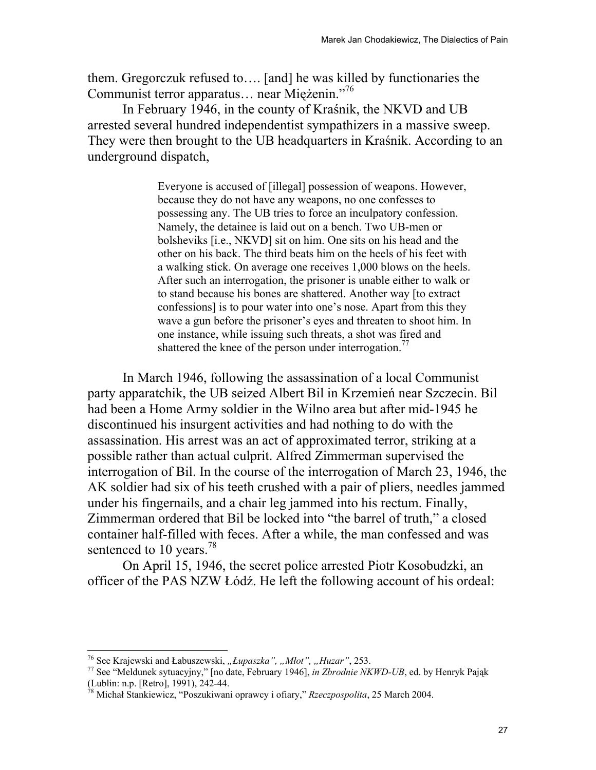them. Gregorczuk refused to…. [and] he was killed by functionaries the Communist terror apparatus… near Miężenin."76

In February 1946, in the county of Kraśnik, the NKVD and UB arrested several hundred independentist sympathizers in a massive sweep. They were then brought to the UB headquarters in Kraśnik. According to an underground dispatch,

> Everyone is accused of [illegal] possession of weapons. However, because they do not have any weapons, no one confesses to possessing any. The UB tries to force an inculpatory confession. Namely, the detainee is laid out on a bench. Two UB-men or bolsheviks [i.e., NKVD] sit on him. One sits on his head and the other on his back. The third beats him on the heels of his feet with a walking stick. On average one receives 1,000 blows on the heels. After such an interrogation, the prisoner is unable either to walk or to stand because his bones are shattered. Another way [to extract confessions] is to pour water into one's nose. Apart from this they wave a gun before the prisoner's eyes and threaten to shoot him. In one instance, while issuing such threats, a shot was fired and shattered the knee of the person under interrogation.<sup>77</sup>

 In March 1946, following the assassination of a local Communist party apparatchik, the UB seized Albert Bil in Krzemień near Szczecin. Bil had been a Home Army soldier in the Wilno area but after mid-1945 he discontinued his insurgent activities and had nothing to do with the assassination. His arrest was an act of approximated terror, striking at a possible rather than actual culprit. Alfred Zimmerman supervised the interrogation of Bil. In the course of the interrogation of March 23, 1946, the AK soldier had six of his teeth crushed with a pair of pliers, needles jammed under his fingernails, and a chair leg jammed into his rectum. Finally, Zimmerman ordered that Bil be locked into "the barrel of truth," a closed container half-filled with feces. After a while, the man confessed and was sentenced to 10 years.<sup>78</sup>

On April 15, 1946, the secret police arrested Piotr Kosobudzki, an officer of the PAS NZW Łódź. He left the following account of his ordeal:

<sup>&</sup>lt;sup>76</sup> See Krajewski and Łabuszewski, "Łupaszka", "Młot", "Huzar", 253.

<sup>&</sup>lt;sup>77</sup> See "Meldunek sytuacyjny," [no date, February 1946], *in Zbrodnie NKWD-UB*, ed. by Henryk Pająk (Lublin: n.p. [Retro], 1991), 242-44.

<sup>78</sup> Michał Stankiewicz, "Poszukiwani oprawcy i ofiary," *Rzeczpospolita*, 25 March 2004.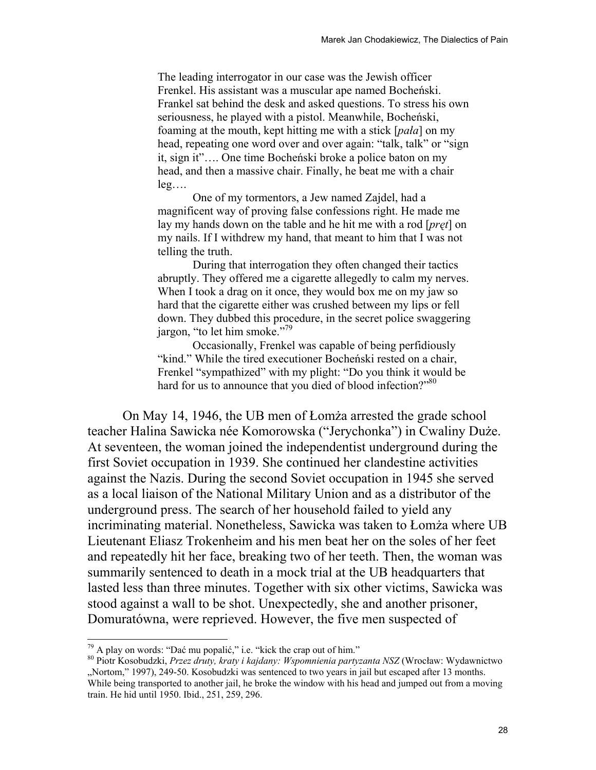The leading interrogator in our case was the Jewish officer Frenkel. His assistant was a muscular ape named Bocheński. Frankel sat behind the desk and asked questions. To stress his own seriousness, he played with a pistol. Meanwhile, Bocheński, foaming at the mouth, kept hitting me with a stick [*pała*] on my head, repeating one word over and over again: "talk, talk" or "sign it, sign it"…. One time Bocheński broke a police baton on my head, and then a massive chair. Finally, he beat me with a chair leg….

 One of my tormentors, a Jew named Zajdel, had a magnificent way of proving false confessions right. He made me lay my hands down on the table and he hit me with a rod [*pręt*] on my nails. If I withdrew my hand, that meant to him that I was not telling the truth.

 During that interrogation they often changed their tactics abruptly. They offered me a cigarette allegedly to calm my nerves. When I took a drag on it once, they would box me on my jaw so hard that the cigarette either was crushed between my lips or fell down. They dubbed this procedure, in the secret police swaggering jargon, "to let him smoke."<sup>79</sup>

 Occasionally, Frenkel was capable of being perfidiously "kind." While the tired executioner Bocheński rested on a chair, Frenkel "sympathized" with my plight: "Do you think it would be hard for us to announce that you died of blood infection?"<sup>80</sup>

On May 14, 1946, the UB men of Łomża arrested the grade school teacher Halina Sawicka née Komorowska ("Jerychonka") in Cwaliny Duże. At seventeen, the woman joined the independentist underground during the first Soviet occupation in 1939. She continued her clandestine activities against the Nazis. During the second Soviet occupation in 1945 she served as a local liaison of the National Military Union and as a distributor of the underground press. The search of her household failed to yield any incriminating material. Nonetheless, Sawicka was taken to Łomża where UB Lieutenant Eliasz Trokenheim and his men beat her on the soles of her feet and repeatedly hit her face, breaking two of her teeth. Then, the woman was summarily sentenced to death in a mock trial at the UB headquarters that lasted less than three minutes. Together with six other victims, Sawicka was stood against a wall to be shot. Unexpectedly, she and another prisoner, Domuratówna, were reprieved. However, the five men suspected of

<sup>&</sup>lt;sup>79</sup> A play on words: "Dać mu popalić," i.e. "kick the crap out of him."<br><sup>80</sup> Piotr Kosobudzki, *Przez druty, kraty i kajdany: Wspomnienia partyzanta NSZ* (Wrocław: Wydawnictwo "Nortom," 1997), 249-50. Kosobudzki was sentenced to two years in jail but escaped after 13 months. While being transported to another jail, he broke the window with his head and jumped out from a moving train. He hid until 1950. Ibid., 251, 259, 296.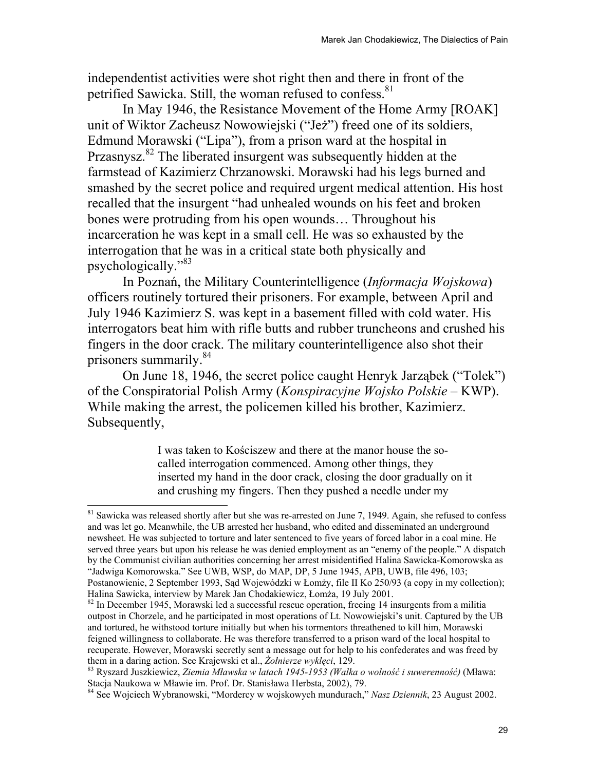independentist activities were shot right then and there in front of the petrified Sawicka. Still, the woman refused to confess.<sup>81</sup>

In May 1946, the Resistance Movement of the Home Army [ROAK] unit of Wiktor Zacheusz Nowowiejski ("Jeż") freed one of its soldiers, Edmund Morawski ("Lipa"), from a prison ward at the hospital in Przasnysz.<sup>82</sup> The liberated insurgent was subsequently hidden at the farmstead of Kazimierz Chrzanowski. Morawski had his legs burned and smashed by the secret police and required urgent medical attention. His host recalled that the insurgent "had unhealed wounds on his feet and broken bones were protruding from his open wounds… Throughout his incarceration he was kept in a small cell. He was so exhausted by the interrogation that he was in a critical state both physically and psychologically."<sup>83</sup>

In Poznań, the Military Counterintelligence (*Informacja Wojskowa*) officers routinely tortured their prisoners. For example, between April and July 1946 Kazimierz S. was kept in a basement filled with cold water. His interrogators beat him with rifle butts and rubber truncheons and crushed his fingers in the door crack. The military counterintelligence also shot their prisoners summarily.<sup>84</sup>

On June 18, 1946, the secret police caught Henryk Jarząbek ("Tolek") of the Conspiratorial Polish Army (*Konspiracyjne Wojsko Polskie* – KWP). While making the arrest, the policemen killed his brother, Kazimierz. Subsequently,

> I was taken to Kościszew and there at the manor house the socalled interrogation commenced. Among other things, they inserted my hand in the door crack, closing the door gradually on it and crushing my fingers. Then they pushed a needle under my

 $81$  Sawicka was released shortly after but she was re-arrested on June 7, 1949. Again, she refused to confess and was let go. Meanwhile, the UB arrested her husband, who edited and disseminated an underground newsheet. He was subjected to torture and later sentenced to five years of forced labor in a coal mine. He served three years but upon his release he was denied employment as an "enemy of the people." A dispatch by the Communist civilian authorities concerning her arrest misidentified Halina Sawicka-Komorowska as "Jadwiga Komorowska." See UWB, WSP, do MAP, DP, 5 June 1945, APB, UWB, file 496, 103;

Postanowienie, 2 September 1993, Sąd Wojewódzki w Łomży, file II Ko 250/93 (a copy in my collection);

 $82$  In December 1945, Morawski led a successful rescue operation, freeing 14 insurgents from a militia outpost in Chorzele, and he participated in most operations of Lt. Nowowiejski's unit. Captured by the UB and tortured, he withstood torture initially but when his tormentors threathened to kill him, Morawski feigned willingness to collaborate. He was therefore transferred to a prison ward of the local hospital to recuperate. However, Morawski secretly sent a message out for help to his confederates and was freed by

them in a daring action. See Krajewski et al., *Żołnierze wyklęci*, 129.<br><sup>83</sup> Ryszard Juszkiewicz, *Ziemia Mławska w latach 1945-1953 (Walka o wolność i suwerenność)* (Mława:<br>Stacja Naukowa w Mławie im. Prof. Dr. Stanisław

<sup>&</sup>lt;sup>84</sup> See Wojciech Wybranowski, "Mordercy w wojskowych mundurach," *Nasz Dziennik*, 23 August 2002.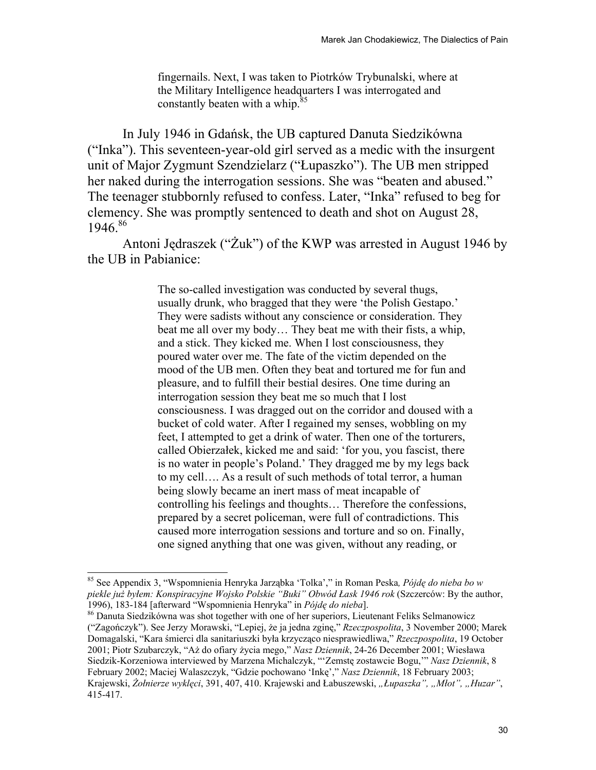fingernails. Next, I was taken to Piotrków Trybunalski, where at the Military Intelligence headquarters I was interrogated and constantly beaten with a whip.<sup>85</sup>

In July 1946 in Gdańsk, the UB captured Danuta Siedzikówna ("Inka"). This seventeen-year-old girl served as a medic with the insurgent unit of Major Zygmunt Szendzielarz ("Łupaszko"). The UB men stripped her naked during the interrogation sessions. She was "beaten and abused." The teenager stubbornly refused to confess. Later, "Inka" refused to beg for clemency. She was promptly sentenced to death and shot on August 28, 1946.86

Antoni Jędraszek ("Żuk") of the KWP was arrested in August 1946 by the UB in Pabianice:

> The so-called investigation was conducted by several thugs, usually drunk, who bragged that they were 'the Polish Gestapo.' They were sadists without any conscience or consideration. They beat me all over my body… They beat me with their fists, a whip, and a stick. They kicked me. When I lost consciousness, they poured water over me. The fate of the victim depended on the mood of the UB men. Often they beat and tortured me for fun and pleasure, and to fulfill their bestial desires. One time during an interrogation session they beat me so much that I lost consciousness. I was dragged out on the corridor and doused with a bucket of cold water. After I regained my senses, wobbling on my feet, I attempted to get a drink of water. Then one of the torturers, called Obierzałek, kicked me and said: 'for you, you fascist, there is no water in people's Poland.' They dragged me by my legs back to my cell…. As a result of such methods of total terror, a human being slowly became an inert mass of meat incapable of controlling his feelings and thoughts… Therefore the confessions, prepared by a secret policeman, were full of contradictions. This caused more interrogation sessions and torture and so on. Finally, one signed anything that one was given, without any reading, or

<sup>85</sup> See Appendix 3, "Wspomnienia Henryka Jarząbka 'Tolka'," in Roman Peska*, Pójdę do nieba bo w piekle już byłem: Konspiracyjne Wojsko Polskie "Buki" Obwód Łask 1946 rok* (Szczerców: By the author,

<sup>&</sup>lt;sup>86</sup> Danuta Siedzikówna was shot together with one of her superiors, Lieutenant Feliks Selmanowicz ("Zagończyk"). See Jerzy Morawski, "Lepiej, że ja jedna zginę," *Rzeczpospolita*, 3 November 2000; Marek Domagalski, "Kara śmierci dla sanitariuszki była krzycząco niesprawiedliwa," *Rzeczpospolita*, 19 October 2001; Piotr Szubarczyk, "Aż do ofiary życia mego," *Nasz Dziennik*, 24-26 December 2001; Wiesława Siedzik-Korzeniowa interviewed by Marzena Michalczyk, "'Zemstę zostawcie Bogu,'" *Nasz Dziennik*, 8 February 2002; Maciej Walaszczyk, "Gdzie pochowano 'Inkę'," *Nasz Dziennik*, 18 February 2003; Krajewski, *Żołnierze wyklęci*, 391, 407, 410. Krajewski and Łabuszewski, *"Łupaszka", "Młot", "Huzar"*, 415-417.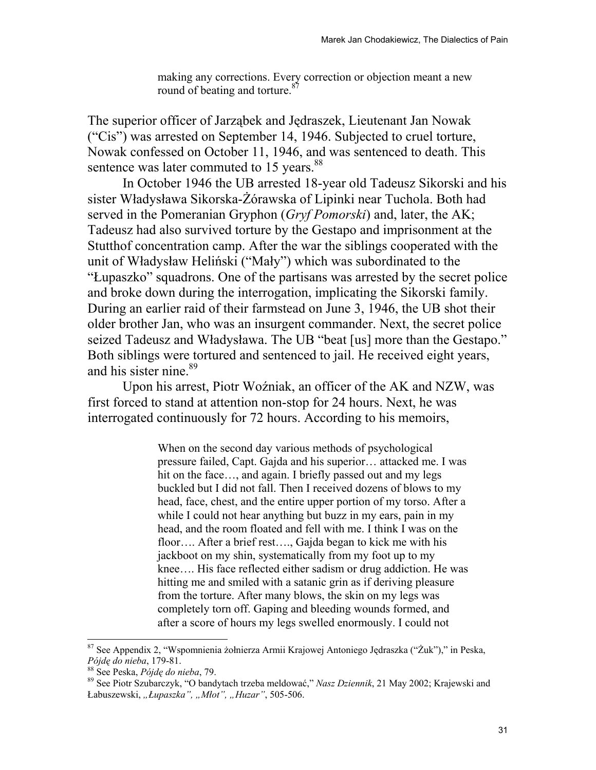making any corrections. Every correction or objection meant a new round of beating and torture.<sup>87</sup>

The superior officer of Jarząbek and Jędraszek, Lieutenant Jan Nowak ("Cis") was arrested on September 14, 1946. Subjected to cruel torture, Nowak confessed on October 11, 1946, and was sentenced to death. This sentence was later commuted to 15 years.<sup>88</sup>

In October 1946 the UB arrested 18-year old Tadeusz Sikorski and his sister Władysława Sikorska-Żórawska of Lipinki near Tuchola. Both had served in the Pomeranian Gryphon (*Gryf Pomorski*) and, later, the AK; Tadeusz had also survived torture by the Gestapo and imprisonment at the Stutthof concentration camp. After the war the siblings cooperated with the unit of Władysław Heliński ("Mały") which was subordinated to the "Łupaszko" squadrons. One of the partisans was arrested by the secret police and broke down during the interrogation, implicating the Sikorski family. During an earlier raid of their farmstead on June 3, 1946, the UB shot their older brother Jan, who was an insurgent commander. Next, the secret police seized Tadeusz and Władysława. The UB "beat [us] more than the Gestapo." Both siblings were tortured and sentenced to jail. He received eight years, and his sister nine.<sup>89</sup>

Upon his arrest, Piotr Woźniak, an officer of the AK and NZW, was first forced to stand at attention non-stop for 24 hours. Next, he was interrogated continuously for 72 hours. According to his memoirs,

> When on the second day various methods of psychological pressure failed, Capt. Gajda and his superior… attacked me. I was hit on the face..., and again. I briefly passed out and my legs buckled but I did not fall. Then I received dozens of blows to my head, face, chest, and the entire upper portion of my torso. After a while I could not hear anything but buzz in my ears, pain in my head, and the room floated and fell with me. I think I was on the floor…. After a brief rest…., Gajda began to kick me with his jackboot on my shin, systematically from my foot up to my knee…. His face reflected either sadism or drug addiction. He was hitting me and smiled with a satanic grin as if deriving pleasure from the torture. After many blows, the skin on my legs was completely torn off. Gaping and bleeding wounds formed, and after a score of hours my legs swelled enormously. I could not

<sup>&</sup>lt;sup>87</sup> See Appendix 2, "Wspomnienia żołnierza Armii Krajowej Antoniego Jędraszka ("Żuk")," in Peska, *Pójdę do nieba*, 179-81.

<sup>&</sup>lt;sup>88</sup> See Peska, *Pójdę do nieba*, 79.<br><sup>89</sup> See Piotr Szubarczyk, "O bandytach trzeba meldować," *Nasz Dziennik*, 21 May 2002; Krajewski and Łabuszewski, *"Łupaszka", "Młot", "Huzar"*, 505-506.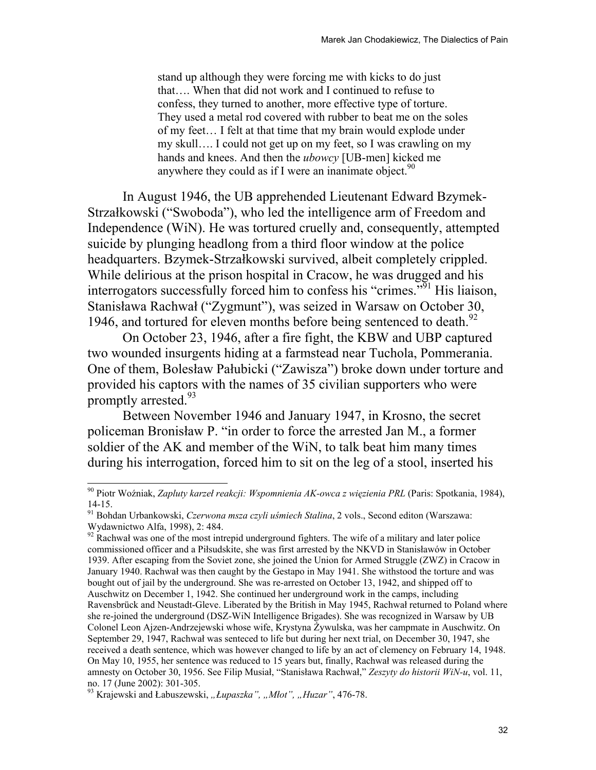stand up although they were forcing me with kicks to do just that…. When that did not work and I continued to refuse to confess, they turned to another, more effective type of torture. They used a metal rod covered with rubber to beat me on the soles of my feet… I felt at that time that my brain would explode under my skull…. I could not get up on my feet, so I was crawling on my hands and knees. And then the *ubowcy* [UB-men] kicked me anywhere they could as if I were an inanimate object.  $90$ 

In August 1946, the UB apprehended Lieutenant Edward Bzymek-Strzałkowski ("Swoboda"), who led the intelligence arm of Freedom and Independence (WiN). He was tortured cruelly and, consequently, attempted suicide by plunging headlong from a third floor window at the police headquarters. Bzymek-Strzałkowski survived, albeit completely crippled. While delirious at the prison hospital in Cracow, he was drugged and his interrogators successfully forced him to confess his "crimes."<sup>51</sup> His liaison, Stanisława Rachwał ("Zygmunt"), was seized in Warsaw on October 30, 1946, and tortured for eleven months before being sentenced to death.<sup>92</sup>

On October 23, 1946, after a fire fight, the KBW and UBP captured two wounded insurgents hiding at a farmstead near Tuchola, Pommerania. One of them, Bolesław Pałubicki ("Zawisza") broke down under torture and provided his captors with the names of 35 civilian supporters who were promptly arrested.<sup>93</sup>

Between November 1946 and January 1947, in Krosno, the secret policeman Bronisław P. "in order to force the arrested Jan M., a former soldier of the AK and member of the WiN, to talk beat him many times during his interrogation, forced him to sit on the leg of a stool, inserted his

<sup>90</sup> Piotr Woźniak, *Zapluty karzeł reakcji: Wspomnienia AK-owca z więzienia PRL* (Paris: Spotkania, 1984), 14-15.

<sup>91</sup> Bohdan Urbankowski, *Czerwona msza czyli uśmiech Stalina*, 2 vols., Second editon (Warszawa: Wydawnictwo Alfa, 1998), 2: 484.

<sup>&</sup>lt;sup>92</sup> Rachwał was one of the most intrepid underground fighters. The wife of a military and later police commissioned officer and a Piłsudskite, she was first arrested by the NKVD in Stanisławów in October 1939. After escaping from the Soviet zone, she joined the Union for Armed Struggle (ZWZ) in Cracow in January 1940. Rachwał was then caught by the Gestapo in May 1941. She withstood the torture and was bought out of jail by the underground. She was re-arrested on October 13, 1942, and shipped off to Auschwitz on December 1, 1942. She continued her underground work in the camps, including Ravensbrück and Neustadt-Gleve. Liberated by the British in May 1945, Rachwał returned to Poland where she re-joined the underground (DSZ-WiN Intelligence Brigades). She was recognized in Warsaw by UB Colonel Leon Ajzen-Andrzejewski whose wife, Krystyna Żywulska, was her campmate in Auschwitz. On September 29, 1947, Rachwał was senteced to life but during her next trial, on December 30, 1947, she received a death sentence, which was however changed to life by an act of clemency on February 14, 1948. On May 10, 1955, her sentence was reduced to 15 years but, finally, Rachwał was released during the amnesty on October 30, 1956. See Filip Musiał, "Stanisława Rachwał," *Zeszyty do historii WiN-u*, vol. 11, no. 17 (June 2002): 301-305.

<sup>&</sup>lt;sup>93</sup> Krajewski and Łabuszewski, "Łupaszka", "Młot", "Huzar", 476-78.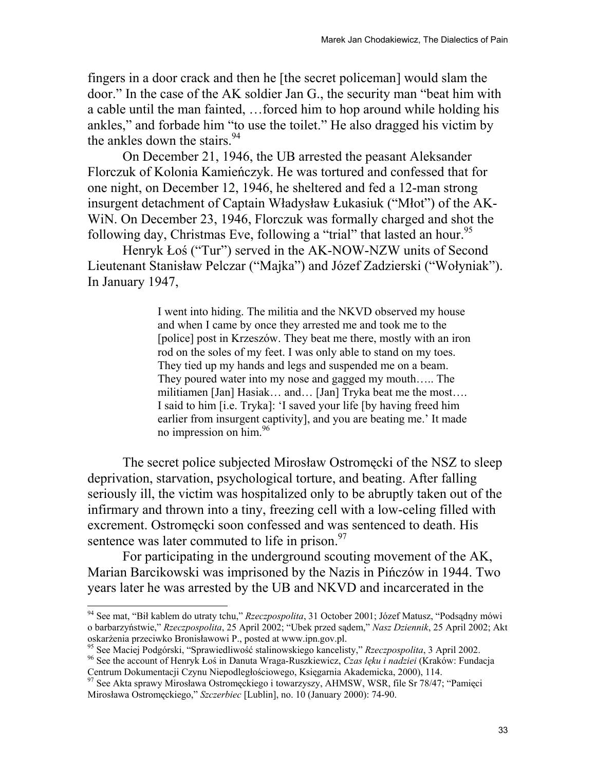fingers in a door crack and then he [the secret policeman] would slam the door." In the case of the AK soldier Jan G., the security man "beat him with a cable until the man fainted, …forced him to hop around while holding his ankles," and forbade him "to use the toilet." He also dragged his victim by the ankles down the stairs.<sup>94</sup>

On December 21, 1946, the UB arrested the peasant Aleksander Florczuk of Kolonia Kamieńczyk. He was tortured and confessed that for one night, on December 12, 1946, he sheltered and fed a 12-man strong insurgent detachment of Captain Władysław Łukasiuk ("Młot") of the AK-WiN. On December 23, 1946, Florczuk was formally charged and shot the following day, Christmas Eve, following a "trial" that lasted an hour.<sup>95</sup>

 Henryk Łoś ("Tur") served in the AK-NOW-NZW units of Second Lieutenant Stanisław Pelczar ("Majka") and Józef Zadzierski ("Wołyniak"). In January 1947,

> I went into hiding. The militia and the NKVD observed my house and when I came by once they arrested me and took me to the [police] post in Krzeszów. They beat me there, mostly with an iron rod on the soles of my feet. I was only able to stand on my toes. They tied up my hands and legs and suspended me on a beam. They poured water into my nose and gagged my mouth….. The militiamen [Jan] Hasiak… and… [Jan] Tryka beat me the most…. I said to him [i.e. Tryka]: 'I saved your life [by having freed him earlier from insurgent captivity], and you are beating me.' It made no impression on him.<sup>96</sup>

The secret police subjected Mirosław Ostromęcki of the NSZ to sleep deprivation, starvation, psychological torture, and beating. After falling seriously ill, the victim was hospitalized only to be abruptly taken out of the infirmary and thrown into a tiny, freezing cell with a low-celing filled with excrement. Ostromęcki soon confessed and was sentenced to death. His sentence was later commuted to life in prison. $97$ 

For participating in the underground scouting movement of the AK, Marian Barcikowski was imprisoned by the Nazis in Pińczów in 1944. Two years later he was arrested by the UB and NKVD and incarcerated in the

<sup>94</sup> See mat, "Bił kablem do utraty tchu," *Rzeczpospolita*, 31 October 2001; Józef Matusz, "Podsądny mówi o barbarzyństwie," *Rzeczpospolita*, 25 April 2002; "Ubek przed sądem," *Nasz Dziennik*, 25 April 2002; Akt

<sup>&</sup>lt;sup>95</sup> See Maciej Podgórski, "Sprawiedliwość stalinowskiego kancelisty," *Rzeczpospolita*, 3 April 2002.<br><sup>96</sup> See the account of Henryk Łoś in Danuta Wraga-Ruszkiewicz, *Czas lęku i nadziei* (Kraków: Fundacja Centrum Dokumen

<sup>&</sup>lt;sup>97</sup> See Akta sprawy Mirosława Ostromęckiego i towarzyszy, AHMSW, WSR, file Sr 78/47; "Pamięci Mirosława Ostromęckiego," *Szczerbiec* [Lublin], no. 10 (January 2000): 74-90.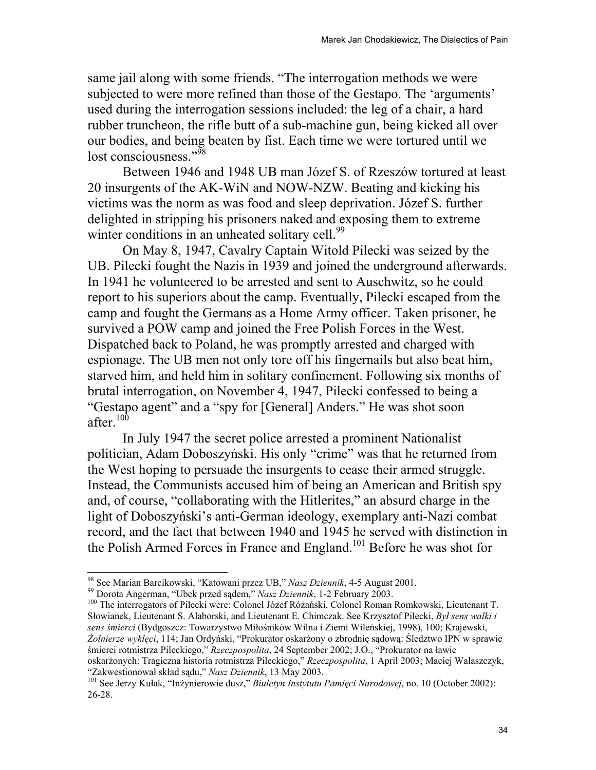same jail along with some friends. "The interrogation methods we were subjected to were more refined than those of the Gestapo. The 'arguments' used during the interrogation sessions included: the leg of a chair, a hard rubber truncheon, the rifle butt of a sub-machine gun, being kicked all over our bodies, and being beaten by fist. Each time we were tortured until we lost consciousness."<sup>98</sup>

Between 1946 and 1948 UB man Józef S. of Rzeszów tortured at least 20 insurgents of the AK-WiN and NOW-NZW. Beating and kicking his victims was the norm as was food and sleep deprivation. Józef S. further delighted in stripping his prisoners naked and exposing them to extreme winter conditions in an unheated solitary cell.<sup>99</sup>

On May 8, 1947, Cavalry Captain Witold Pilecki was seized by the UB. Pilecki fought the Nazis in 1939 and joined the underground afterwards. In 1941 he volunteered to be arrested and sent to Auschwitz, so he could report to his superiors about the camp. Eventually, Pilecki escaped from the camp and fought the Germans as a Home Army officer. Taken prisoner, he survived a POW camp and joined the Free Polish Forces in the West. Dispatched back to Poland, he was promptly arrested and charged with espionage. The UB men not only tore off his fingernails but also beat him, starved him, and held him in solitary confinement. Following six months of brutal interrogation, on November 4, 1947, Pilecki confessed to being a "Gestapo agent" and a "spy for [General] Anders." He was shot soon after. $100$ 

 In July 1947 the secret police arrested a prominent Nationalist politician, Adam Doboszyński. His only "crime" was that he returned from the West hoping to persuade the insurgents to cease their armed struggle. Instead, the Communists accused him of being an American and British spy and, of course, "collaborating with the Hitlerites," an absurd charge in the light of Doboszyński's anti-German ideology, exemplary anti-Nazi combat record, and the fact that between 1940 and 1945 he served with distinction in the Polish Armed Forces in France and England.<sup>101</sup> Before he was shot for

<sup>&</sup>lt;sup>98</sup> See Marian Barcikowski, "Katowani przez UB," *Nasz Dziennik*, 4-5 August 2001.<br><sup>99</sup> Dorota Angerman, "Ubek przed sądem," *Nasz Dziennik*, 1-2 February 2003.<br><sup>100</sup> The interrogators of Pilecki were: Colonel Józef Różań Słowianek, Lieutenant S. Alaborski, and Lieutenant E. Chimczak. See Krzysztof Pilecki, *Był sens walki i sens śmierci* (Bydgoszcz: Towarzystwo Miłośników Wilna i Ziemi Wileńskiej, 1998), 100; Krajewski, *Żołnierze wyklęci*, 114; Jan Ordyński, "Prokurator oskarżony o zbrodnię sądową: Śledztwo IPN w sprawie śmierci rotmistrza Pileckiego," *Rzeczpospolita*, 24 September 2002; J.O., "Prokurator na ławie oskarżonych: Tragiczna historia rotmistrza Pileckiego," *Rzeczpospolita*, 1 April 2003; Maciej Walaszczyk, "Zakwestionował skład sadu," *Nasz Dziennik*, 13 May 2003.

<sup>&</sup>lt;sup>101</sup> See Jerzy Kułak, "Inżynierowie dusz," *Biuletyn Instytutu Pamięci Narodowej*, no. 10 (October 2002): 26-28.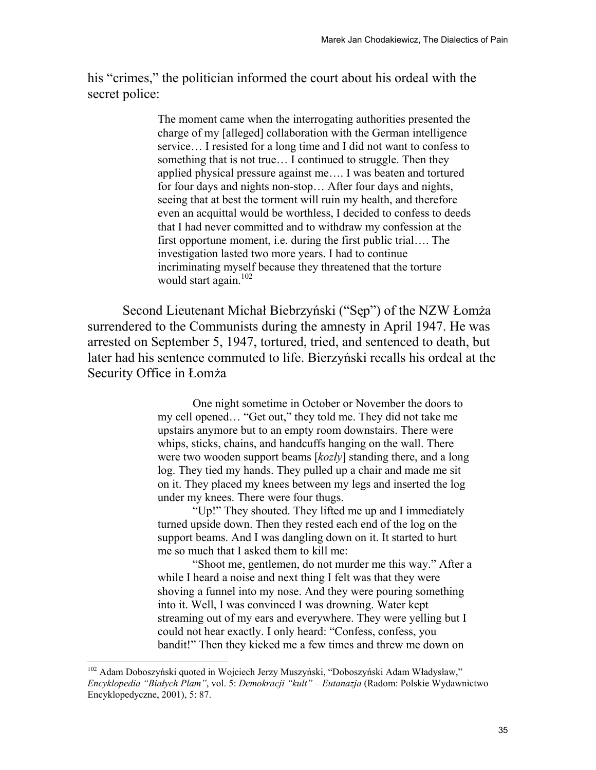his "crimes," the politician informed the court about his ordeal with the secret police:

> The moment came when the interrogating authorities presented the charge of my [alleged] collaboration with the German intelligence service… I resisted for a long time and I did not want to confess to something that is not true… I continued to struggle. Then they applied physical pressure against me…. I was beaten and tortured for four days and nights non-stop… After four days and nights, seeing that at best the torment will ruin my health, and therefore even an acquittal would be worthless, I decided to confess to deeds that I had never committed and to withdraw my confession at the first opportune moment, i.e. during the first public trial…. The investigation lasted two more years. I had to continue incriminating myself because they threatened that the torture would start again. $102$

Second Lieutenant Michał Biebrzyński ("Sęp") of the NZW Łomża surrendered to the Communists during the amnesty in April 1947. He was arrested on September 5, 1947, tortured, tried, and sentenced to death, but later had his sentence commuted to life. Bierzyński recalls his ordeal at the Security Office in Łomża

> One night sometime in October or November the doors to my cell opened… "Get out," they told me. They did not take me upstairs anymore but to an empty room downstairs. There were whips, sticks, chains, and handcuffs hanging on the wall. There were two wooden support beams [*kozły*] standing there, and a long log. They tied my hands. They pulled up a chair and made me sit on it. They placed my knees between my legs and inserted the log under my knees. There were four thugs.

"Up!" They shouted. They lifted me up and I immediately turned upside down. Then they rested each end of the log on the support beams. And I was dangling down on it. It started to hurt me so much that I asked them to kill me:

"Shoot me, gentlemen, do not murder me this way." After a while I heard a noise and next thing I felt was that they were shoving a funnel into my nose. And they were pouring something into it. Well, I was convinced I was drowning. Water kept streaming out of my ears and everywhere. They were yelling but I could not hear exactly. I only heard: "Confess, confess, you bandit!" Then they kicked me a few times and threw me down on

l

<sup>&</sup>lt;sup>102</sup> Adam Doboszyński quoted in Wojciech Jerzy Muszyński, "Doboszyński Adam Władysław," *Encyklopedia "Białych Plam"*, vol. 5: *Demokracji "kult" – Eutanazja* (Radom: Polskie Wydawnictwo Encyklopedyczne, 2001), 5: 87.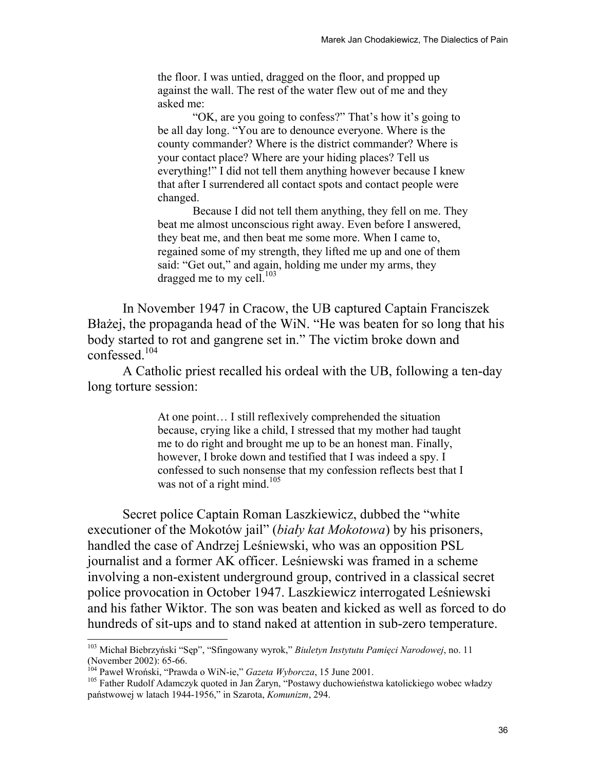the floor. I was untied, dragged on the floor, and propped up against the wall. The rest of the water flew out of me and they asked me:

"OK, are you going to confess?" That's how it's going to be all day long. "You are to denounce everyone. Where is the county commander? Where is the district commander? Where is your contact place? Where are your hiding places? Tell us everything!" I did not tell them anything however because I knew that after I surrendered all contact spots and contact people were changed.

Because I did not tell them anything, they fell on me. They beat me almost unconscious right away. Even before I answered, they beat me, and then beat me some more. When I came to, regained some of my strength, they lifted me up and one of them said: "Get out," and again, holding me under my arms, they dragged me to my cell.<sup>103</sup>

In November 1947 in Cracow, the UB captured Captain Franciszek Błażej, the propaganda head of the WiN. "He was beaten for so long that his body started to rot and gangrene set in." The victim broke down and confessed.104

A Catholic priest recalled his ordeal with the UB, following a ten-day long torture session:

> At one point… I still reflexively comprehended the situation because, crying like a child, I stressed that my mother had taught me to do right and brought me up to be an honest man. Finally, however, I broke down and testified that I was indeed a spy. I confessed to such nonsense that my confession reflects best that I was not of a right mind.<sup>105</sup>

Secret police Captain Roman Laszkiewicz, dubbed the "white executioner of the Mokotów jail" (*biały kat Mokotowa*) by his prisoners, handled the case of Andrzej Leśniewski, who was an opposition PSL journalist and a former AK officer. Leśniewski was framed in a scheme involving a non-existent underground group, contrived in a classical secret police provocation in October 1947. Laszkiewicz interrogated Leśniewski and his father Wiktor. The son was beaten and kicked as well as forced to do hundreds of sit-ups and to stand naked at attention in sub-zero temperature.

<sup>103</sup> Michał Biebrzyński "Sęp", "Sfingowany wyrok," *Biuletyn Instytutu Pamięci Narodowej*, no. 11 (November 2002): 65-66.<br><sup>104</sup> Paweł Wroński, "Prawda o WiN-ie," *Gazeta Wyborcza*, 15 June 2001.

<sup>&</sup>lt;sup>105</sup> Father Rudolf Adamczyk quoted in Jan Żaryn, "Postawy duchowieństwa katolickiego wobec władzy państwowej w latach 1944-1956," in Szarota, *Komunizm*, 294.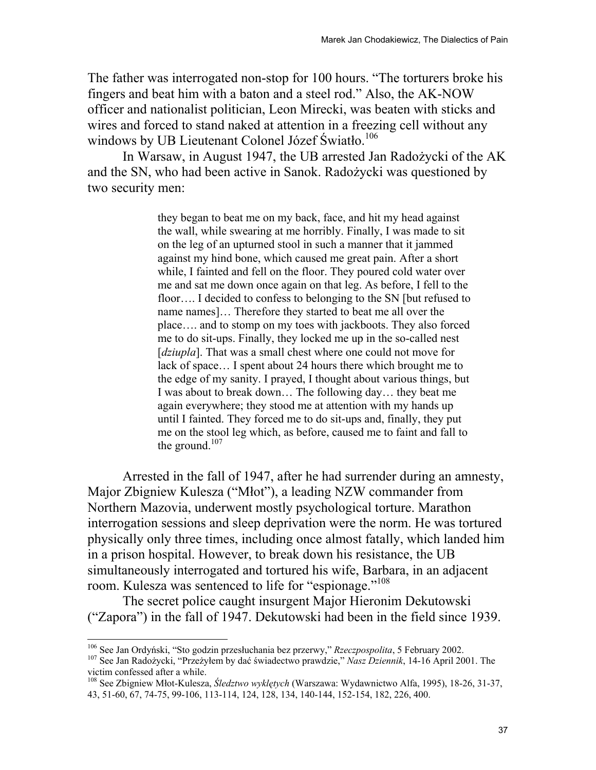The father was interrogated non-stop for 100 hours. "The torturers broke his fingers and beat him with a baton and a steel rod." Also, the AK-NOW officer and nationalist politician, Leon Mirecki, was beaten with sticks and wires and forced to stand naked at attention in a freezing cell without any windows by UB Lieutenant Colonel Józef Światło.<sup>106</sup>

In Warsaw, in August 1947, the UB arrested Jan Radożycki of the AK and the SN, who had been active in Sanok. Radożycki was questioned by two security men:

> they began to beat me on my back, face, and hit my head against the wall, while swearing at me horribly. Finally, I was made to sit on the leg of an upturned stool in such a manner that it jammed against my hind bone, which caused me great pain. After a short while, I fainted and fell on the floor. They poured cold water over me and sat me down once again on that leg. As before, I fell to the floor…. I decided to confess to belonging to the SN [but refused to name names]… Therefore they started to beat me all over the place…. and to stomp on my toes with jackboots. They also forced me to do sit-ups. Finally, they locked me up in the so-called nest [*dziupla*]. That was a small chest where one could not move for lack of space… I spent about 24 hours there which brought me to the edge of my sanity. I prayed, I thought about various things, but I was about to break down… The following day… they beat me again everywhere; they stood me at attention with my hands up until I fainted. They forced me to do sit-ups and, finally, they put me on the stool leg which, as before, caused me to faint and fall to the ground. $107$

Arrested in the fall of 1947, after he had surrender during an amnesty, Major Zbigniew Kulesza ("Młot"), a leading NZW commander from Northern Mazovia, underwent mostly psychological torture. Marathon interrogation sessions and sleep deprivation were the norm. He was tortured physically only three times, including once almost fatally, which landed him in a prison hospital. However, to break down his resistance, the UB simultaneously interrogated and tortured his wife, Barbara, in an adjacent room. Kulesza was sentenced to life for "espionage."<sup>108</sup>

The secret police caught insurgent Major Hieronim Dekutowski ("Zapora") in the fall of 1947. Dekutowski had been in the field since 1939.

<sup>&</sup>lt;sup>106</sup> See Jan Ordyński, "Sto godzin przesłuchania bez przerwy," Rzeczpospolita, 5 February 2002. <sup>107</sup> See Jan Radożycki, "Przeżyłem by dać świadectwo prawdzie," *Nasz Dziennik*, 14-16 April 2001. The victim confessed after a while.

<sup>108</sup> See Zbigniew Młot-Kulesza, *Śledztwo wyklętych* (Warszawa: Wydawnictwo Alfa, 1995), 18-26, 31-37, 43, 51-60, 67, 74-75, 99-106, 113-114, 124, 128, 134, 140-144, 152-154, 182, 226, 400.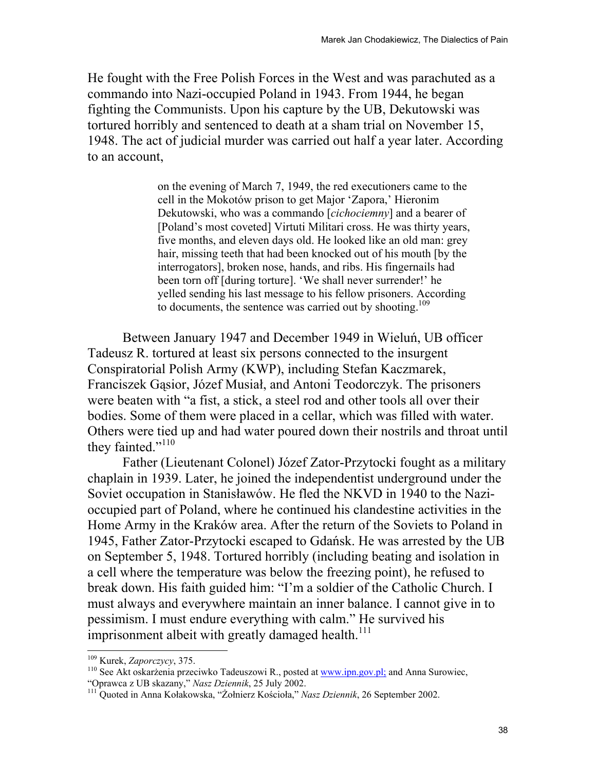He fought with the Free Polish Forces in the West and was parachuted as a commando into Nazi-occupied Poland in 1943. From 1944, he began fighting the Communists. Upon his capture by the UB, Dekutowski was tortured horribly and sentenced to death at a sham trial on November 15, 1948. The act of judicial murder was carried out half a year later. According to an account,

> on the evening of March 7, 1949, the red executioners came to the cell in the Mokotów prison to get Major 'Zapora,' Hieronim Dekutowski, who was a commando [*cichociemny*] and a bearer of [Poland's most coveted] Virtuti Militari cross. He was thirty years, five months, and eleven days old. He looked like an old man: grey hair, missing teeth that had been knocked out of his mouth [by the interrogators], broken nose, hands, and ribs. His fingernails had been torn off [during torture]. 'We shall never surrender!' he yelled sending his last message to his fellow prisoners. According to documents, the sentence was carried out by shooting.<sup>109</sup>

Between January 1947 and December 1949 in Wieluń, UB officer Tadeusz R. tortured at least six persons connected to the insurgent Conspiratorial Polish Army (KWP), including Stefan Kaczmarek, Franciszek Gąsior, Józef Musiał, and Antoni Teodorczyk. The prisoners were beaten with "a fist, a stick, a steel rod and other tools all over their bodies. Some of them were placed in a cellar, which was filled with water. Others were tied up and had water poured down their nostrils and throat until they fainted."<sup>110</sup>

Father (Lieutenant Colonel) Józef Zator-Przytocki fought as a military chaplain in 1939. Later, he joined the independentist underground under the Soviet occupation in Stanisławów. He fled the NKVD in 1940 to the Nazioccupied part of Poland, where he continued his clandestine activities in the Home Army in the Kraków area. After the return of the Soviets to Poland in 1945, Father Zator-Przytocki escaped to Gdańsk. He was arrested by the UB on September 5, 1948. Tortured horribly (including beating and isolation in a cell where the temperature was below the freezing point), he refused to break down. His faith guided him: "I'm a soldier of the Catholic Church. I must always and everywhere maintain an inner balance. I cannot give in to pessimism. I must endure everything with calm." He survived his imprisonment albeit with greatly damaged health.<sup>111</sup>

<sup>&</sup>lt;sup>109</sup> Kurek, *Zaporczycy*, 375.<br><sup>110</sup> See Akt oskarżenia przeciwko Tadeuszowi R., posted at <u>www.ipn.gov.pl;</u> and Anna Surowiec, "Oprawca z UB skazany," *Nasz Dziennik*, 25 July 2002.

<sup>&</sup>lt;sup>111</sup> Ouoted in Anna Kołakowska, "Żołnierz Kościoła," *Nasz Dziennik*, 26 September 2002.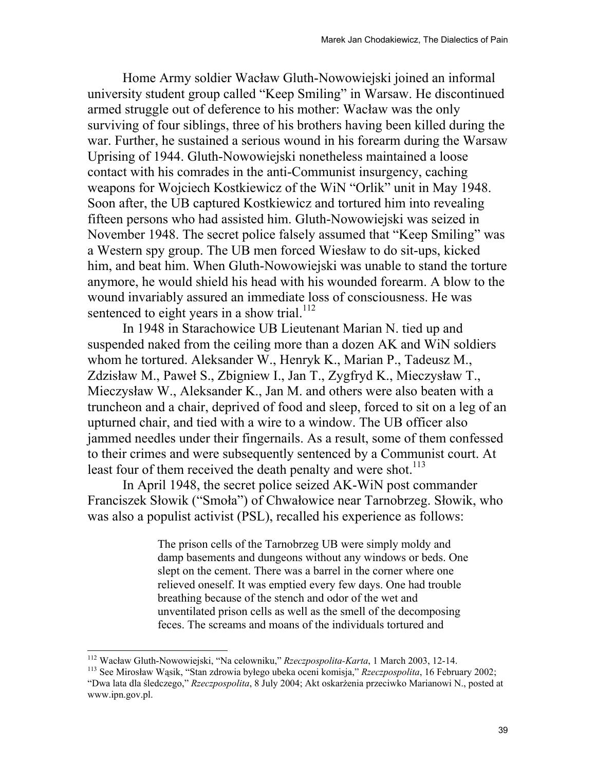Home Army soldier Wacław Gluth-Nowowiejski joined an informal university student group called "Keep Smiling" in Warsaw. He discontinued armed struggle out of deference to his mother: Wacław was the only surviving of four siblings, three of his brothers having been killed during the war. Further, he sustained a serious wound in his forearm during the Warsaw Uprising of 1944. Gluth-Nowowiejski nonetheless maintained a loose contact with his comrades in the anti-Communist insurgency, caching weapons for Wojciech Kostkiewicz of the WiN "Orlik" unit in May 1948. Soon after, the UB captured Kostkiewicz and tortured him into revealing fifteen persons who had assisted him. Gluth-Nowowiejski was seized in November 1948. The secret police falsely assumed that "Keep Smiling" was a Western spy group. The UB men forced Wiesław to do sit-ups, kicked him, and beat him. When Gluth-Nowowiejski was unable to stand the torture anymore, he would shield his head with his wounded forearm. A blow to the wound invariably assured an immediate loss of consciousness. He was sentenced to eight years in a show trial.<sup>112</sup>

 In 1948 in Starachowice UB Lieutenant Marian N. tied up and suspended naked from the ceiling more than a dozen AK and WiN soldiers whom he tortured. Aleksander W., Henryk K., Marian P., Tadeusz M., Zdzisław M., Paweł S., Zbigniew I., Jan T., Zygfryd K., Mieczysław T., Mieczysław W., Aleksander K., Jan M. and others were also beaten with a truncheon and a chair, deprived of food and sleep, forced to sit on a leg of an upturned chair, and tied with a wire to a window. The UB officer also jammed needles under their fingernails. As a result, some of them confessed to their crimes and were subsequently sentenced by a Communist court. At least four of them received the death penalty and were shot.<sup>113</sup>

In April 1948, the secret police seized AK-WiN post commander Franciszek Słowik ("Smoła") of Chwałowice near Tarnobrzeg. Słowik, who was also a populist activist (PSL), recalled his experience as follows:

> The prison cells of the Tarnobrzeg UB were simply moldy and damp basements and dungeons without any windows or beds. One slept on the cement. There was a barrel in the corner where one relieved oneself. It was emptied every few days. One had trouble breathing because of the stench and odor of the wet and unventilated prison cells as well as the smell of the decomposing feces. The screams and moans of the individuals tortured and

<sup>&</sup>lt;sup>112</sup> Wacław Gluth-Nowowiejski, "Na celowniku," Rzeczpospolita-Karta, 1 March 2003, 12-14.

<sup>&</sup>lt;sup>113</sup> See Mirosław Wąsik, "Stan zdrowia byłego ubeka oceni komisja," *Rzeczpospolita*, 16 February 2002; "Dwa lata dla śledczego," *Rzeczpospolita*, 8 July 2004; Akt oskarżenia przeciwko Marianowi N., posted at www.ipn.gov.pl.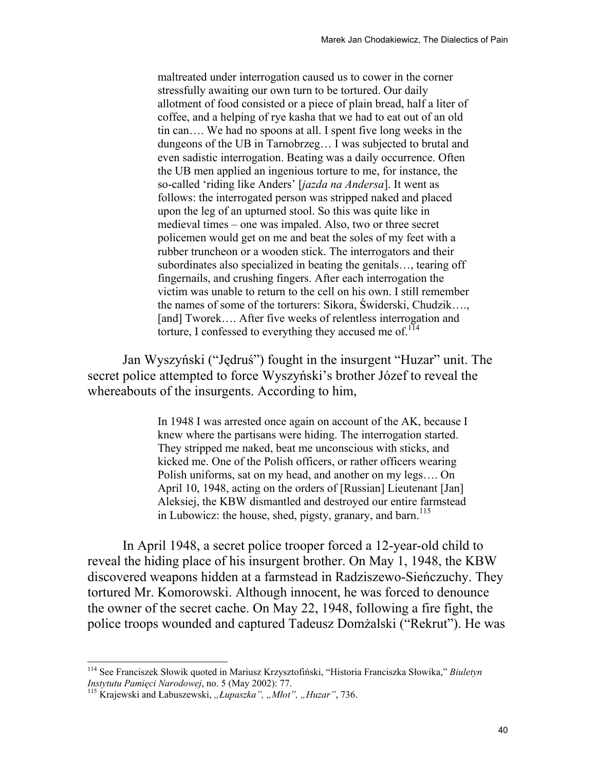maltreated under interrogation caused us to cower in the corner stressfully awaiting our own turn to be tortured. Our daily allotment of food consisted or a piece of plain bread, half a liter of coffee, and a helping of rye kasha that we had to eat out of an old tin can…. We had no spoons at all. I spent five long weeks in the dungeons of the UB in Tarnobrzeg… I was subjected to brutal and even sadistic interrogation. Beating was a daily occurrence. Often the UB men applied an ingenious torture to me, for instance, the so-called 'riding like Anders' [*jazda na Andersa*]. It went as follows: the interrogated person was stripped naked and placed upon the leg of an upturned stool. So this was quite like in medieval times – one was impaled. Also, two or three secret policemen would get on me and beat the soles of my feet with a rubber truncheon or a wooden stick. The interrogators and their subordinates also specialized in beating the genitals…, tearing off fingernails, and crushing fingers. After each interrogation the victim was unable to return to the cell on his own. I still remember the names of some of the torturers: Sikora, Świderski, Chudzik…., [and] Tworek.... After five weeks of relentless interrogation and torture, I confessed to everything they accused me of. $114$ 

Jan Wyszyński ("Jędruś") fought in the insurgent "Huzar" unit. The secret police attempted to force Wyszyński's brother Józef to reveal the whereabouts of the insurgents. According to him,

> In 1948 I was arrested once again on account of the AK, because I knew where the partisans were hiding. The interrogation started. They stripped me naked, beat me unconscious with sticks, and kicked me. One of the Polish officers, or rather officers wearing Polish uniforms, sat on my head, and another on my legs…. On April 10, 1948, acting on the orders of [Russian] Lieutenant [Jan] Aleksiej, the KBW dismantled and destroyed our entire farmstead in Lubowicz: the house, shed, pigsty, granary, and barn.<sup>115</sup>

In April 1948, a secret police trooper forced a 12-year-old child to reveal the hiding place of his insurgent brother. On May 1, 1948, the KBW discovered weapons hidden at a farmstead in Radziszewo-Sieńczuchy. They tortured Mr. Komorowski. Although innocent, he was forced to denounce the owner of the secret cache. On May 22, 1948, following a fire fight, the police troops wounded and captured Tadeusz Domżalski ("Rekrut"). He was

l

<sup>114</sup> See Franciszek Słowik quoted in Mariusz Krzysztofiński, "Historia Franciszka Słowika," *Biuletyn Instytutu Pamięci Narodowej*, no. 5 (May 2002): 77. 115 Krajewski and Łabuszewski, *"Łupaszka", "Młot", "Huzar"*, 736.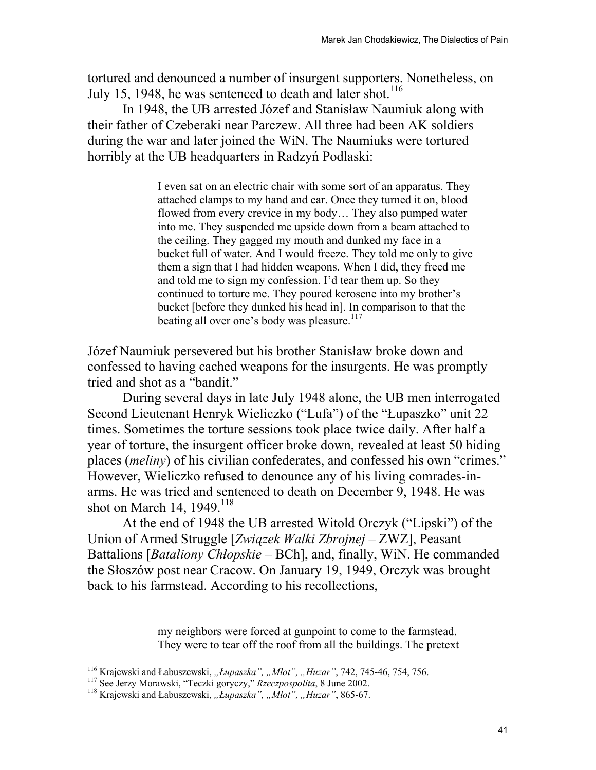tortured and denounced a number of insurgent supporters. Nonetheless, on July 15, 1948, he was sentenced to death and later shot.<sup>116</sup>

In 1948, the UB arrested Józef and Stanisław Naumiuk along with their father of Czeberaki near Parczew. All three had been AK soldiers during the war and later joined the WiN. The Naumiuks were tortured horribly at the UB headquarters in Radzyń Podlaski:

> I even sat on an electric chair with some sort of an apparatus. They attached clamps to my hand and ear. Once they turned it on, blood flowed from every crevice in my body… They also pumped water into me. They suspended me upside down from a beam attached to the ceiling. They gagged my mouth and dunked my face in a bucket full of water. And I would freeze. They told me only to give them a sign that I had hidden weapons. When I did, they freed me and told me to sign my confession. I'd tear them up. So they continued to torture me. They poured kerosene into my brother's bucket [before they dunked his head in]. In comparison to that the beating all over one's body was pleasure.<sup>117</sup>

Józef Naumiuk persevered but his brother Stanisław broke down and confessed to having cached weapons for the insurgents. He was promptly tried and shot as a "bandit."

During several days in late July 1948 alone, the UB men interrogated Second Lieutenant Henryk Wieliczko ("Lufa") of the "Łupaszko" unit 22 times. Sometimes the torture sessions took place twice daily. After half a year of torture, the insurgent officer broke down, revealed at least 50 hiding places (*meliny*) of his civilian confederates, and confessed his own "crimes." However, Wieliczko refused to denounce any of his living comrades-inarms. He was tried and sentenced to death on December 9, 1948. He was shot on March 14,  $1949.$ <sup>118</sup>

At the end of 1948 the UB arrested Witold Orczyk ("Lipski") of the Union of Armed Struggle [*Związek Walki Zbrojnej* – ZWZ], Peasant Battalions [*Bataliony Chłopskie* – BCh], and, finally, WiN. He commanded the Słoszów post near Cracow. On January 19, 1949, Orczyk was brought back to his farmstead. According to his recollections,

> my neighbors were forced at gunpoint to come to the farmstead. They were to tear off the roof from all the buildings. The pretext

<sup>&</sup>lt;sup>116</sup> Krajewski and Łabuszewski, "Łupaszka", "Młot", "Huzar", 742, 745-46, 754, 756.

<sup>&</sup>lt;sup>117</sup> See Jerzy Morawski, "Teczki goryczy," *Rzeczpospolita*, 8 June 2002.<br><sup>118</sup> Krajewski and Łabuszewski, "*Łupaszka"*, "*Mlot"*, "*Huzar"*, 865-67.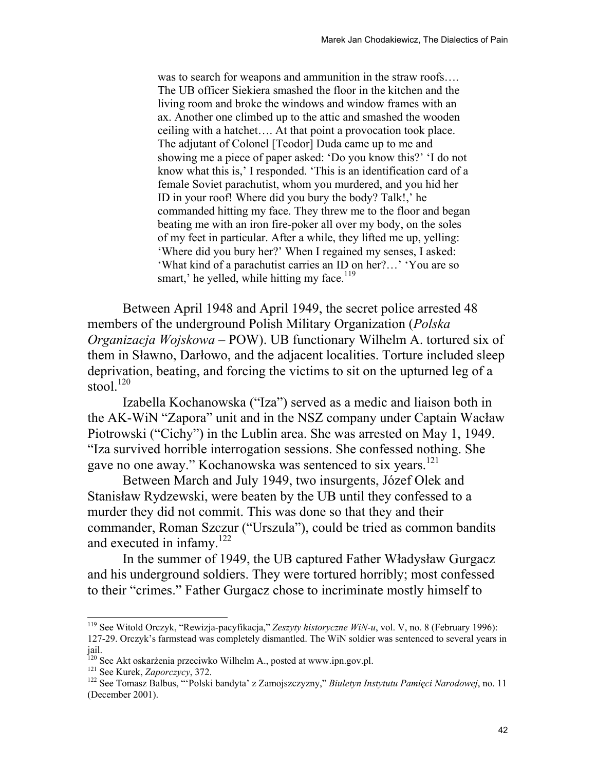was to search for weapons and ammunition in the straw roofs…. The UB officer Siekiera smashed the floor in the kitchen and the living room and broke the windows and window frames with an ax. Another one climbed up to the attic and smashed the wooden ceiling with a hatchet…. At that point a provocation took place. The adjutant of Colonel [Teodor] Duda came up to me and showing me a piece of paper asked: 'Do you know this?' 'I do not know what this is,' I responded. 'This is an identification card of a female Soviet parachutist, whom you murdered, and you hid her ID in your roof! Where did you bury the body? Talk!,' he commanded hitting my face. They threw me to the floor and began beating me with an iron fire-poker all over my body, on the soles of my feet in particular. After a while, they lifted me up, yelling: 'Where did you bury her?' When I regained my senses, I asked: 'What kind of a parachutist carries an ID on her?…' 'You are so smart,' he yelled, while hitting my face.<sup>119</sup>

Between April 1948 and April 1949, the secret police arrested 48 members of the underground Polish Military Organization (*Polska Organizacja Wojskowa* – POW). UB functionary Wilhelm A. tortured six of them in Sławno, Darłowo, and the adjacent localities. Torture included sleep deprivation, beating, and forcing the victims to sit on the upturned leg of a stool.<sup>120</sup>

Izabella Kochanowska ("Iza") served as a medic and liaison both in the AK-WiN "Zapora" unit and in the NSZ company under Captain Wacław Piotrowski ("Cichy") in the Lublin area. She was arrested on May 1, 1949. "Iza survived horrible interrogation sessions. She confessed nothing. She gave no one away." Kochanowska was sentenced to six years.<sup>121</sup>

Between March and July 1949, two insurgents, Józef Olek and Stanisław Rydzewski, were beaten by the UB until they confessed to a murder they did not commit. This was done so that they and their commander, Roman Szczur ("Urszula"), could be tried as common bandits and executed in infamy.<sup>122</sup>

In the summer of 1949, the UB captured Father Władysław Gurgacz and his underground soldiers. They were tortured horribly; most confessed to their "crimes." Father Gurgacz chose to incriminate mostly himself to

<sup>119</sup> See Witold Orczyk, "Rewizja-pacyfikacja," *Zeszyty historyczne WiN-u*, vol. V, no. 8 (February 1996): 127-29. Orczyk's farmstead was completely dismantled. The WiN soldier was sentenced to several years in jail.

<sup>&</sup>lt;sup>120</sup> See Akt oskarżenia przeciwko Wilhelm A., posted at www.ipn.gov.pl.<br><sup>121</sup> See Kurek, *Zaporczycy*, 372.<br><sup>122</sup> See Tomasz Balbus, "'Polski bandyta' z Zamojszczyzny," *Biuletyn Instytutu Pamięci Narodowej*, no. 11 (December 2001).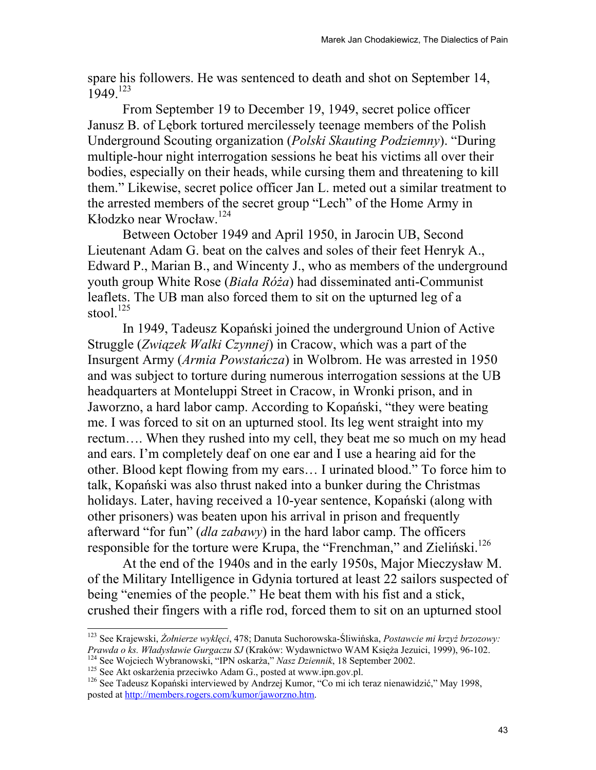spare his followers. He was sentenced to death and shot on September 14, 1949.<sup>123</sup>

From September 19 to December 19, 1949, secret police officer Janusz B. of Lębork tortured mercilessely teenage members of the Polish Underground Scouting organization (*Polski Skauting Podziemny*). "During multiple-hour night interrogation sessions he beat his victims all over their bodies, especially on their heads, while cursing them and threatening to kill them." Likewise, secret police officer Jan L. meted out a similar treatment to the arrested members of the secret group "Lech" of the Home Army in Kłodzko near Wrocław. 124

Between October 1949 and April 1950, in Jarocin UB, Second Lieutenant Adam G. beat on the calves and soles of their feet Henryk A., Edward P., Marian B., and Wincenty J., who as members of the underground youth group White Rose (*Biała Róża*) had disseminated anti-Communist leaflets. The UB man also forced them to sit on the upturned leg of a stool. $125$ 

In 1949, Tadeusz Kopański joined the underground Union of Active Struggle (*Związek Walki Czynnej*) in Cracow, which was a part of the Insurgent Army (*Armia Powstańcza*) in Wolbrom. He was arrested in 1950 and was subject to torture during numerous interrogation sessions at the UB headquarters at Monteluppi Street in Cracow, in Wronki prison, and in Jaworzno, a hard labor camp. According to Kopański, "they were beating me. I was forced to sit on an upturned stool. Its leg went straight into my rectum…. When they rushed into my cell, they beat me so much on my head and ears. I'm completely deaf on one ear and I use a hearing aid for the other. Blood kept flowing from my ears… I urinated blood." To force him to talk, Kopański was also thrust naked into a bunker during the Christmas holidays. Later, having received a 10-year sentence, Kopański (along with other prisoners) was beaten upon his arrival in prison and frequently afterward "for fun" (*dla zabawy*) in the hard labor camp. The officers responsible for the torture were Krupa, the "Frenchman," and Zieliński.<sup>126</sup>

At the end of the 1940s and in the early 1950s, Major Mieczysław M. of the Military Intelligence in Gdynia tortured at least 22 sailors suspected of being "enemies of the people." He beat them with his fist and a stick, crushed their fingers with a rifle rod, forced them to sit on an upturned stool

l

<sup>123</sup> See Krajewski, *Żołnierze wyklęci*, 478; Danuta Suchorowska-Śliwińska, *Postawcie mi krzyż brzozowy: Prawda o ks. Władysławie Gurgaczu SJ* (Kraków: Wydawnictwo WAM Księża Jezuici, 1999), 96-102.<br><sup>124</sup> See Wojciech Wybranowski, "IPN oskarża," *Nasz Dziennik*, 18 September 2002.<br><sup>125</sup> See Akt oskarżenia przeciwko Adam G.,

posted at http://members.rogers.com/kumor/jaworzno.htm.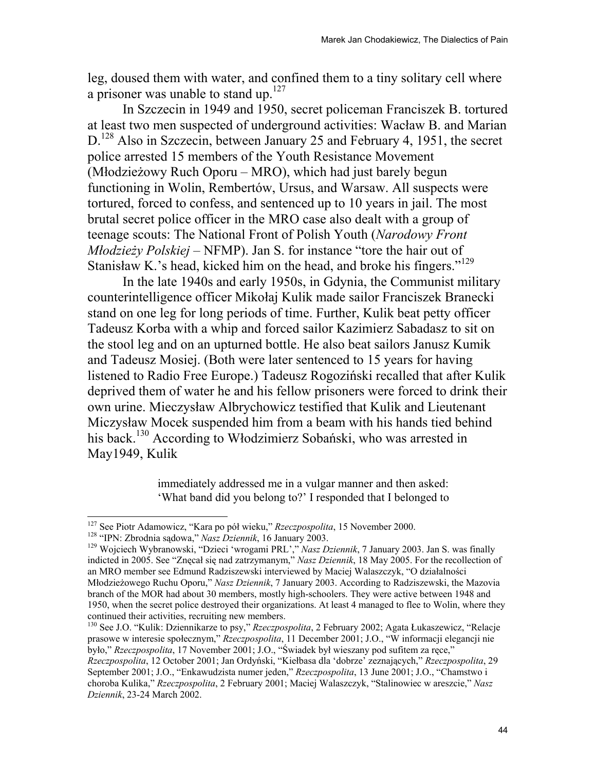leg, doused them with water, and confined them to a tiny solitary cell where a prisoner was unable to stand up.<sup>127</sup>

In Szczecin in 1949 and 1950, secret policeman Franciszek B. tortured at least two men suspected of underground activities: Wacław B. and Marian D.<sup>128</sup> Also in Szczecin, between January 25 and February 4, 1951, the secret police arrested 15 members of the Youth Resistance Movement (Młodzieżowy Ruch Oporu – MRO), which had just barely begun functioning in Wolin, Rembertów, Ursus, and Warsaw. All suspects were tortured, forced to confess, and sentenced up to 10 years in jail. The most brutal secret police officer in the MRO case also dealt with a group of teenage scouts: The National Front of Polish Youth (*Narodowy Front Młodzieży Polskiej* – NFMP). Jan S. for instance "tore the hair out of Stanisław K.'s head, kicked him on the head, and broke his fingers."<sup>129</sup>

In the late 1940s and early 1950s, in Gdynia, the Communist military counterintelligence officer Mikołaj Kulik made sailor Franciszek Branecki stand on one leg for long periods of time. Further, Kulik beat petty officer Tadeusz Korba with a whip and forced sailor Kazimierz Sabadasz to sit on the stool leg and on an upturned bottle. He also beat sailors Janusz Kumik and Tadeusz Mosiej. (Both were later sentenced to 15 years for having listened to Radio Free Europe.) Tadeusz Rogoziński recalled that after Kulik deprived them of water he and his fellow prisoners were forced to drink their own urine. Mieczysław Albrychowicz testified that Kulik and Lieutenant Miczysław Mocek suspended him from a beam with his hands tied behind his back.<sup>130</sup> According to Włodzimierz Sobański, who was arrested in May1949, Kulik

> immediately addressed me in a vulgar manner and then asked: 'What band did you belong to?' I responded that I belonged to

130 See J.O. "Kulik: Dziennikarze to psy," *Rzeczpospolita*, 2 February 2002; Agata Łukaszewicz, "Relacje prasowe w interesie społecznym," *Rzeczpospolita*, 11 December 2001; J.O., "W informacji elegancji nie było," *Rzeczpospolita*, 17 November 2001; J.O., "Świadek był wieszany pod sufitem za ręce," *Rzeczpospolita*, 12 October 2001; Jan Ordyński, "Kiełbasa dla 'dobrze' zeznających," *Rzeczpospolita*, 29 September 2001; J.O., "Enkawudzista numer jeden," *Rzeczpospolita*, 13 June 2001; J.O., "Chamstwo i choroba Kulika," *Rzeczpospolita*, 2 February 2001; Maciej Walaszczyk, "Stalinowiec w areszcie," *Nasz Dziennik*, 23-24 March 2002.

<sup>&</sup>lt;sup>127</sup> See Piotr Adamowicz, "Kara po pół wieku," Rzeczpospolita, 15 November 2000.

<sup>&</sup>lt;sup>127</sup> See Piotr Adamowicz, "Kara po pół wieku," *Rzeczpospolita*, 15 November 2000.<br><sup>128</sup> "IPN: Zbrodnia sądowa," *Nasz Dziennik*, 16 January 2003.<br><sup>129</sup> Wojciech Wybranowski, "Dzieci 'wrogami PRL'," *Nasz Dziennik*, 7 Jan indicted in 2005. See "Znęcał się nad zatrzymanym," *Nasz Dziennik*, 18 May 2005. For the recollection of an MRO member see Edmund Radziszewski interviewed by Maciej Walaszczyk, "O działalności Młodzieżowego Ruchu Oporu," *Nasz Dziennik*, 7 January 2003. According to Radziszewski, the Mazovia branch of the MOR had about 30 members, mostly high-schoolers. They were active between 1948 and 1950, when the secret police destroyed their organizations. At least 4 managed to flee to Wolin, where they continued their activities, recruiting new members.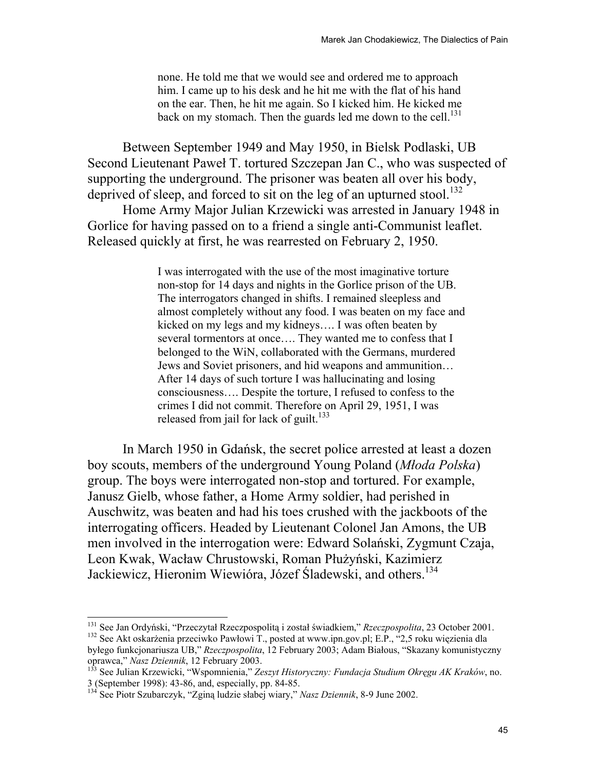none. He told me that we would see and ordered me to approach him. I came up to his desk and he hit me with the flat of his hand on the ear. Then, he hit me again. So I kicked him. He kicked me back on my stomach. Then the guards led me down to the cell. $^{131}$ 

Between September 1949 and May 1950, in Bielsk Podlaski, UB Second Lieutenant Paweł T. tortured Szczepan Jan C., who was suspected of supporting the underground. The prisoner was beaten all over his body, deprived of sleep, and forced to sit on the leg of an upturned stool.<sup>132</sup>

Home Army Major Julian Krzewicki was arrested in January 1948 in Gorlice for having passed on to a friend a single anti-Communist leaflet. Released quickly at first, he was rearrested on February 2, 1950.

> I was interrogated with the use of the most imaginative torture non-stop for 14 days and nights in the Gorlice prison of the UB. The interrogators changed in shifts. I remained sleepless and almost completely without any food. I was beaten on my face and kicked on my legs and my kidneys…. I was often beaten by several tormentors at once…. They wanted me to confess that I belonged to the WiN, collaborated with the Germans, murdered Jews and Soviet prisoners, and hid weapons and ammunition… After 14 days of such torture I was hallucinating and losing consciousness…. Despite the torture, I refused to confess to the crimes I did not commit. Therefore on April 29, 1951, I was released from jail for lack of guilt.<sup>133</sup>

In March 1950 in Gdańsk, the secret police arrested at least a dozen boy scouts, members of the underground Young Poland (*Młoda Polska*) group. The boys were interrogated non-stop and tortured. For example, Janusz Gielb, whose father, a Home Army soldier, had perished in Auschwitz, was beaten and had his toes crushed with the jackboots of the interrogating officers. Headed by Lieutenant Colonel Jan Amons, the UB men involved in the interrogation were: Edward Solański, Zygmunt Czaja, Leon Kwak, Wacław Chrustowski, Roman Płużyński, Kazimierz Jackiewicz, Hieronim Wiewióra, Józef Śladewski, and others.<sup>134</sup>

<sup>&</sup>lt;sup>131</sup> See Jan Ordyński, "Przeczytał Rzeczpospolitą i został świadkiem," Rzeczpospolita, 23 October 2001. <sup>132</sup> See Akt oskarżenia przeciwko Pawłowi T., posted at www.ipn.gov.pl; E.P., "2,5 roku więzienia dla

byłego funkcjonariusza UB," *Rzeczpospolita*, 12 February 2003; Adam Białous, "Skazany komunistyczny oprawca," *Nasz Dziennik*, 12 February 2003. 133 See Julian Krzewicki, "Wspomnienia," *Zeszyt Historyczny: Fundacja Studium Okręgu AK Kraków*, no.

<sup>3 (</sup>September 1998): 43-86, and, especially, pp. 84-85.

<sup>134</sup> See Piotr Szubarczyk, "Zginą ludzie słabej wiary," *Nasz Dziennik*, 8-9 June 2002.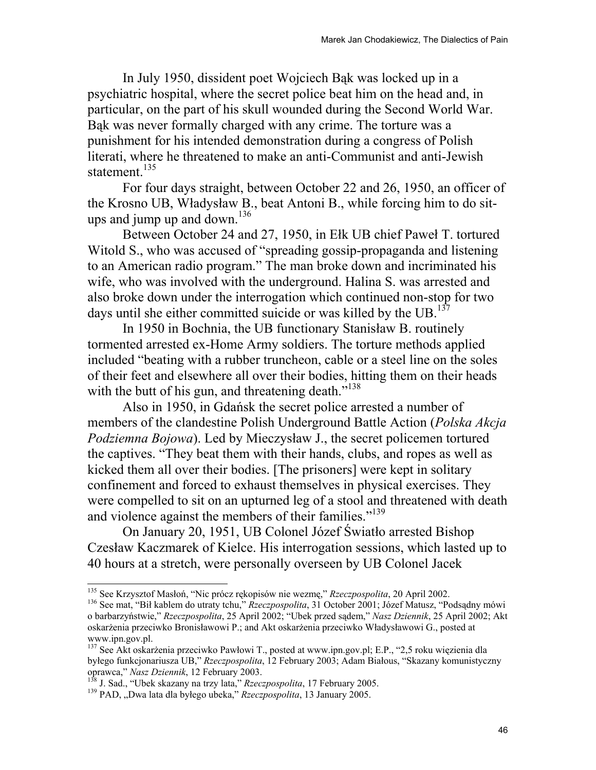In July 1950, dissident poet Wojciech Bąk was locked up in a psychiatric hospital, where the secret police beat him on the head and, in particular, on the part of his skull wounded during the Second World War. Bąk was never formally charged with any crime. The torture was a punishment for his intended demonstration during a congress of Polish literati, where he threatened to make an anti-Communist and anti-Jewish statement.<sup>135</sup>

For four days straight, between October 22 and 26, 1950, an officer of the Krosno UB, Władysław B., beat Antoni B., while forcing him to do situps and jump up and down. $136$ 

Between October 24 and 27, 1950, in Ełk UB chief Paweł T. tortured Witold S., who was accused of "spreading gossip-propaganda and listening to an American radio program." The man broke down and incriminated his wife, who was involved with the underground. Halina S. was arrested and also broke down under the interrogation which continued non-stop for two days until she either committed suicide or was killed by the UB.<sup>137</sup>

In 1950 in Bochnia, the UB functionary Stanisław B. routinely tormented arrested ex-Home Army soldiers. The torture methods applied included "beating with a rubber truncheon, cable or a steel line on the soles of their feet and elsewhere all over their bodies, hitting them on their heads with the butt of his gun, and threatening death."<sup>138</sup>

Also in 1950, in Gdańsk the secret police arrested a number of members of the clandestine Polish Underground Battle Action (*Polska Akcja Podziemna Bojowa*). Led by Mieczysław J., the secret policemen tortured the captives. "They beat them with their hands, clubs, and ropes as well as kicked them all over their bodies. [The prisoners] were kept in solitary confinement and forced to exhaust themselves in physical exercises. They were compelled to sit on an upturned leg of a stool and threatened with death and violence against the members of their families."<sup>139</sup>

On January 20, 1951, UB Colonel Józef Światło arrested Bishop Czesław Kaczmarek of Kielce. His interrogation sessions, which lasted up to 40 hours at a stretch, were personally overseen by UB Colonel Jacek

<sup>&</sup>lt;sup>135</sup> See Krzysztof Masłoń, "Nic prócz rękopisów nie wezmę," *Rzeczpospolita*, 20 April 2002.<br><sup>136</sup> See mat, "Bił kablem do utraty tchu," *Rzeczpospolita*, 31 October 2001; Józef Matusz, "Podsądny mówi o barbarzyństwie," *Rzeczpospolita*, 25 April 2002; "Ubek przed sądem," *Nasz Dziennik*, 25 April 2002; Akt oskarżenia przeciwko Bronisławowi P.; and Akt oskarżenia przeciwko Władysławowi G., posted at www.ipn.gov.pl.

<sup>&</sup>lt;sup>137</sup> See Akt oskarżenia przeciwko Pawłowi T., posted at www.ipn.gov.pl; E.P., "2,5 roku więzienia dla byłego funkcjonariusza UB," *Rzeczpospolita*, 12 February 2003; Adam Białous, "Skazany komunistyczny

<sup>&</sup>lt;sup>138</sup> J. Sad., "Ubek skazany na trzy lata," *Rzeczpospolita*, 17 February 2005.<br><sup>139</sup> PAD, "Dwa lata dla byłego ubeka," *Rzeczpospolita*, 13 January 2005.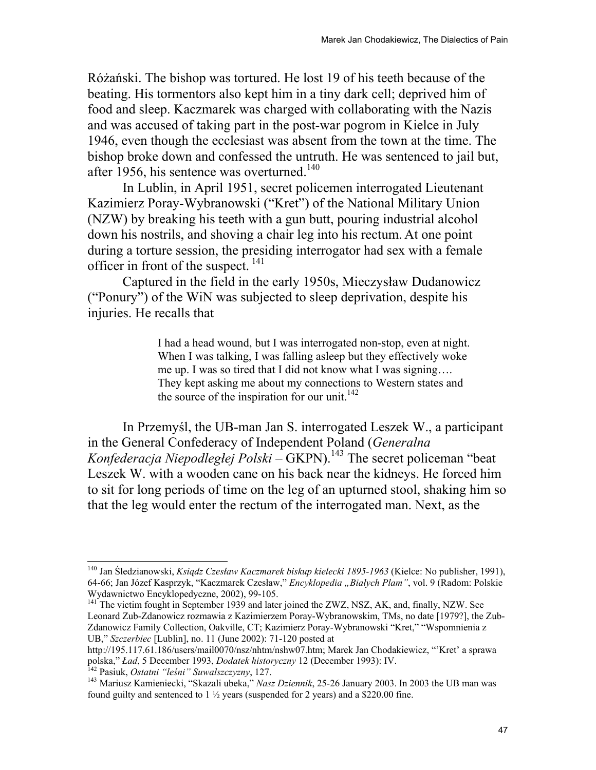Różański. The bishop was tortured. He lost 19 of his teeth because of the beating. His tormentors also kept him in a tiny dark cell; deprived him of food and sleep. Kaczmarek was charged with collaborating with the Nazis and was accused of taking part in the post-war pogrom in Kielce in July 1946, even though the ecclesiast was absent from the town at the time. The bishop broke down and confessed the untruth. He was sentenced to jail but, after 1956, his sentence was overturned.<sup>140</sup>

In Lublin, in April 1951, secret policemen interrogated Lieutenant Kazimierz Poray-Wybranowski ("Kret") of the National Military Union (NZW) by breaking his teeth with a gun butt, pouring industrial alcohol down his nostrils, and shoving a chair leg into his rectum. At one point during a torture session, the presiding interrogator had sex with a female officer in front of the suspect.  $^{141}$ 

Captured in the field in the early 1950s, Mieczysław Dudanowicz ("Ponury") of the WiN was subjected to sleep deprivation, despite his injuries. He recalls that

> I had a head wound, but I was interrogated non-stop, even at night. When I was talking, I was falling asleep but they effectively woke me up. I was so tired that I did not know what I was signing…. They kept asking me about my connections to Western states and the source of the inspiration for our unit.<sup>142</sup>

In Przemyśl, the UB-man Jan S. interrogated Leszek W., a participant in the General Confederacy of Independent Poland (*Generalna Konfederacja Niepodległej Polski* – GKPN).<sup>143</sup> The secret policeman "beat" Leszek W. with a wooden cane on his back near the kidneys. He forced him to sit for long periods of time on the leg of an upturned stool, shaking him so that the leg would enter the rectum of the interrogated man. Next, as the

<sup>140</sup> Jan Śledzianowski, *Ksiądz Czesław Kaczmarek biskup kielecki 1895-1963* (Kielce: No publisher, 1991), 64-66; Jan Józef Kasprzyk, "Kaczmarek Czesław," *Encyklopedia "Białych Plam"*, vol. 9 (Radom: Polskie Wydawnictwo Encyklopedyczne, 2002), 99-105.

<sup>&</sup>lt;sup>141</sup> The victim fought in September 1939 and later joined the ZWZ, NSZ, AK, and, finally, NZW. See Leonard Zub-Zdanowicz rozmawia z Kazimierzem Poray-Wybranowskim, TMs, no date [1979?], the Zub-Zdanowicz Family Collection, Oakville, CT; Kazimierz Poray-Wybranowski "Kret," "Wspomnienia z UB," *Szczerbiec* [Lublin], no. 11 (June 2002): 71-120 posted at

http://195.117.61.186/users/mail0070/nsz/nhtm/nshw07.htm; Marek Jan Chodakiewicz, "'Kret' a sprawa

polska," *Lad*, 5 December 1993, *Dodatek historyczny* 12 (December 1993): IV.<br><sup>142</sup> Pasiuk, *Ostatni "leśni" Suwalszczyzny*, 127.<br><sup>143</sup> Mariusz Kamieniecki, "Skazali ubeka," *Nasz Dziennik*, 25-26 January 2003. In 2003 th found guilty and sentenced to  $1\frac{1}{2}$  years (suspended for 2 years) and a \$220.00 fine.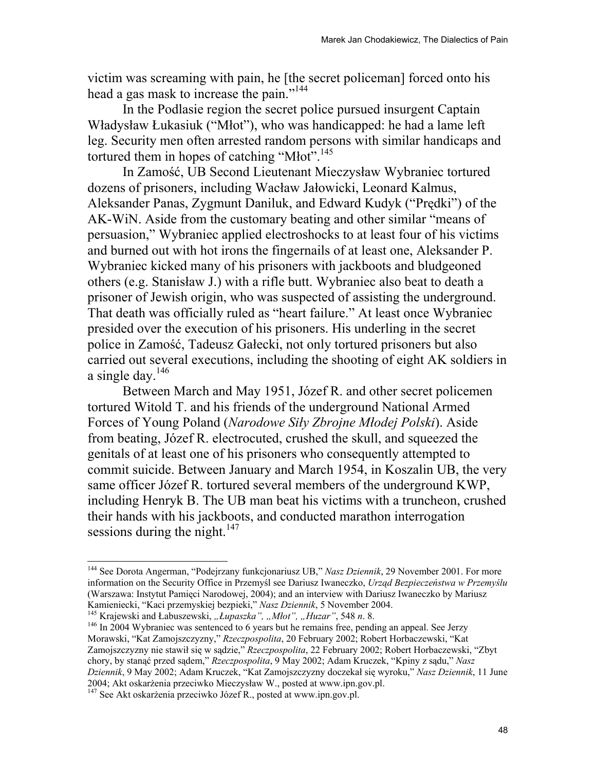victim was screaming with pain, he [the secret policeman] forced onto his head a gas mask to increase the pain."<sup>144</sup>

In the Podlasie region the secret police pursued insurgent Captain Władysław Łukasiuk ("Młot"), who was handicapped: he had a lame left leg. Security men often arrested random persons with similar handicaps and tortured them in hopes of catching "Młot".<sup>145</sup>

In Zamość, UB Second Lieutenant Mieczysław Wybraniec tortured dozens of prisoners, including Wacław Jałowicki, Leonard Kalmus, Aleksander Panas, Zygmunt Daniluk, and Edward Kudyk ("Prędki") of the AK-WiN. Aside from the customary beating and other similar "means of persuasion," Wybraniec applied electroshocks to at least four of his victims and burned out with hot irons the fingernails of at least one, Aleksander P. Wybraniec kicked many of his prisoners with jackboots and bludgeoned others (e.g. Stanisław J.) with a rifle butt. Wybraniec also beat to death a prisoner of Jewish origin, who was suspected of assisting the underground. That death was officially ruled as "heart failure." At least once Wybraniec presided over the execution of his prisoners. His underling in the secret police in Zamość, Tadeusz Gałecki, not only tortured prisoners but also carried out several executions, including the shooting of eight AK soldiers in a single day.  $146$ 

Between March and May 1951, Józef R. and other secret policemen tortured Witold T. and his friends of the underground National Armed Forces of Young Poland (*Narodowe Siły Zbrojne Młodej Polski*). Aside from beating, Józef R. electrocuted, crushed the skull, and squeezed the genitals of at least one of his prisoners who consequently attempted to commit suicide. Between January and March 1954, in Koszalin UB, the very same officer Józef R. tortured several members of the underground KWP, including Henryk B. The UB man beat his victims with a truncheon, crushed their hands with his jackboots, and conducted marathon interrogation sessions during the night. $147$ 

<sup>144</sup> See Dorota Angerman, "Podejrzany funkcjonariusz UB," *Nasz Dziennik*, 29 November 2001. For more information on the Security Office in Przemyśl see Dariusz Iwaneczko, *Urząd Bezpieczeństwa w Przemyślu* (Warszawa: Instytut Pamięci Narodowej, 2004); and an interview with Dariusz Iwaneczko by Mariusz<br>Kamieniecki, "Kaci przemyskiej bezpieki," Nasz Dziennik, 5 November 2004.

<sup>&</sup>lt;sup>145</sup> Krajewski and Łabuszewski, "Łupaszka", "Młot", "Huzar", 548 n. 8.<br><sup>146</sup> In 2004 Wybraniec was sentenced to 6 years but he remains free, pending an appeal. See Jerzy Morawski, "Kat Zamojszczyzny," *Rzeczpospolita*, 20 February 2002; Robert Horbaczewski, "Kat Zamojszczyzny nie stawił się w sądzie," *Rzeczpospolita*, 22 February 2002; Robert Horbaczewski, "Zbyt chory, by stanąć przed sądem," *Rzeczpospolita*, 9 May 2002; Adam Kruczek, "Kpiny z sądu," *Nasz Dziennik*, 9 May 2002; Adam Kruczek, "Kat Zamojszczyzny doczekał się wyroku," *Nasz Dziennik*, 11 June 2004; Akt oskarżenia przeciwko Mieczysław W., posted at www.ipn.gov.pl. 147 See Akt oskarżenia przeciwko Józef R., posted at www.ipn.gov.pl.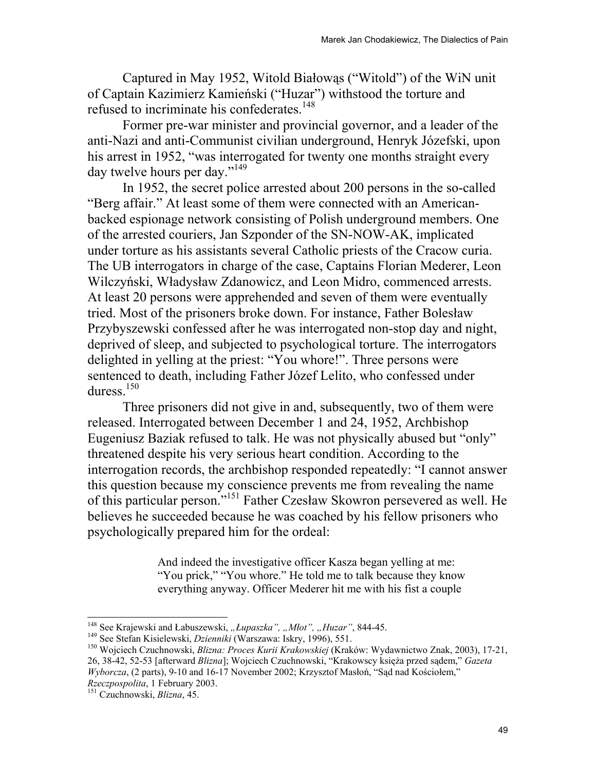Captured in May 1952, Witold Białowąs ("Witold") of the WiN unit of Captain Kazimierz Kamieński ("Huzar") withstood the torture and refused to incriminate his confederates.<sup>148</sup>

Former pre-war minister and provincial governor, and a leader of the anti-Nazi and anti-Communist civilian underground, Henryk Józefski, upon his arrest in 1952, "was interrogated for twenty one months straight every day twelve hours per day."<sup>149</sup>

In 1952, the secret police arrested about 200 persons in the so-called "Berg affair." At least some of them were connected with an Americanbacked espionage network consisting of Polish underground members. One of the arrested couriers, Jan Szponder of the SN-NOW-AK, implicated under torture as his assistants several Catholic priests of the Cracow curia. The UB interrogators in charge of the case, Captains Florian Mederer, Leon Wilczyński, Władysław Zdanowicz, and Leon Midro, commenced arrests. At least 20 persons were apprehended and seven of them were eventually tried. Most of the prisoners broke down. For instance, Father Bolesław Przybyszewski confessed after he was interrogated non-stop day and night, deprived of sleep, and subjected to psychological torture. The interrogators delighted in yelling at the priest: "You whore!". Three persons were sentenced to death, including Father Józef Lelito, who confessed under duress.<sup>150</sup>

Three prisoners did not give in and, subsequently, two of them were released. Interrogated between December 1 and 24, 1952, Archbishop Eugeniusz Baziak refused to talk. He was not physically abused but "only" threatened despite his very serious heart condition. According to the interrogation records, the archbishop responded repeatedly: "I cannot answer this question because my conscience prevents me from revealing the name of this particular person."151 Father Czesław Skowron persevered as well. He believes he succeeded because he was coached by his fellow prisoners who psychologically prepared him for the ordeal:

> And indeed the investigative officer Kasza began yelling at me: "You prick," "You whore." He told me to talk because they know everything anyway. Officer Mederer hit me with his fist a couple

<sup>&</sup>lt;sup>148</sup> See Krajewski and Łabuszewski, "Łupaszka", "Młot", "Huzar", 844-45.

<sup>&</sup>lt;sup>149</sup> See Stefan Kisielewski, *Dzienniki* (Warszawa: Iskry, 1996), 551.<br><sup>150</sup> Wojciech Czuchnowski, *Blizna: Proces Kurii Krakowskiej* (Kraków: Wydawnictwo Znak, 2003), 17-21, 26, 38-42, 52-53 [afterward *Blizna*]; Wojciech Czuchnowski, "Krakowscy księża przed sądem," *Gazeta Wyborcza*, (2 parts), 9-10 and 16-17 November 2002; Krzysztof Masłoń, "Sąd nad Kościołem,"

*Rzeczpospolita*, 1 February 2003. 151 Czuchnowski, *Blizna*, 45.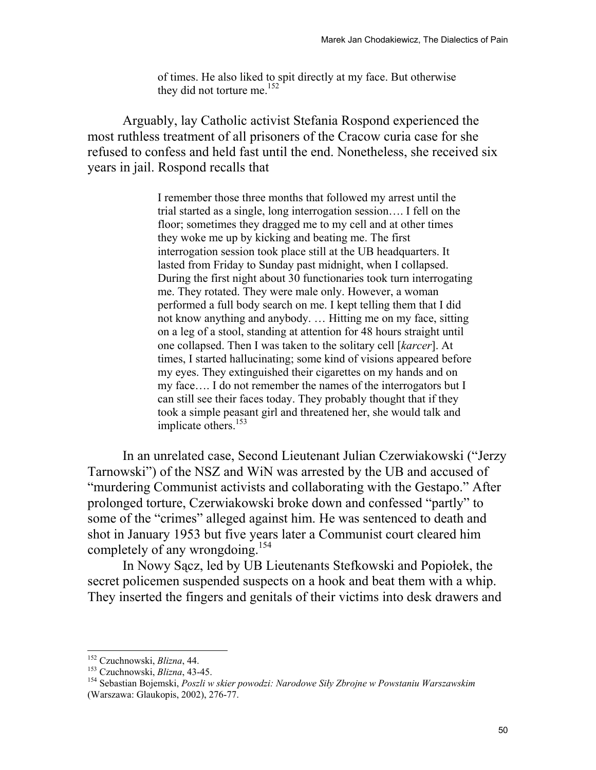of times. He also liked to spit directly at my face. But otherwise they did not torture me.<sup>152</sup>

Arguably, lay Catholic activist Stefania Rospond experienced the most ruthless treatment of all prisoners of the Cracow curia case for she refused to confess and held fast until the end. Nonetheless, she received six years in jail. Rospond recalls that

> I remember those three months that followed my arrest until the trial started as a single, long interrogation session…. I fell on the floor; sometimes they dragged me to my cell and at other times they woke me up by kicking and beating me. The first interrogation session took place still at the UB headquarters. It lasted from Friday to Sunday past midnight, when I collapsed. During the first night about 30 functionaries took turn interrogating me. They rotated. They were male only. However, a woman performed a full body search on me. I kept telling them that I did not know anything and anybody. … Hitting me on my face, sitting on a leg of a stool, standing at attention for 48 hours straight until one collapsed. Then I was taken to the solitary cell [*karcer*]. At times, I started hallucinating; some kind of visions appeared before my eyes. They extinguished their cigarettes on my hands and on my face…. I do not remember the names of the interrogators but I can still see their faces today. They probably thought that if they took a simple peasant girl and threatened her, she would talk and implicate others.<sup>153</sup>

In an unrelated case, Second Lieutenant Julian Czerwiakowski ("Jerzy Tarnowski") of the NSZ and WiN was arrested by the UB and accused of "murdering Communist activists and collaborating with the Gestapo." After prolonged torture, Czerwiakowski broke down and confessed "partly" to some of the "crimes" alleged against him. He was sentenced to death and shot in January 1953 but five years later a Communist court cleared him completely of any wrongdoing.<sup>154</sup>

In Nowy Sącz, led by UB Lieutenants Stefkowski and Popiołek, the secret policemen suspended suspects on a hook and beat them with a whip. They inserted the fingers and genitals of their victims into desk drawers and

<sup>&</sup>lt;sup>152</sup> Czuchnowski, *Blizna*, 44.

<sup>152</sup> Czuchnowski, *Blizna*, 44. 153 Czuchnowski, *Blizna*, 43-45. 154 Sebastian Bojemski, *Poszli w skier powodzi: Narodowe Siły Zbrojne w Powstaniu Warszawskim* (Warszawa: Glaukopis, 2002), 276-77.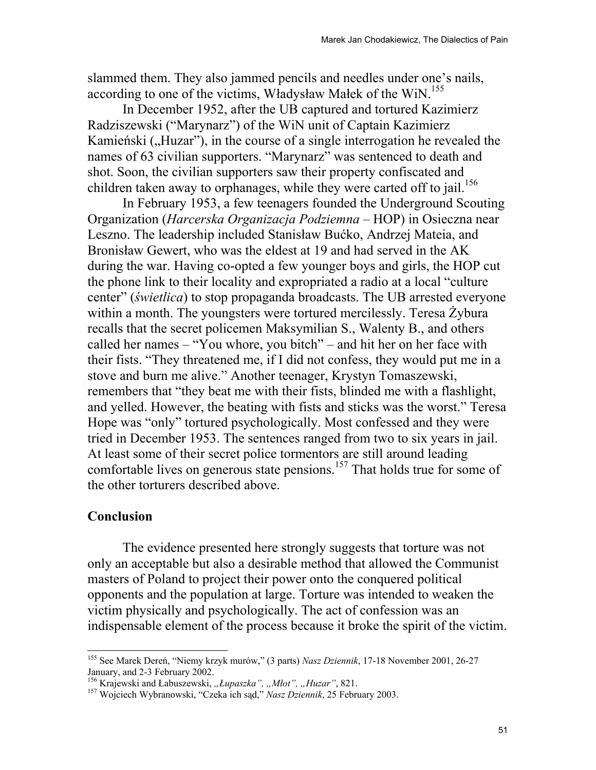slammed them. They also jammed pencils and needles under one's nails, according to one of the victims, Władysław Małek of the WiN.<sup>155</sup>

In December 1952, after the UB captured and tortured Kazimierz Radziszewski ("Marynarz") of the WiN unit of Captain Kazimierz Kamieński ("Huzar"), in the course of a single interrogation he revealed the names of 63 civilian supporters. "Marynarz" was sentenced to death and shot. Soon, the civilian supporters saw their property confiscated and children taken away to orphanages, while they were carted off to jail.<sup>156</sup>

In February 1953, a few teenagers founded the Underground Scouting Organization (*Harcerska Organizacja Podziemna* – HOP) in Osieczna near Leszno. The leadership included Stanisław Bućko, Andrzej Mateia, and Bronisław Gewert, who was the eldest at 19 and had served in the AK during the war. Having co-opted a few younger boys and girls, the HOP cut the phone link to their locality and expropriated a radio at a local "culture center" (*świetlica*) to stop propaganda broadcasts. The UB arrested everyone within a month. The youngsters were tortured mercilessly. Teresa Żybura recalls that the secret policemen Maksymilian S., Walenty B., and others called her names – "You whore, you bitch" – and hit her on her face with their fists. "They threatened me, if I did not confess, they would put me in a stove and burn me alive." Another teenager, Krystyn Tomaszewski, remembers that "they beat me with their fists, blinded me with a flashlight, and yelled. However, the beating with fists and sticks was the worst." Teresa Hope was "only" tortured psychologically. Most confessed and they were tried in December 1953. The sentences ranged from two to six years in jail. At least some of their secret police tormentors are still around leading comfortable lives on generous state pensions.<sup>157</sup> That holds true for some of the other torturers described above.

## **Conclusion**

 $\overline{a}$ 

 The evidence presented here strongly suggests that torture was not only an acceptable but also a desirable method that allowed the Communist masters of Poland to project their power onto the conquered political opponents and the population at large. Torture was intended to weaken the victim physically and psychologically. The act of confession was an indispensable element of the process because it broke the spirit of the victim.

<sup>155</sup> See Marek Dereń, "Niemy krzyk murów," (3 parts) *Nasz Dziennik*, 17-18 November 2001, 26-27 January, and 2-3 February 2002.<br><sup>156</sup> Krajewski and Łabuszewski, "*Łupaszka"*, "*Mlot"*, "*Huzar"*, 821.

<sup>&</sup>lt;sup>157</sup> Wojciech Wybranowski, "Czeka ich sąd," Nasz Dziennik, 25 February 2003.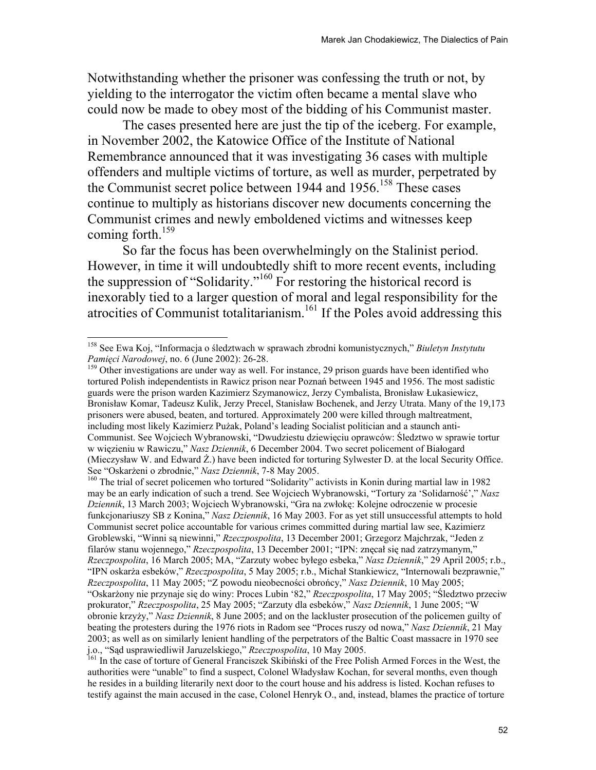Notwithstanding whether the prisoner was confessing the truth or not, by yielding to the interrogator the victim often became a mental slave who could now be made to obey most of the bidding of his Communist master.

 The cases presented here are just the tip of the iceberg. For example, in November 2002, the Katowice Office of the Institute of National Remembrance announced that it was investigating 36 cases with multiple offenders and multiple victims of torture, as well as murder, perpetrated by the Communist secret police between  $1944$  and  $1956$ <sup> $158$ </sup> These cases continue to multiply as historians discover new documents concerning the Communist crimes and newly emboldened victims and witnesses keep coming forth.<sup>159</sup>

So far the focus has been overwhelmingly on the Stalinist period. However, in time it will undoubtedly shift to more recent events, including the suppression of "Solidarity."160 For restoring the historical record is inexorably tied to a larger question of moral and legal responsibility for the atrocities of Communist totalitarianism.161 If the Poles avoid addressing this

 $\overline{a}$ 

<sup>159</sup> Other investigations are under way as well. For instance, 29 prison guards have been identified who tortured Polish independentists in Rawicz prison near Poznań between 1945 and 1956. The most sadistic guards were the prison warden Kazimierz Szymanowicz, Jerzy Cymbalista, Bronisław Łukasiewicz, Bronisław Komar, Tadeusz Kulik, Jerzy Precel, Stanisław Bochenek, and Jerzy Utrata. Many of the 19,173 prisoners were abused, beaten, and tortured. Approximately 200 were killed through maltreatment, including most likely Kazimierz Pużak, Poland's leading Socialist politician and a staunch anti-Communist. See Wojciech Wybranowski, "Dwudziestu dziewięciu oprawców: Śledztwo w sprawie tortur w więzieniu w Rawiczu," *Nasz Dziennik*, 6 December 2004. Two secret policement of Białogard (Mieczysław W. and Edward Ż.) have been indicted for torturing Sylwester D. at the local Security Office.<br>See "Oskarżeni o zbrodnie," Nasz Dziennik, 7-8 May 2005.

<sup>160</sup> The trial of secret policemen who tortured "Solidarity" activists in Konin during martial law in 1982 may be an early indication of such a trend. See Wojciech Wybranowski, "Tortury za 'Solidarność'," *Nasz Dziennik*, 13 March 2003; Wojciech Wybranowski, "Gra na zwłokę: Kolejne odroczenie w procesie funkcjonariuszy SB z Konina," *Nasz Dziennik*, 16 May 2003. For as yet still unsuccessful attempts to hold Communist secret police accountable for various crimes committed during martial law see, Kazimierz Groblewski, "Winni są niewinni," *Rzeczpospolita*, 13 December 2001; Grzegorz Majchrzak, "Jeden z filarów stanu wojennego," *Rzeczpospolita*, 13 December 2001; "IPN: znęcał się nad zatrzymanym," *Rzeczpospolita*, 16 March 2005; MA, "Zarzuty wobec byłego esbeka," *Nasz Dziennik*," 29 April 2005; r.b., "IPN oskarża esbeków," *Rzeczpospolita*, 5 May 2005; r.b., Michał Stankiewicz, "Internowali bezprawnie," *Rzeczpospolita*, 11 May 2005; "Z powodu nieobecności obrońcy," *Nasz Dziennik*, 10 May 2005; "Oskarżony nie przynaje się do winy: Proces Lubin '82," *Rzeczpospolita*, 17 May 2005; "Śledztwo przeciw prokurator," *Rzeczpospolita*, 25 May 2005; "Zarzuty dla esbeków," *Nasz Dziennik*, 1 June 2005; "W obronie krzyży," *Nasz Dziennik*, 8 June 2005; and on the lackluster prosecution of the policemen guilty of beating the protesters during the 1976 riots in Radom see "Proces ruszy od nowa," *Nasz Dziennik*, 21 May 2003; as well as on similarly lenient handling of the perpetrators of the Baltic Coast massacre in 1970 see j.o., "Sąd usprawiedliwił Jaruzelskiego," *Rzeczpospolita*, 10 May 2005.<br><sup>161</sup> In the case of torture of General Franciszek Skibiński of the Free Polish Armed Forces in the West, the

authorities were "unable" to find a suspect, Colonel Władysław Kochan, for several months, even though he resides in a building literarily next door to the court house and his address is listed. Kochan refuses to testify against the main accused in the case, Colonel Henryk O., and, instead, blames the practice of torture

<sup>158</sup> See Ewa Koj, "Informacja o śledztwach w sprawach zbrodni komunistycznych," *Biuletyn Instytutu*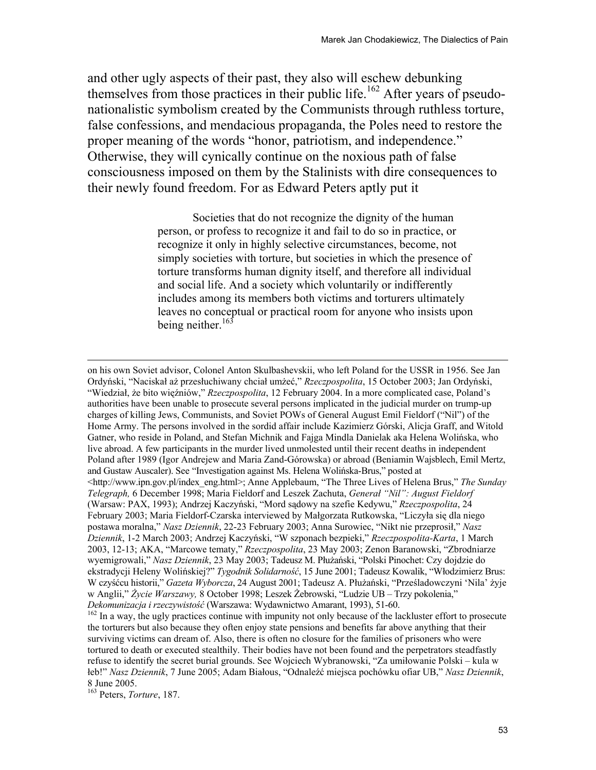and other ugly aspects of their past, they also will eschew debunking themselves from those practices in their public life.<sup>162</sup> After years of pseudonationalistic symbolism created by the Communists through ruthless torture, false confessions, and mendacious propaganda, the Poles need to restore the proper meaning of the words "honor, patriotism, and independence." Otherwise, they will cynically continue on the noxious path of false consciousness imposed on them by the Stalinists with dire consequences to their newly found freedom. For as Edward Peters aptly put it

> Societies that do not recognize the dignity of the human person, or profess to recognize it and fail to do so in practice, or recognize it only in highly selective circumstances, become, not simply societies with torture, but societies in which the presence of torture transforms human dignity itself, and therefore all individual and social life. And a society which voluntarily or indifferently includes among its members both victims and torturers ultimately leaves no conceptual or practical room for anyone who insists upon being neither.<sup>163</sup>

on his own Soviet advisor, Colonel Anton Skulbashevskii, who left Poland for the USSR in 1956. See Jan Ordyński, "Naciskał aż przesłuchiwany chciał umżeć," *Rzeczpospolita*, 15 October 2003; Jan Ordyński, "Wiedział, że bito więźniów," *Rzeczpospolita*, 12 February 2004. In a more complicated case, Poland's authorities have been unable to prosecute several persons implicated in the judicial murder on trump-up charges of killing Jews, Communists, and Soviet POWs of General August Emil Fieldorf ("Nil") of the Home Army. The persons involved in the sordid affair include Kazimierz Górski, Alicja Graff, and Witold Gatner, who reside in Poland, and Stefan Michnik and Fajga Mindla Danielak aka Helena Wolińska, who live abroad. A few participants in the murder lived unmolested until their recent deaths in independent Poland after 1989 (Igor Andrejew and Maria Zand-Górowska) or abroad (Beniamin Wajsblech, Emil Mertz, and Gustaw Auscaler). See "Investigation against Ms. Helena Wolińska-Brus," posted at <http://www.ipn.gov.pl/index\_eng.html>; Anne Applebaum, "The Three Lives of Helena Brus," *The Sunday Telegraph,* 6 December 1998; Maria Fieldorf and Leszek Zachuta, *Generał "Nil": August Fieldorf* (Warsaw: PAX, 1993); Andrzej Kaczyński, "Mord sądowy na szefie Kedywu," *Rzeczpospolita*, 24 February 2003; Maria Fieldorf-Czarska interviewed by Małgorzata Rutkowska, "Liczyła się dla niego postawa moralna," *Nasz Dziennik*, 22-23 February 2003; Anna Surowiec, "Nikt nie przeprosił," *Nasz Dziennik*, 1-2 March 2003; Andrzej Kaczyński, "W szponach bezpieki," *Rzeczpospolita-Karta*, 1 March 2003, 12-13; AKA, "Marcowe tematy," *Rzeczpospolita*, 23 May 2003; Zenon Baranowski, "Zbrodniarze wyemigrowali," *Nasz Dziennik*, 23 May 2003; Tadeusz M. Płużański, "Polski Pinochet: Czy dojdzie do ekstradycji Heleny Wolińskiej?" *Tygodnik Solidarność*, 15 June 2001; Tadeusz Kowalik, "Włodzimierz Brus: W czyśćcu historii," *Gazeta Wyborcza*, 24 August 2001; Tadeusz A. Płużański, "Prześladowczyni 'Nila' żyje w Anglii," Życie Warszawy, 8 October 1998; Leszek Żebrowski, "Ludzie UB – Trzy pokolenia,"<br>Dekomunizacja i rzeczywistość (Warszawa: Wydawnictwo Amarant, 1993), 51-60.

<sup>&</sup>lt;sup>162</sup> In a way, the ugly practices continue with impunity not only because of the lackluster effort to prosecute the torturers but also because they often enjoy state pensions and benefits far above anything that their surviving victims can dream of. Also, there is often no closure for the families of prisoners who were tortured to death or executed stealthily. Their bodies have not been found and the perpetrators steadfastly refuse to identify the secret burial grounds. See Wojciech Wybranowski, "Za umiłowanie Polski – kula w łeb!" *Nasz Dziennik*, 7 June 2005; Adam Białous, "Odnaleźć miejsca pochówku ofiar UB," *Nasz Dziennik*, 8 June 2005.

<sup>163</sup> Peters, *Torture*, 187.